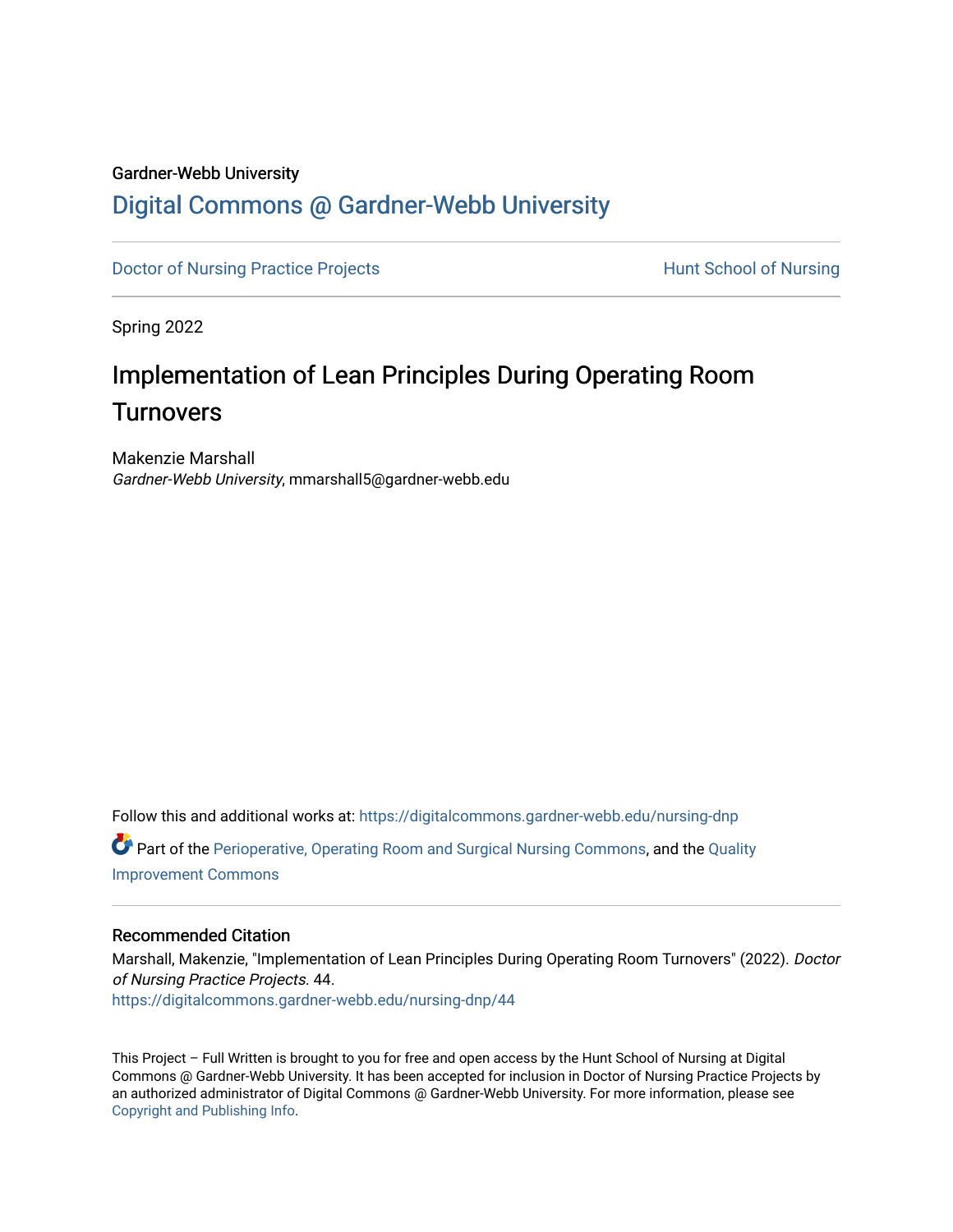## Gardner-Webb University

# [Digital Commons @ Gardner-Webb University](https://digitalcommons.gardner-webb.edu/)

[Doctor of Nursing Practice Projects](https://digitalcommons.gardner-webb.edu/nursing-dnp) **Exercise Exercise Serverse Hunt School of Nursing** 

Spring 2022

# Implementation of Lean Principles During Operating Room **Turnovers**

Makenzie Marshall Gardner-Webb University, mmarshall5@gardner-webb.edu

Follow this and additional works at: [https://digitalcommons.gardner-webb.edu/nursing-dnp](https://digitalcommons.gardner-webb.edu/nursing-dnp?utm_source=digitalcommons.gardner-webb.edu%2Fnursing-dnp%2F44&utm_medium=PDF&utm_campaign=PDFCoverPages) 

Part of the [Perioperative, Operating Room and Surgical Nursing Commons](https://network.bepress.com/hgg/discipline/726?utm_source=digitalcommons.gardner-webb.edu%2Fnursing-dnp%2F44&utm_medium=PDF&utm_campaign=PDFCoverPages), and the [Quality](https://network.bepress.com/hgg/discipline/1430?utm_source=digitalcommons.gardner-webb.edu%2Fnursing-dnp%2F44&utm_medium=PDF&utm_campaign=PDFCoverPages) [Improvement Commons](https://network.bepress.com/hgg/discipline/1430?utm_source=digitalcommons.gardner-webb.edu%2Fnursing-dnp%2F44&utm_medium=PDF&utm_campaign=PDFCoverPages) 

#### Recommended Citation

Marshall, Makenzie, "Implementation of Lean Principles During Operating Room Turnovers" (2022). Doctor of Nursing Practice Projects. 44. [https://digitalcommons.gardner-webb.edu/nursing-dnp/44](https://digitalcommons.gardner-webb.edu/nursing-dnp/44?utm_source=digitalcommons.gardner-webb.edu%2Fnursing-dnp%2F44&utm_medium=PDF&utm_campaign=PDFCoverPages)

This Project – Full Written is brought to you for free and open access by the Hunt School of Nursing at Digital Commons @ Gardner-Webb University. It has been accepted for inclusion in Doctor of Nursing Practice Projects by an authorized administrator of Digital Commons @ Gardner-Webb University. For more information, please see [Copyright and Publishing Info.](https://digitalcommons.gardner-webb.edu/copyright_publishing.html)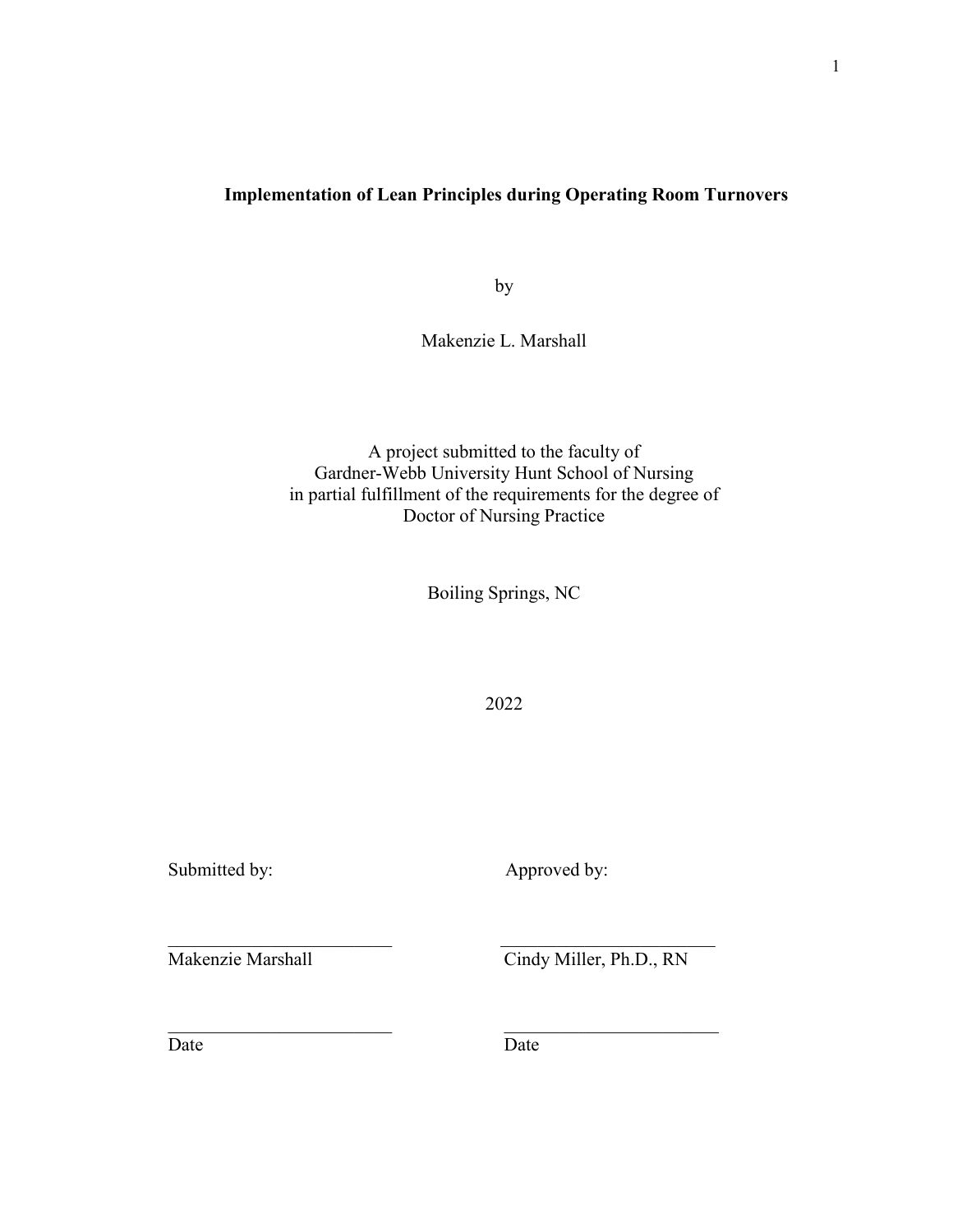# **Implementation of Lean Principles during Operating Room Turnovers**

by

Makenzie L. Marshall

A project submitted to the faculty of Gardner-Webb University Hunt School of Nursing in partial fulfillment of the requirements for the degree of Doctor of Nursing Practice

Boiling Springs, NC

2022

Submitted by: <br>
Approved by:

Makenzie Marshall Cindy Miller, Ph.D., RN

Date Date Date

 $\mathcal{L}_\mathcal{L}$  , and the contribution of the contribution of  $\mathcal{L}_\mathcal{L}$  , and the contribution of  $\mathcal{L}_\mathcal{L}$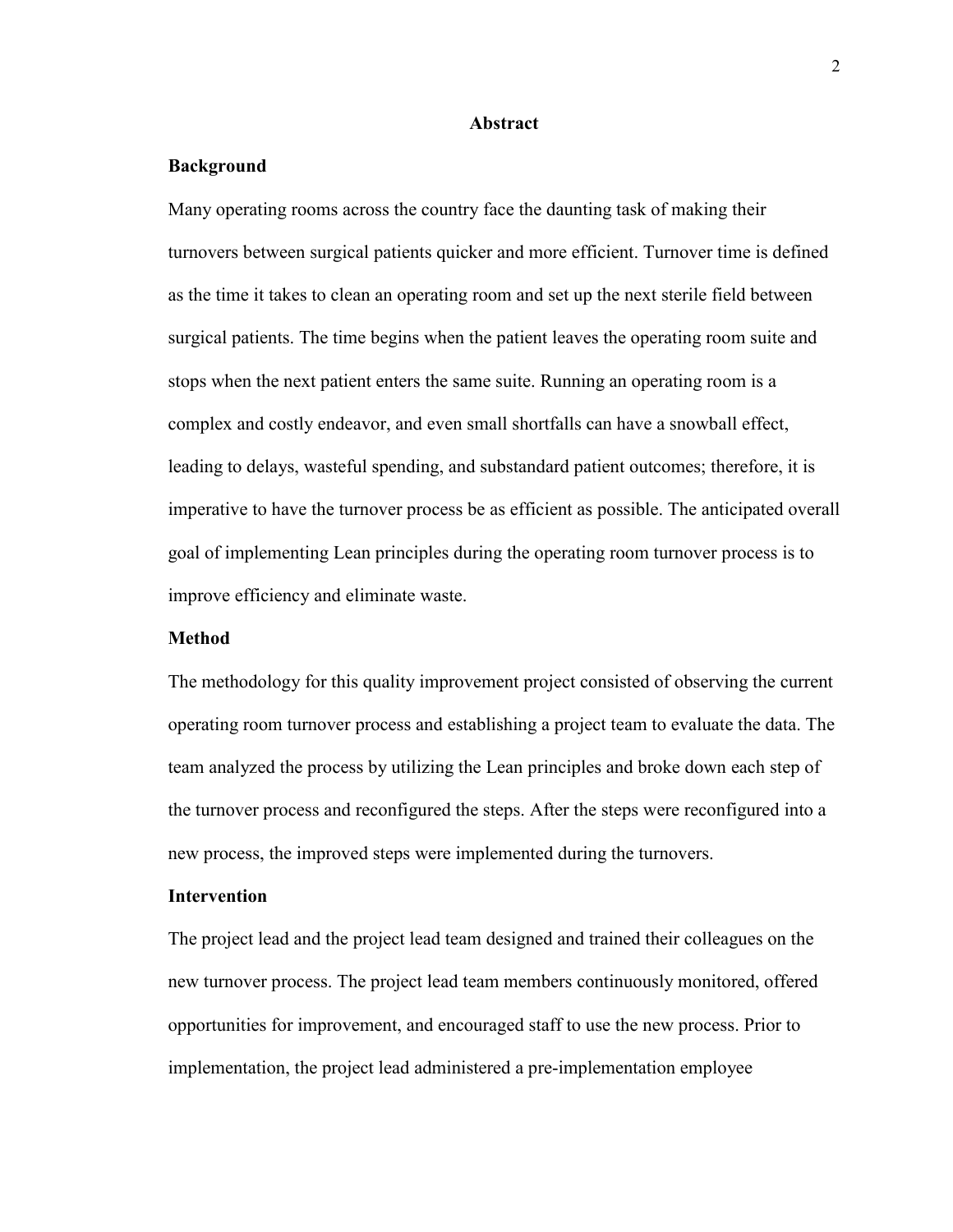#### **Abstract**

#### **Background**

Many operating rooms across the country face the daunting task of making their turnovers between surgical patients quicker and more efficient. Turnover time is defined as the time it takes to clean an operating room and set up the next sterile field between surgical patients. The time begins when the patient leaves the operating room suite and stops when the next patient enters the same suite. Running an operating room is a complex and costly endeavor, and even small shortfalls can have a snowball effect, leading to delays, wasteful spending, and substandard patient outcomes; therefore, it is imperative to have the turnover process be as efficient as possible. The anticipated overall goal of implementing Lean principles during the operating room turnover process is to improve efficiency and eliminate waste.

#### **Method**

The methodology for this quality improvement project consisted of observing the current operating room turnover process and establishing a project team to evaluate the data. The team analyzed the process by utilizing the Lean principles and broke down each step of the turnover process and reconfigured the steps. After the steps were reconfigured into a new process, the improved steps were implemented during the turnovers.

#### **Intervention**

The project lead and the project lead team designed and trained their colleagues on the new turnover process. The project lead team members continuously monitored, offered opportunities for improvement, and encouraged staff to use the new process. Prior to implementation, the project lead administered a pre-implementation employee

2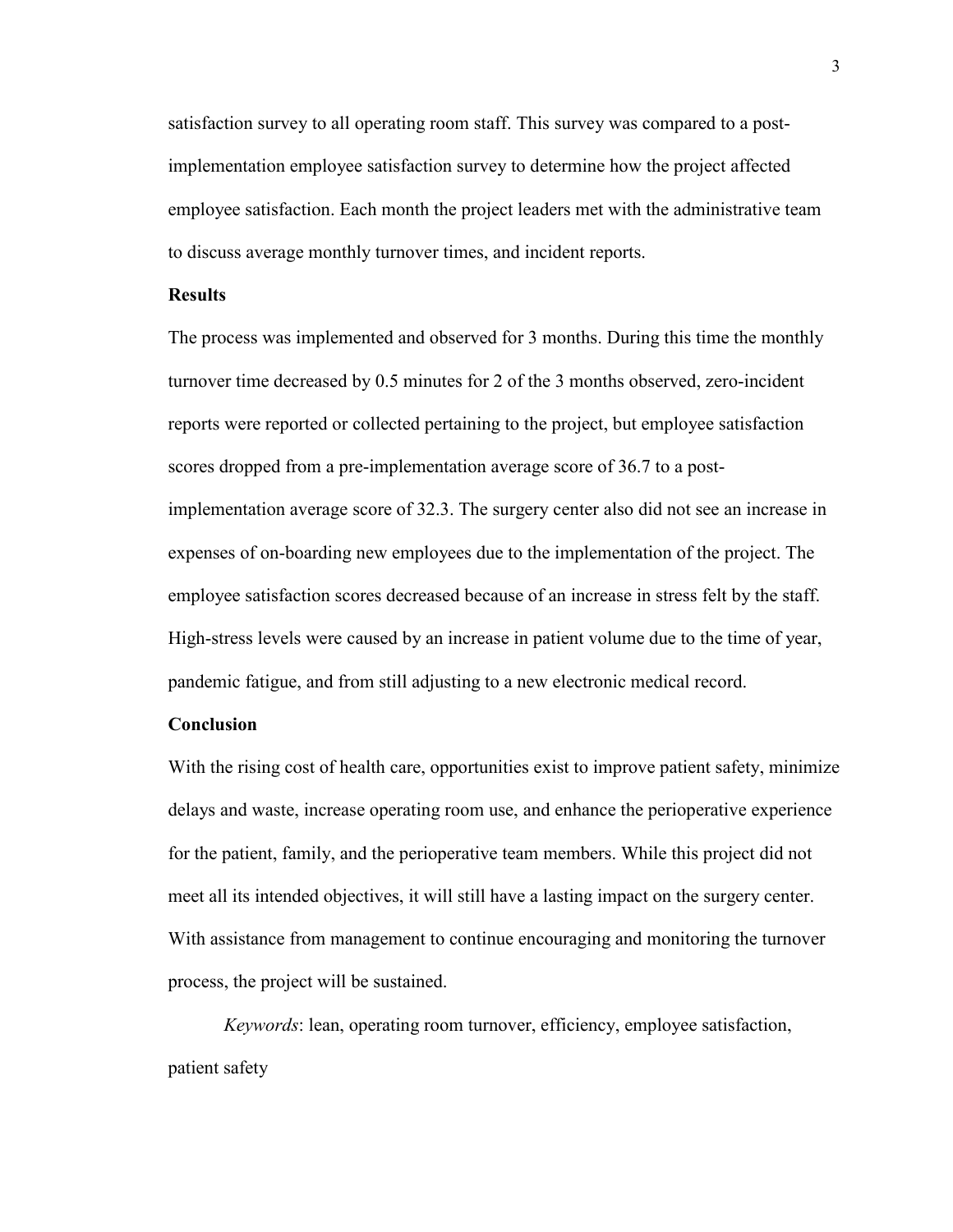satisfaction survey to all operating room staff. This survey was compared to a postimplementation employee satisfaction survey to determine how the project affected employee satisfaction. Each month the project leaders met with the administrative team to discuss average monthly turnover times, and incident reports.

#### **Results**

The process was implemented and observed for 3 months. During this time the monthly turnover time decreased by 0.5 minutes for 2 of the 3 months observed, zero-incident reports were reported or collected pertaining to the project, but employee satisfaction scores dropped from a pre-implementation average score of 36.7 to a postimplementation average score of 32.3. The surgery center also did not see an increase in expenses of on-boarding new employees due to the implementation of the project. The employee satisfaction scores decreased because of an increase in stress felt by the staff. High-stress levels were caused by an increase in patient volume due to the time of year, pandemic fatigue, and from still adjusting to a new electronic medical record.

#### **Conclusion**

With the rising cost of health care, opportunities exist to improve patient safety, minimize delays and waste, increase operating room use, and enhance the perioperative experience for the patient, family, and the perioperative team members. While this project did not meet all its intended objectives, it will still have a lasting impact on the surgery center. With assistance from management to continue encouraging and monitoring the turnover process, the project will be sustained.

*Keywords*: lean, operating room turnover, efficiency, employee satisfaction, patient safety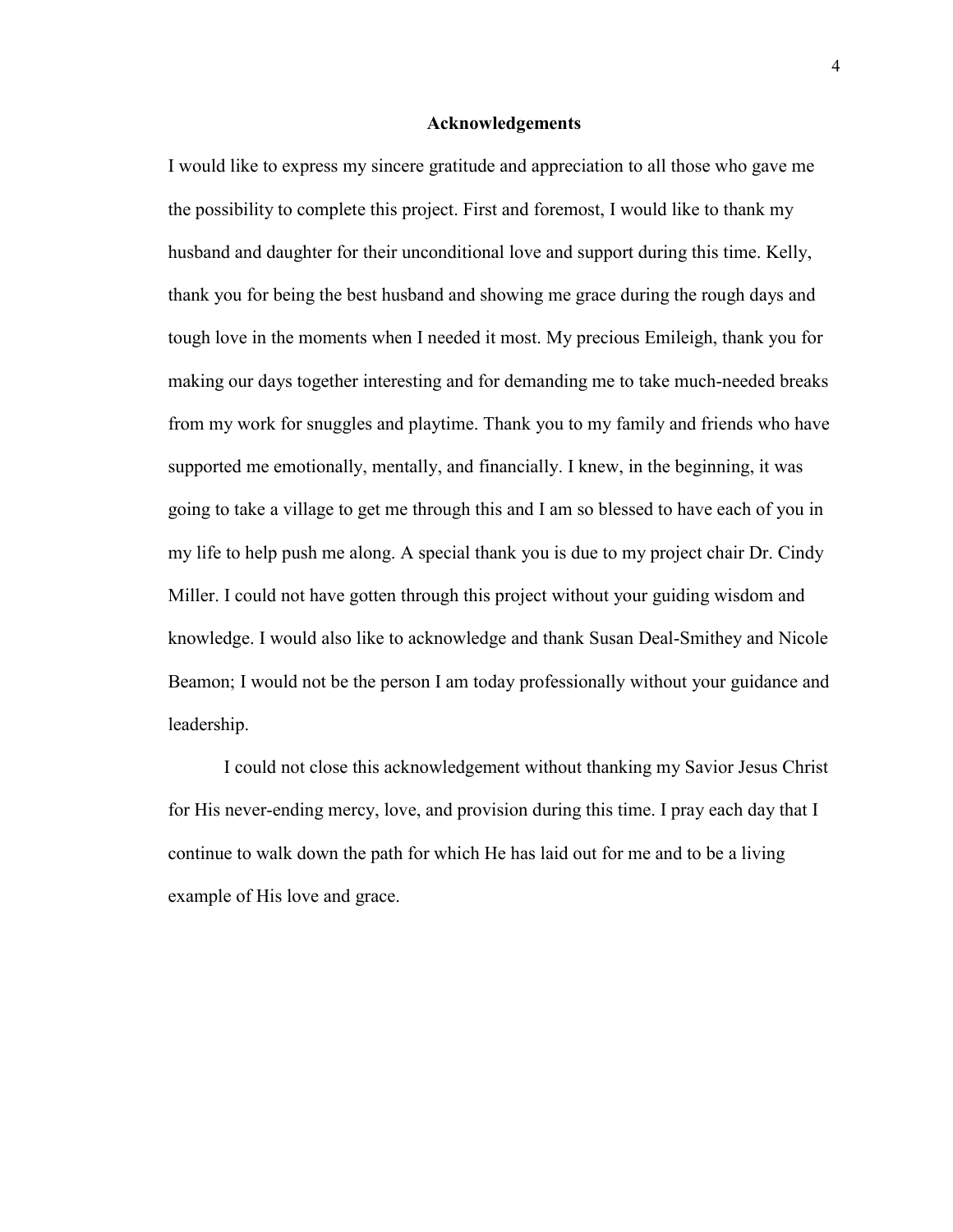#### **Acknowledgements**

I would like to express my sincere gratitude and appreciation to all those who gave me the possibility to complete this project. First and foremost, I would like to thank my husband and daughter for their unconditional love and support during this time. Kelly, thank you for being the best husband and showing me grace during the rough days and tough love in the moments when I needed it most. My precious Emileigh, thank you for making our days together interesting and for demanding me to take much-needed breaks from my work for snuggles and playtime. Thank you to my family and friends who have supported me emotionally, mentally, and financially. I knew, in the beginning, it was going to take a village to get me through this and I am so blessed to have each of you in my life to help push me along. A special thank you is due to my project chair Dr. Cindy Miller. I could not have gotten through this project without your guiding wisdom and knowledge. I would also like to acknowledge and thank Susan Deal-Smithey and Nicole Beamon; I would not be the person I am today professionally without your guidance and leadership.

I could not close this acknowledgement without thanking my Savior Jesus Christ for His never-ending mercy, love, and provision during this time. I pray each day that I continue to walk down the path for which He has laid out for me and to be a living example of His love and grace.

4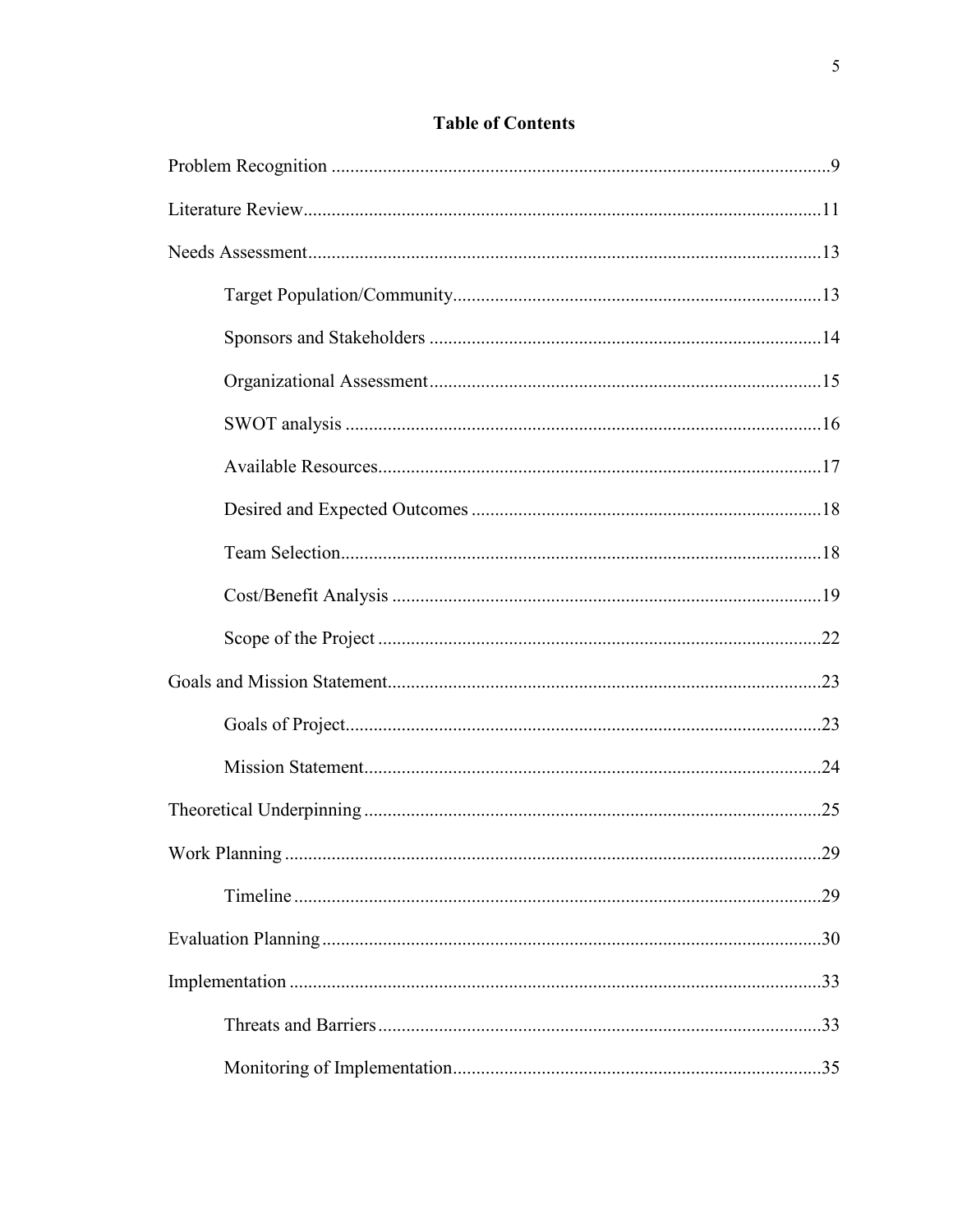# **Table of Contents**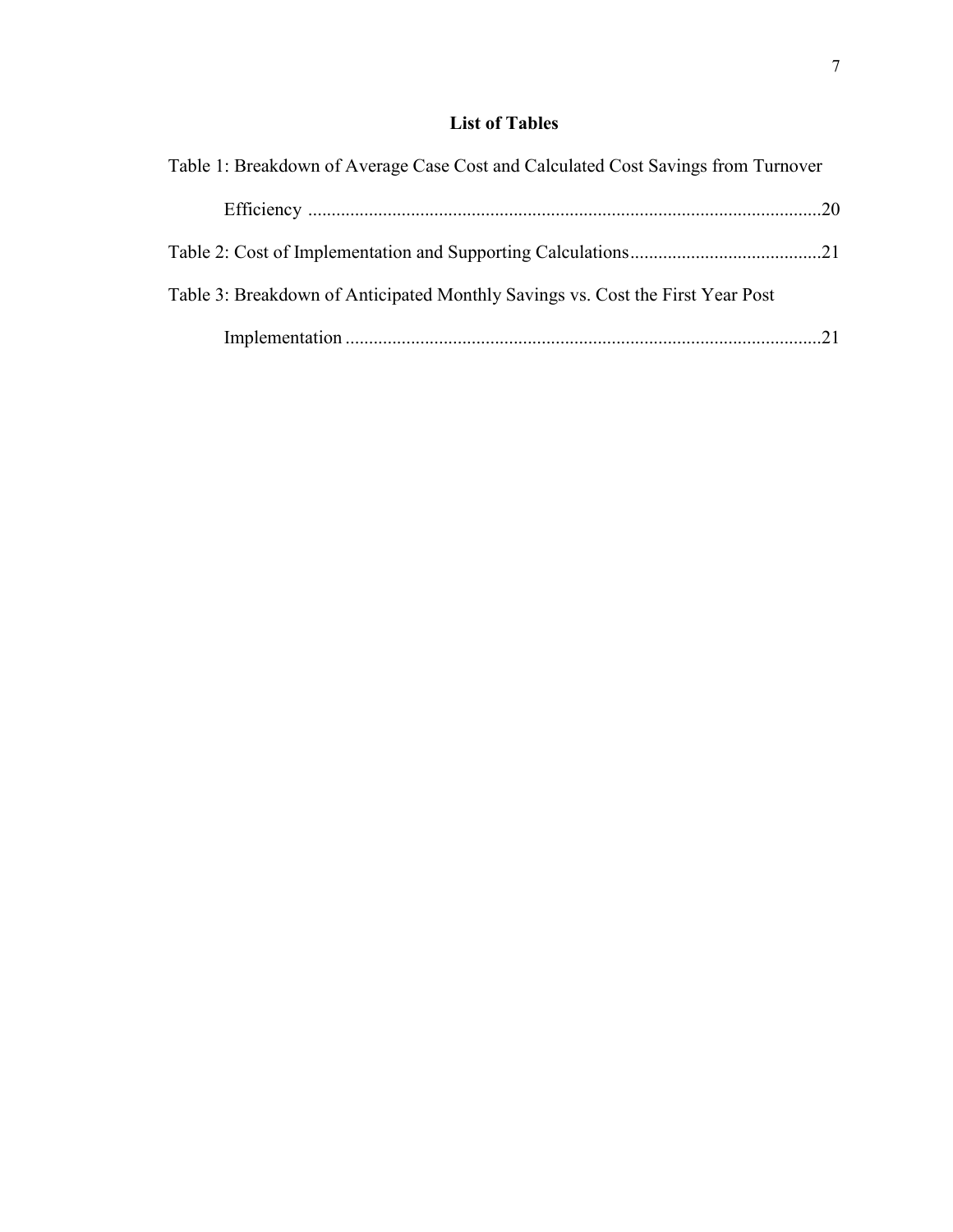# **List of Tables**

| Table 1: Breakdown of Average Case Cost and Calculated Cost Savings from Turnover |  |
|-----------------------------------------------------------------------------------|--|
|                                                                                   |  |
|                                                                                   |  |
| Table 3: Breakdown of Anticipated Monthly Savings vs. Cost the First Year Post    |  |
|                                                                                   |  |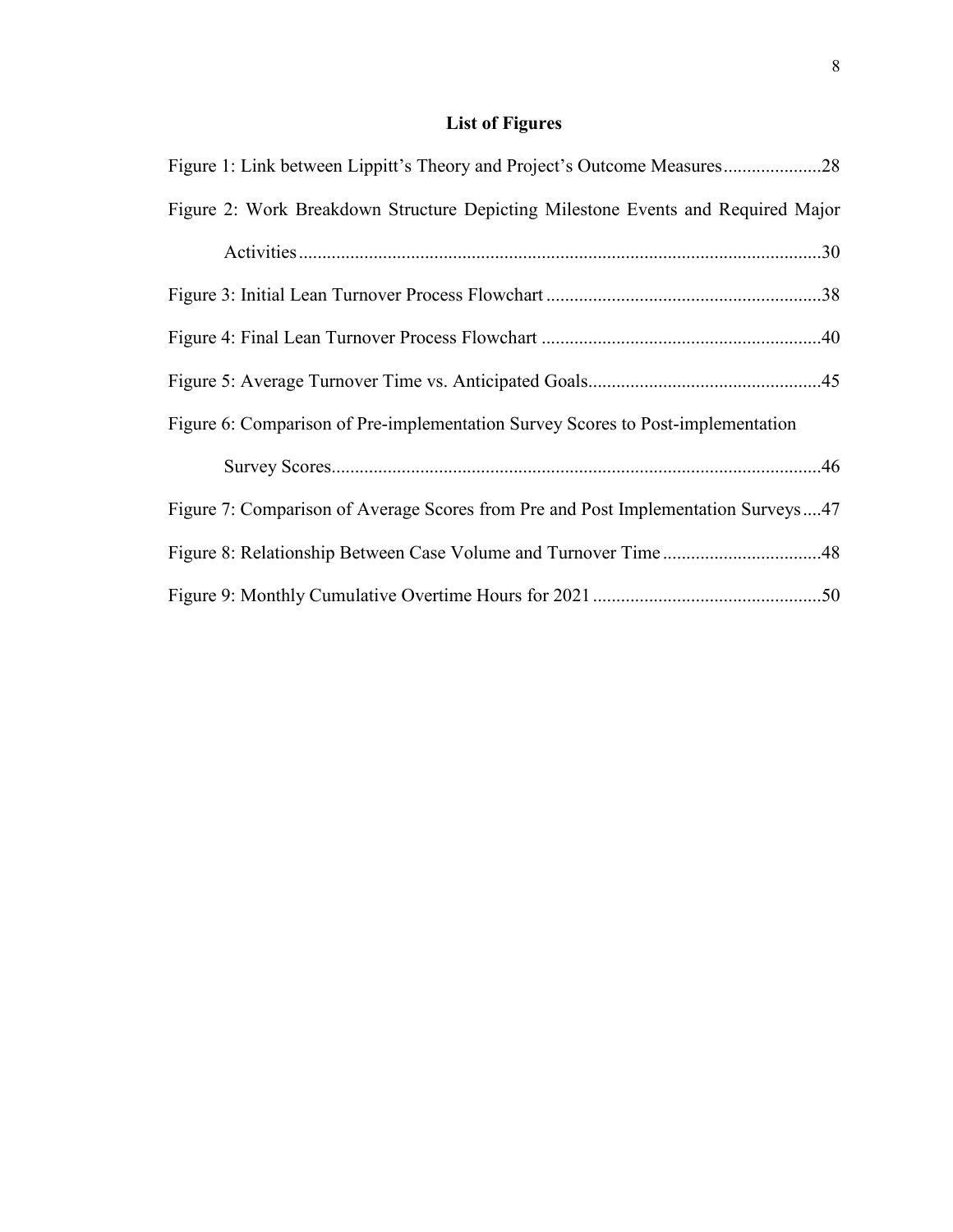# **List of Figures**

| Figure 1: Link between Lippitt's Theory and Project's Outcome Measures28          |
|-----------------------------------------------------------------------------------|
| Figure 2: Work Breakdown Structure Depicting Milestone Events and Required Major  |
|                                                                                   |
|                                                                                   |
|                                                                                   |
|                                                                                   |
| Figure 6: Comparison of Pre-implementation Survey Scores to Post-implementation   |
|                                                                                   |
| Figure 7: Comparison of Average Scores from Pre and Post Implementation Surveys47 |
|                                                                                   |
|                                                                                   |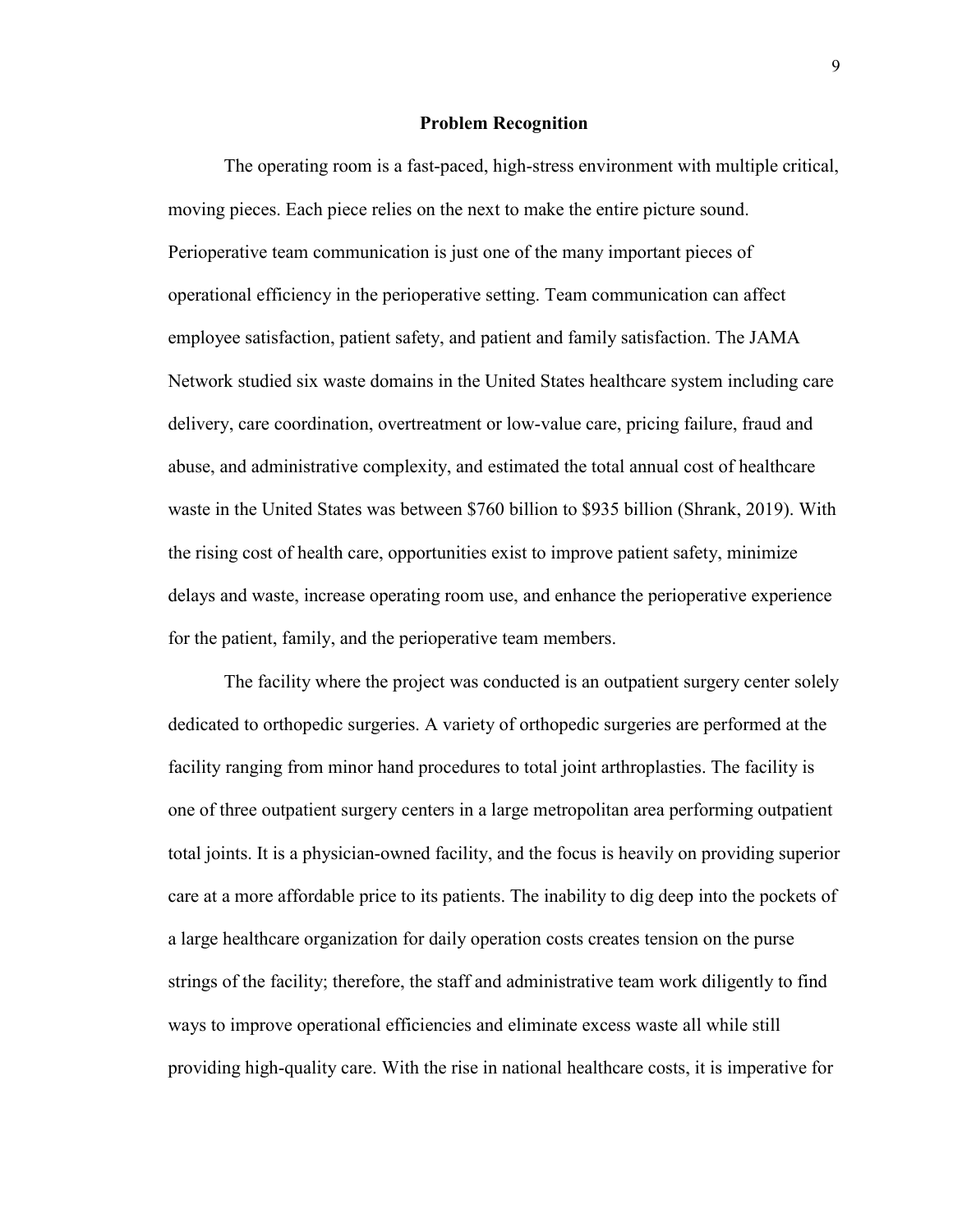#### **Problem Recognition**

The operating room is a fast-paced, high-stress environment with multiple critical, moving pieces. Each piece relies on the next to make the entire picture sound. Perioperative team communication is just one of the many important pieces of operational efficiency in the perioperative setting. Team communication can affect employee satisfaction, patient safety, and patient and family satisfaction. The JAMA Network studied six waste domains in the United States healthcare system including care delivery, care coordination, overtreatment or low-value care, pricing failure, fraud and abuse, and administrative complexity, and estimated the total annual cost of healthcare waste in the United States was between \$760 billion to \$935 billion (Shrank, 2019). With the rising cost of health care, opportunities exist to improve patient safety, minimize delays and waste, increase operating room use, and enhance the perioperative experience for the patient, family, and the perioperative team members.

The facility where the project was conducted is an outpatient surgery center solely dedicated to orthopedic surgeries. A variety of orthopedic surgeries are performed at the facility ranging from minor hand procedures to total joint arthroplasties. The facility is one of three outpatient surgery centers in a large metropolitan area performing outpatient total joints. It is a physician-owned facility, and the focus is heavily on providing superior care at a more affordable price to its patients. The inability to dig deep into the pockets of a large healthcare organization for daily operation costs creates tension on the purse strings of the facility; therefore, the staff and administrative team work diligently to find ways to improve operational efficiencies and eliminate excess waste all while still providing high-quality care. With the rise in national healthcare costs, it is imperative for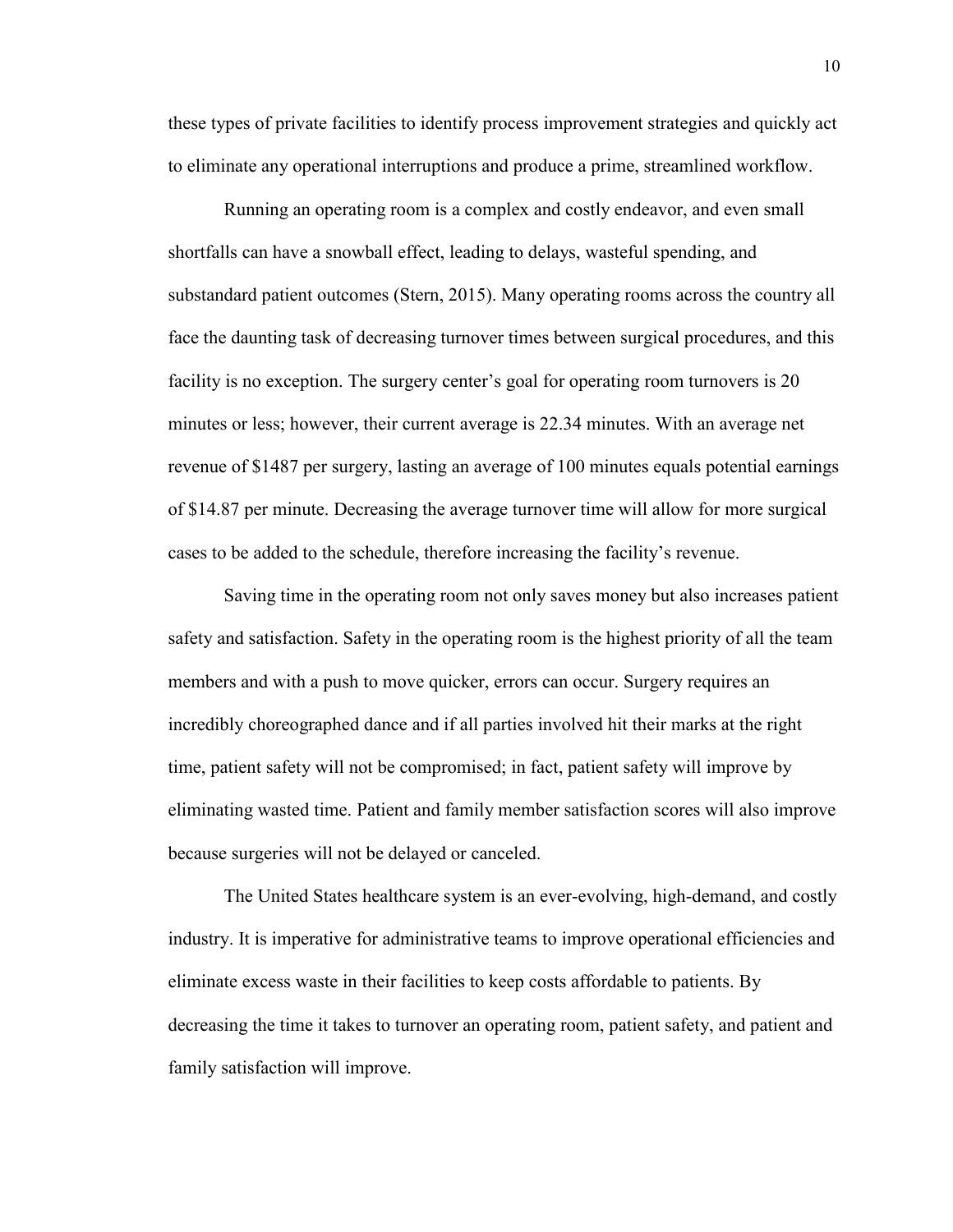these types of private facilities to identify process improvement strategies and quickly act to eliminate any operational interruptions and produce a prime, streamlined workflow.

Running an operating room is a complex and costly endeavor, and even small shortfalls can have a snowball effect, leading to delays, wasteful spending, and substandard patient outcomes (Stern, 2015). Many operating rooms across the country all face the daunting task of decreasing turnover times between surgical procedures, and this facility is no exception. The surgery center's goal for operating room turnovers is 20 minutes or less; however, their current average is 22.34 minutes. With an average net revenue of \$1487 per surgery, lasting an average of 100 minutes equals potential earnings of \$14.87 per minute. Decreasing the average turnover time will allow for more surgical cases to be added to the schedule, therefore increasing the facility's revenue.

Saving time in the operating room not only saves money but also increases patient safety and satisfaction. Safety in the operating room is the highest priority of all the team members and with a push to move quicker, errors can occur. Surgery requires an incredibly choreographed dance and if all parties involved hit their marks at the right time, patient safety will not be compromised; in fact, patient safety will improve by eliminating wasted time. Patient and family member satisfaction scores will also improve because surgeries will not be delayed or canceled.

The United States healthcare system is an ever-evolving, high-demand, and costly industry. It is imperative for administrative teams to improve operational efficiencies and eliminate excess waste in their facilities to keep costs affordable to patients. By decreasing the time it takes to turnover an operating room, patient safety, and patient and family satisfaction will improve.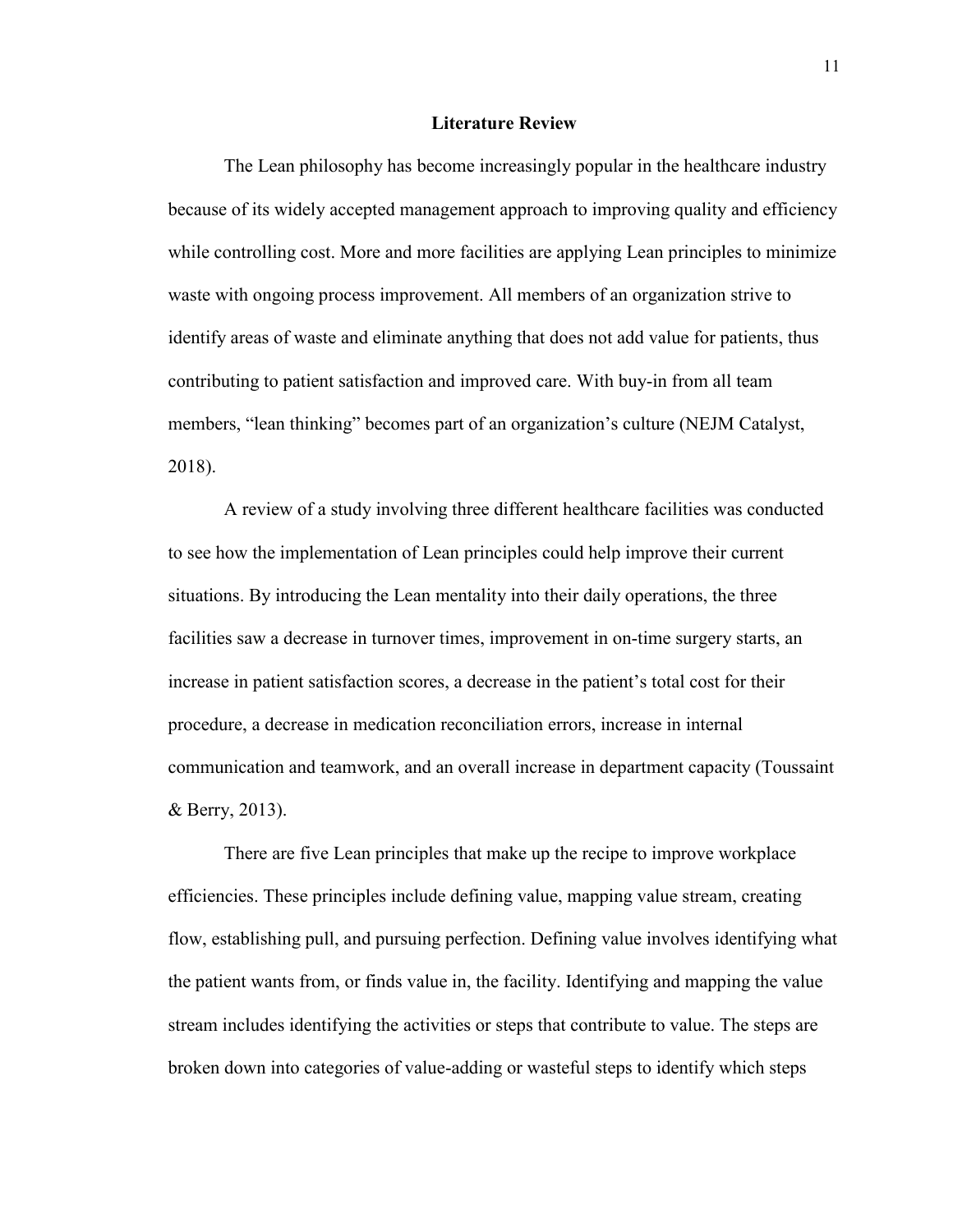#### **Literature Review**

The Lean philosophy has become increasingly popular in the healthcare industry because of its widely accepted management approach to improving quality and efficiency while controlling cost. More and more facilities are applying Lean principles to minimize waste with ongoing process improvement. All members of an organization strive to identify areas of waste and eliminate anything that does not add value for patients, thus contributing to patient satisfaction and improved care. With buy-in from all team members, "lean thinking" becomes part of an organization's culture (NEJM Catalyst, 2018).

A review of a study involving three different healthcare facilities was conducted to see how the implementation of Lean principles could help improve their current situations. By introducing the Lean mentality into their daily operations, the three facilities saw a decrease in turnover times, improvement in on-time surgery starts, an increase in patient satisfaction scores, a decrease in the patient's total cost for their procedure, a decrease in medication reconciliation errors, increase in internal communication and teamwork, and an overall increase in department capacity (Toussaint & Berry, 2013).

There are five Lean principles that make up the recipe to improve workplace efficiencies. These principles include defining value, mapping value stream, creating flow, establishing pull, and pursuing perfection. Defining value involves identifying what the patient wants from, or finds value in, the facility. Identifying and mapping the value stream includes identifying the activities or steps that contribute to value. The steps are broken down into categories of value-adding or wasteful steps to identify which steps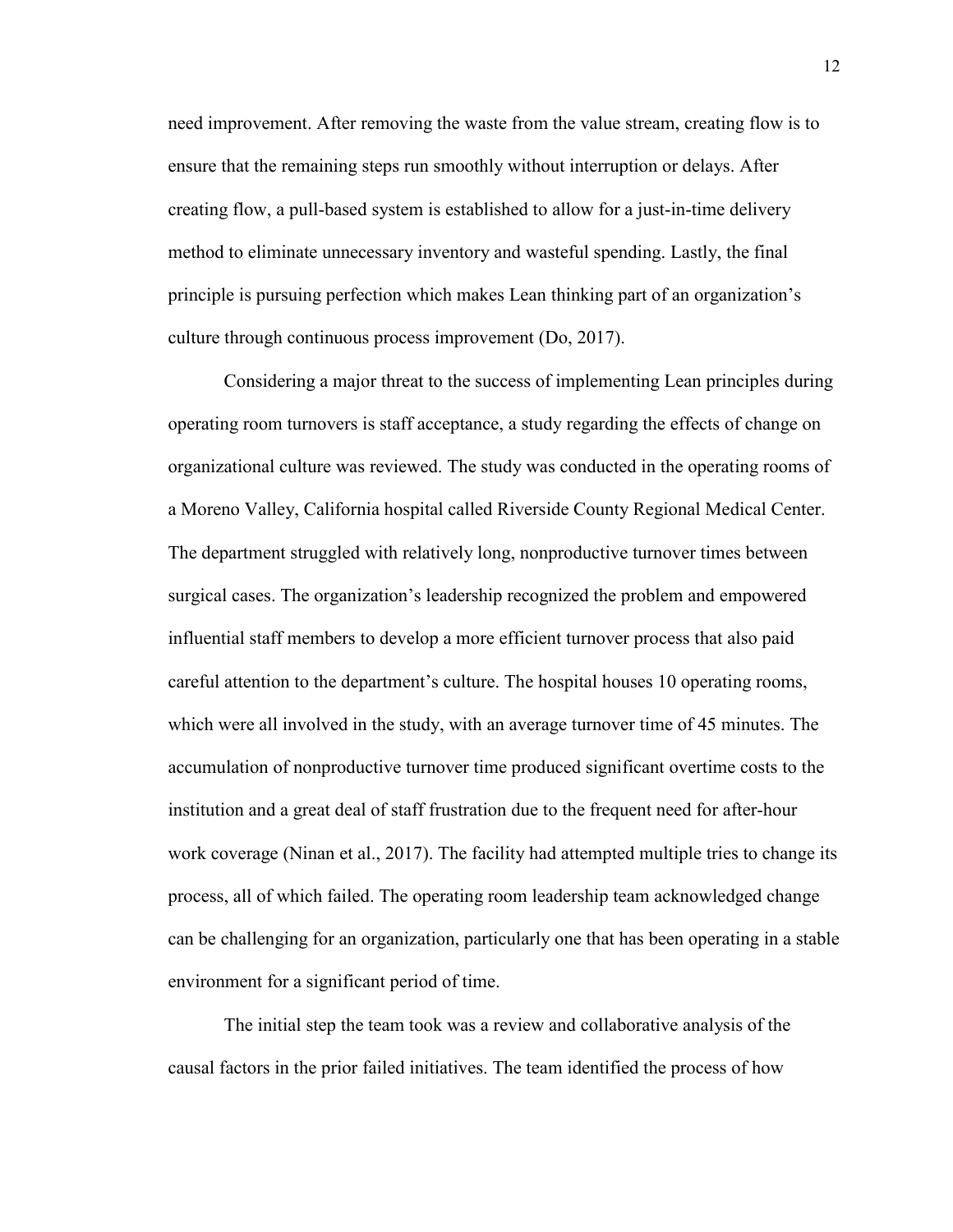need improvement. After removing the waste from the value stream, creating flow is to ensure that the remaining steps run smoothly without interruption or delays. After creating flow, a pull-based system is established to allow for a just-in-time delivery method to eliminate unnecessary inventory and wasteful spending. Lastly, the final principle is pursuing perfection which makes Lean thinking part of an organization's culture through continuous process improvement (Do, 2017).

Considering a major threat to the success of implementing Lean principles during operating room turnovers is staff acceptance, a study regarding the effects of change on organizational culture was reviewed. The study was conducted in the operating rooms of a Moreno Valley, California hospital called Riverside County Regional Medical Center. The department struggled with relatively long, nonproductive turnover times between surgical cases. The organization's leadership recognized the problem and empowered influential staff members to develop a more efficient turnover process that also paid careful attention to the department's culture. The hospital houses 10 operating rooms, which were all involved in the study, with an average turnover time of 45 minutes. The accumulation of nonproductive turnover time produced significant overtime costs to the institution and a great deal of staff frustration due to the frequent need for after-hour work coverage (Ninan et al., 2017). The facility had attempted multiple tries to change its process, all of which failed. The operating room leadership team acknowledged change can be challenging for an organization, particularly one that has been operating in a stable environment for a significant period of time.

The initial step the team took was a review and collaborative analysis of the causal factors in the prior failed initiatives. The team identified the process of how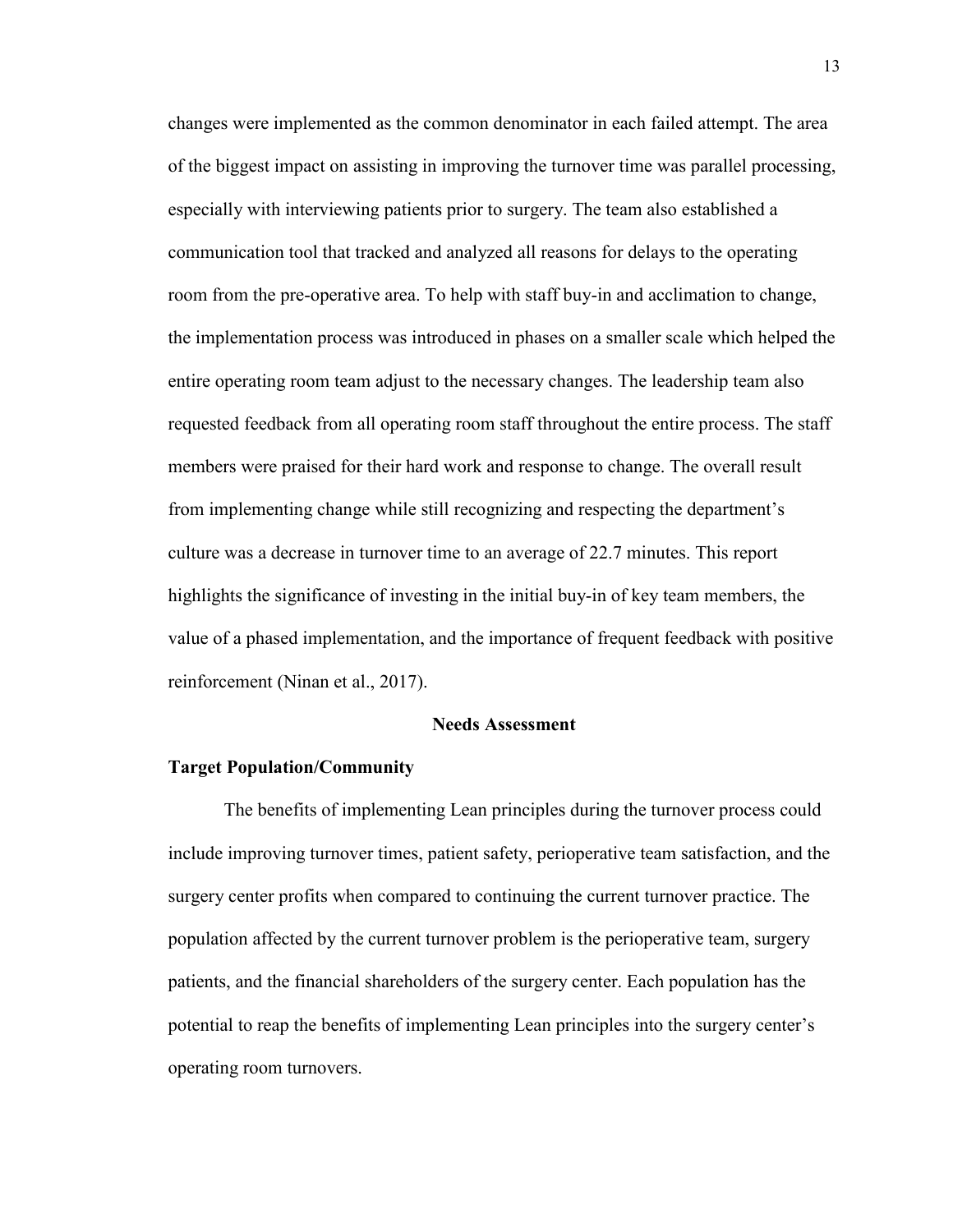changes were implemented as the common denominator in each failed attempt. The area of the biggest impact on assisting in improving the turnover time was parallel processing, especially with interviewing patients prior to surgery. The team also established a communication tool that tracked and analyzed all reasons for delays to the operating room from the pre-operative area. To help with staff buy-in and acclimation to change, the implementation process was introduced in phases on a smaller scale which helped the entire operating room team adjust to the necessary changes. The leadership team also requested feedback from all operating room staff throughout the entire process. The staff members were praised for their hard work and response to change. The overall result from implementing change while still recognizing and respecting the department's culture was a decrease in turnover time to an average of 22.7 minutes. This report highlights the significance of investing in the initial buy-in of key team members, the value of a phased implementation, and the importance of frequent feedback with positive reinforcement (Ninan et al., 2017).

#### **Needs Assessment**

#### **Target Population/Community**

The benefits of implementing Lean principles during the turnover process could include improving turnover times, patient safety, perioperative team satisfaction, and the surgery center profits when compared to continuing the current turnover practice. The population affected by the current turnover problem is the perioperative team, surgery patients, and the financial shareholders of the surgery center. Each population has the potential to reap the benefits of implementing Lean principles into the surgery center's operating room turnovers.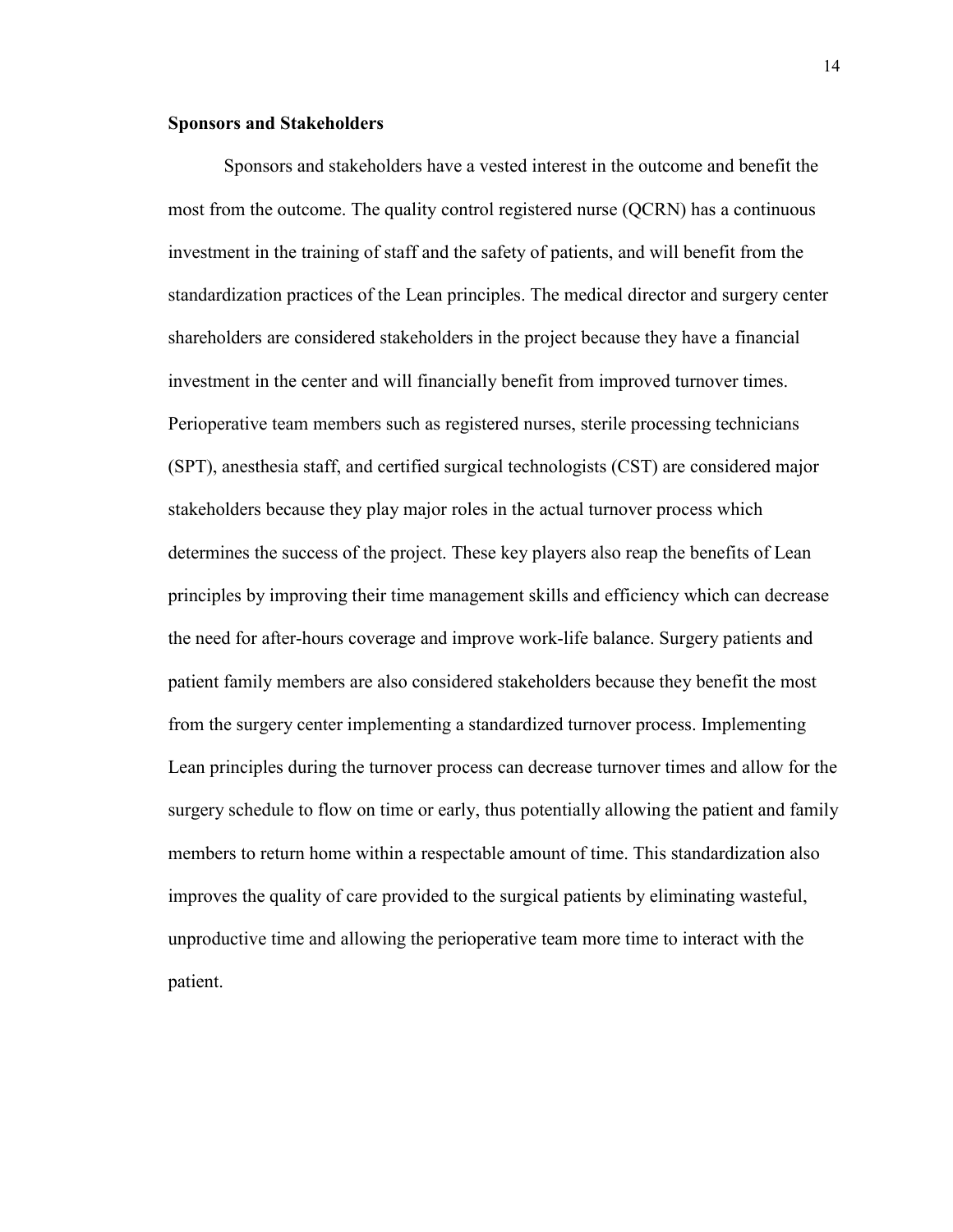#### **Sponsors and Stakeholders**

Sponsors and stakeholders have a vested interest in the outcome and benefit the most from the outcome. The quality control registered nurse (QCRN) has a continuous investment in the training of staff and the safety of patients, and will benefit from the standardization practices of the Lean principles. The medical director and surgery center shareholders are considered stakeholders in the project because they have a financial investment in the center and will financially benefit from improved turnover times. Perioperative team members such as registered nurses, sterile processing technicians (SPT), anesthesia staff, and certified surgical technologists (CST) are considered major stakeholders because they play major roles in the actual turnover process which determines the success of the project. These key players also reap the benefits of Lean principles by improving their time management skills and efficiency which can decrease the need for after-hours coverage and improve work-life balance. Surgery patients and patient family members are also considered stakeholders because they benefit the most from the surgery center implementing a standardized turnover process. Implementing Lean principles during the turnover process can decrease turnover times and allow for the surgery schedule to flow on time or early, thus potentially allowing the patient and family members to return home within a respectable amount of time. This standardization also improves the quality of care provided to the surgical patients by eliminating wasteful, unproductive time and allowing the perioperative team more time to interact with the patient.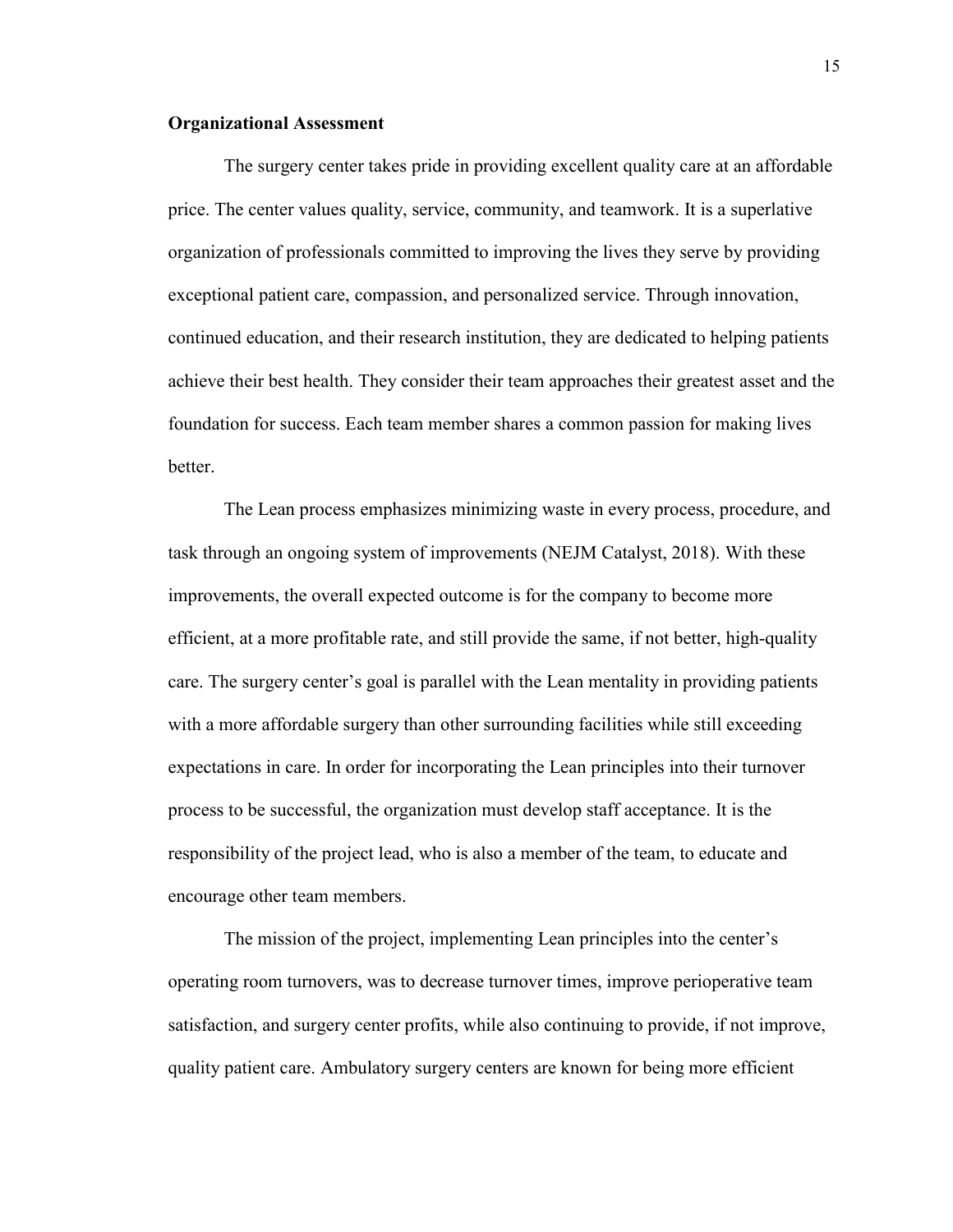#### **Organizational Assessment**

The surgery center takes pride in providing excellent quality care at an affordable price. The center values quality, service, community, and teamwork. It is a superlative organization of professionals committed to improving the lives they serve by providing exceptional patient care, compassion, and personalized service. Through innovation, continued education, and their research institution, they are dedicated to helping patients achieve their best health. They consider their team approaches their greatest asset and the foundation for success. Each team member shares a common passion for making lives better.

The Lean process emphasizes minimizing waste in every process, procedure, and task through an ongoing system of improvements (NEJM Catalyst, 2018). With these improvements, the overall expected outcome is for the company to become more efficient, at a more profitable rate, and still provide the same, if not better, high-quality care. The surgery center's goal is parallel with the Lean mentality in providing patients with a more affordable surgery than other surrounding facilities while still exceeding expectations in care. In order for incorporating the Lean principles into their turnover process to be successful, the organization must develop staff acceptance. It is the responsibility of the project lead, who is also a member of the team, to educate and encourage other team members.

The mission of the project, implementing Lean principles into the center's operating room turnovers, was to decrease turnover times, improve perioperative team satisfaction, and surgery center profits, while also continuing to provide, if not improve, quality patient care. Ambulatory surgery centers are known for being more efficient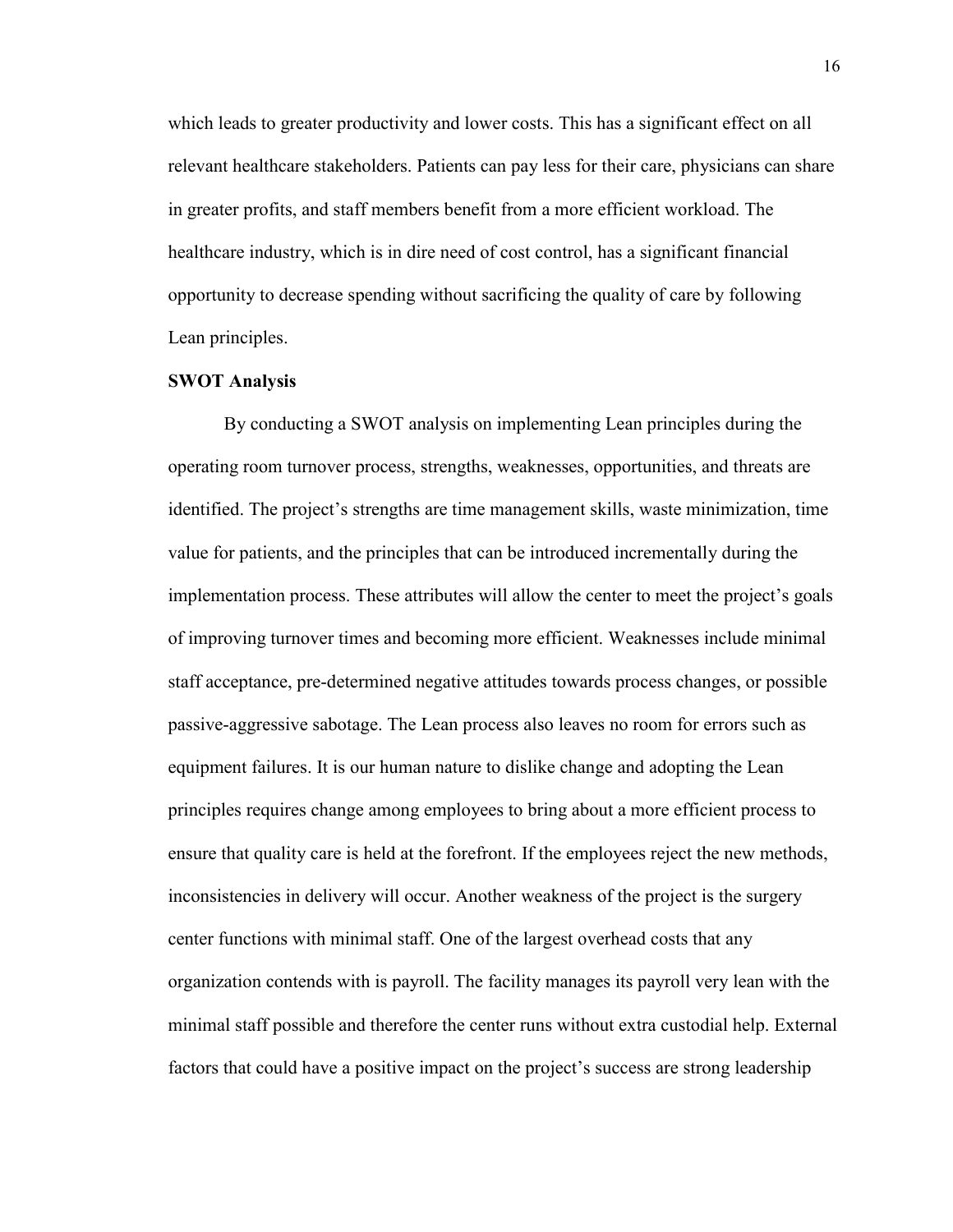which leads to greater productivity and lower costs. This has a significant effect on all relevant healthcare stakeholders. Patients can pay less for their care, physicians can share in greater profits, and staff members benefit from a more efficient workload. The healthcare industry, which is in dire need of cost control, has a significant financial opportunity to decrease spending without sacrificing the quality of care by following Lean principles.

#### **SWOT Analysis**

By conducting a SWOT analysis on implementing Lean principles during the operating room turnover process, strengths, weaknesses, opportunities, and threats are identified. The project's strengths are time management skills, waste minimization, time value for patients, and the principles that can be introduced incrementally during the implementation process. These attributes will allow the center to meet the project's goals of improving turnover times and becoming more efficient. Weaknesses include minimal staff acceptance, pre-determined negative attitudes towards process changes, or possible passive-aggressive sabotage. The Lean process also leaves no room for errors such as equipment failures. It is our human nature to dislike change and adopting the Lean principles requires change among employees to bring about a more efficient process to ensure that quality care is held at the forefront. If the employees reject the new methods, inconsistencies in delivery will occur. Another weakness of the project is the surgery center functions with minimal staff. One of the largest overhead costs that any organization contends with is payroll. The facility manages its payroll very lean with the minimal staff possible and therefore the center runs without extra custodial help. External factors that could have a positive impact on the project's success are strong leadership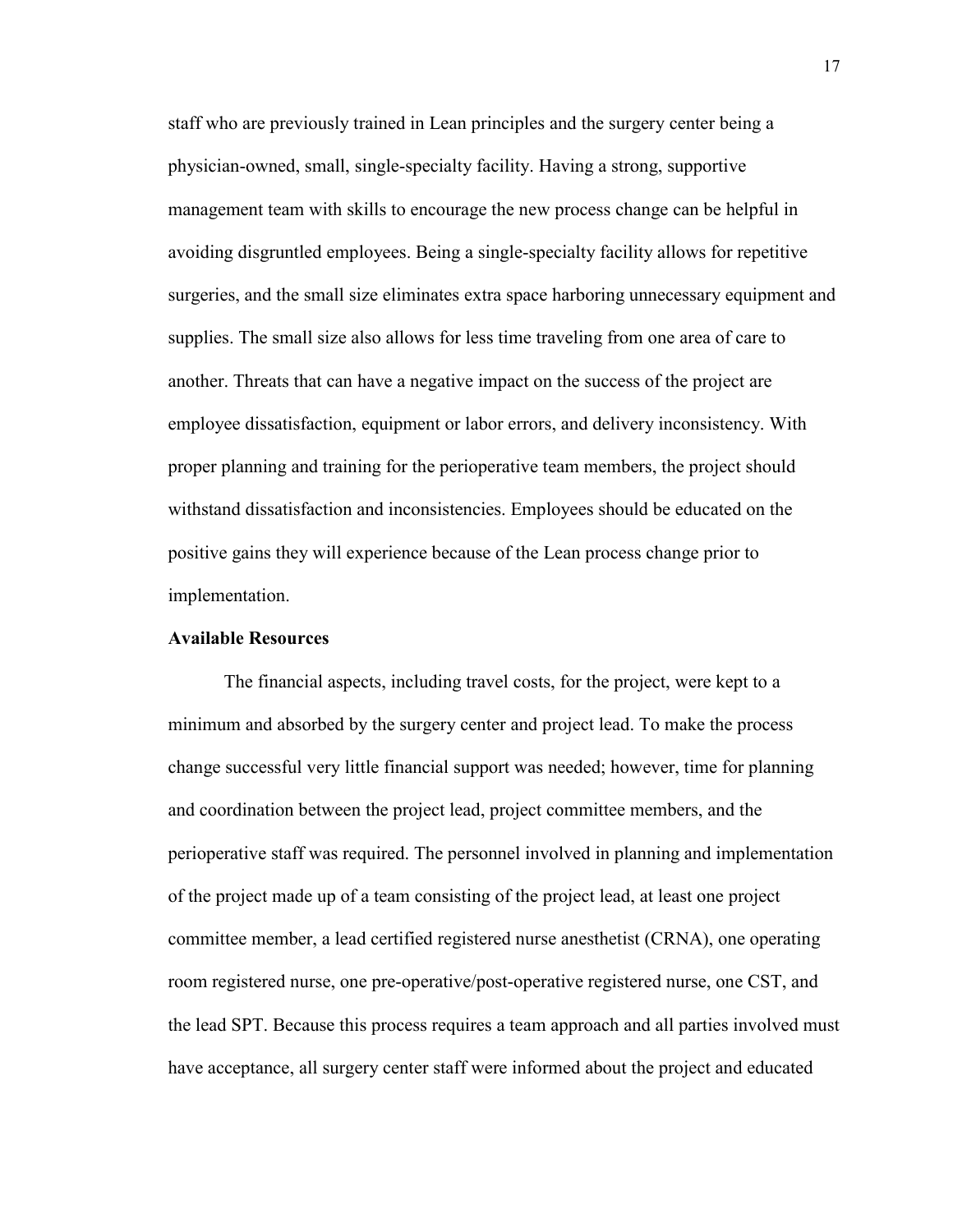staff who are previously trained in Lean principles and the surgery center being a physician-owned, small, single-specialty facility. Having a strong, supportive management team with skills to encourage the new process change can be helpful in avoiding disgruntled employees. Being a single-specialty facility allows for repetitive surgeries, and the small size eliminates extra space harboring unnecessary equipment and supplies. The small size also allows for less time traveling from one area of care to another. Threats that can have a negative impact on the success of the project are employee dissatisfaction, equipment or labor errors, and delivery inconsistency. With proper planning and training for the perioperative team members, the project should withstand dissatisfaction and inconsistencies. Employees should be educated on the positive gains they will experience because of the Lean process change prior to implementation.

#### **Available Resources**

The financial aspects, including travel costs, for the project, were kept to a minimum and absorbed by the surgery center and project lead. To make the process change successful very little financial support was needed; however, time for planning and coordination between the project lead, project committee members, and the perioperative staff was required. The personnel involved in planning and implementation of the project made up of a team consisting of the project lead, at least one project committee member, a lead certified registered nurse anesthetist (CRNA), one operating room registered nurse, one pre-operative/post-operative registered nurse, one CST, and the lead SPT. Because this process requires a team approach and all parties involved must have acceptance, all surgery center staff were informed about the project and educated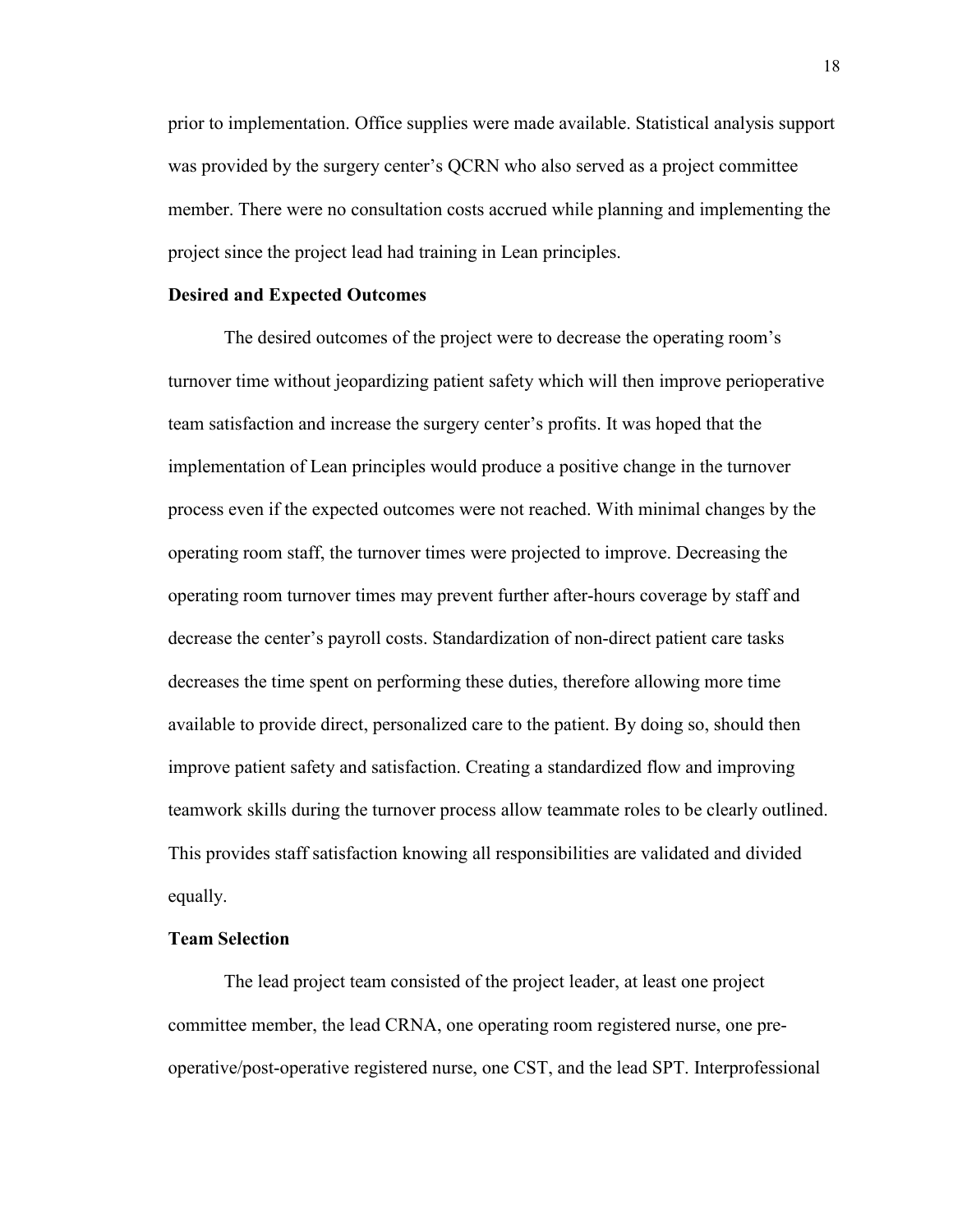prior to implementation. Office supplies were made available. Statistical analysis support was provided by the surgery center's QCRN who also served as a project committee member. There were no consultation costs accrued while planning and implementing the project since the project lead had training in Lean principles.

#### **Desired and Expected Outcomes**

The desired outcomes of the project were to decrease the operating room's turnover time without jeopardizing patient safety which will then improve perioperative team satisfaction and increase the surgery center's profits. It was hoped that the implementation of Lean principles would produce a positive change in the turnover process even if the expected outcomes were not reached. With minimal changes by the operating room staff, the turnover times were projected to improve. Decreasing the operating room turnover times may prevent further after-hours coverage by staff and decrease the center's payroll costs. Standardization of non-direct patient care tasks decreases the time spent on performing these duties, therefore allowing more time available to provide direct, personalized care to the patient. By doing so, should then improve patient safety and satisfaction. Creating a standardized flow and improving teamwork skills during the turnover process allow teammate roles to be clearly outlined. This provides staff satisfaction knowing all responsibilities are validated and divided equally.

#### **Team Selection**

The lead project team consisted of the project leader, at least one project committee member, the lead CRNA, one operating room registered nurse, one preoperative/post-operative registered nurse, one CST, and the lead SPT. Interprofessional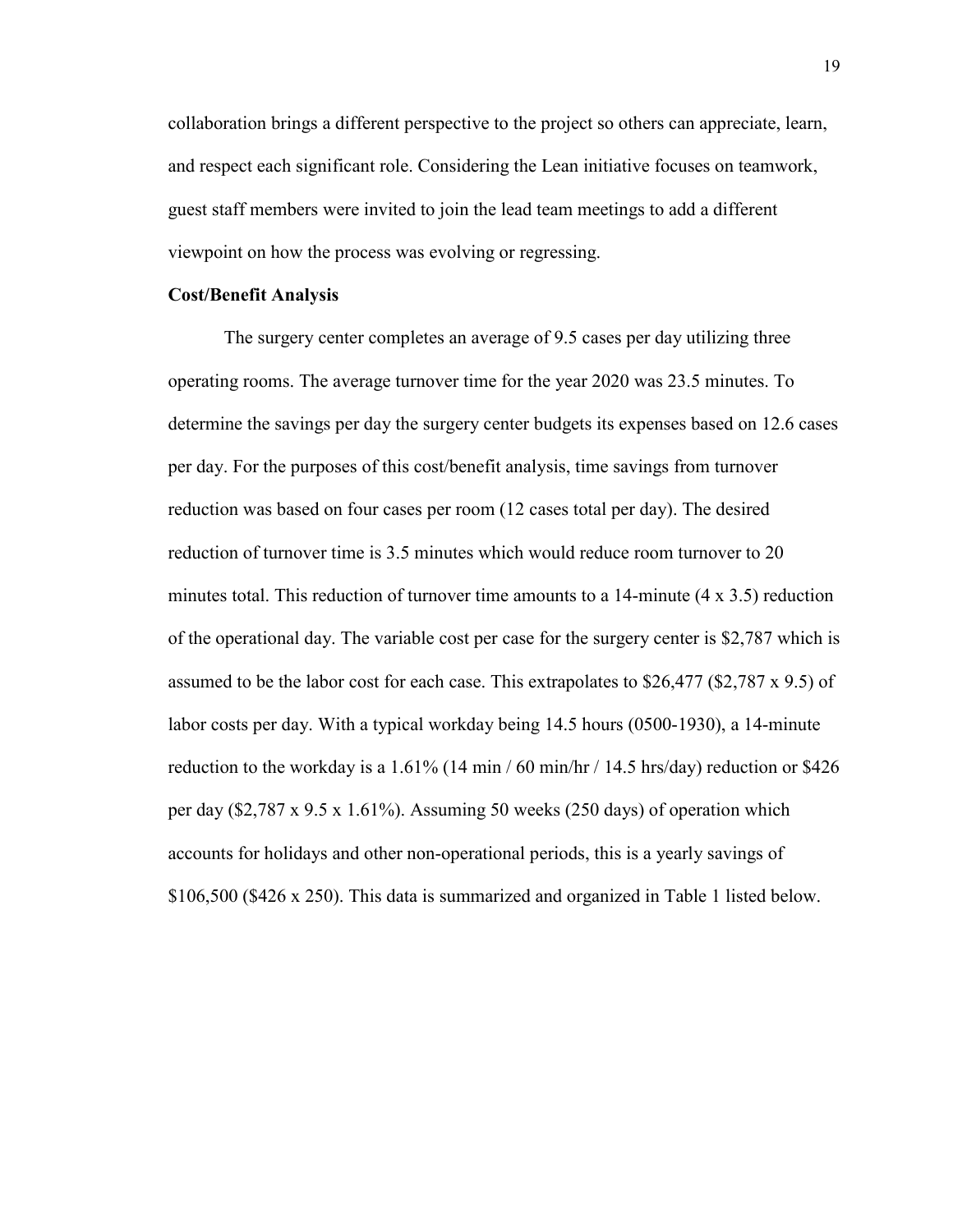collaboration brings a different perspective to the project so others can appreciate, learn, and respect each significant role. Considering the Lean initiative focuses on teamwork, guest staff members were invited to join the lead team meetings to add a different viewpoint on how the process was evolving or regressing.

#### **Cost/Benefit Analysis**

The surgery center completes an average of 9.5 cases per day utilizing three operating rooms. The average turnover time for the year 2020 was 23.5 minutes. To determine the savings per day the surgery center budgets its expenses based on 12.6 cases per day. For the purposes of this cost/benefit analysis, time savings from turnover reduction was based on four cases per room (12 cases total per day). The desired reduction of turnover time is 3.5 minutes which would reduce room turnover to 20 minutes total. This reduction of turnover time amounts to a 14-minute (4 x 3.5) reduction of the operational day. The variable cost per case for the surgery center is \$2,787 which is assumed to be the labor cost for each case. This extrapolates to \$26,477 (\$2,787 x 9.5) of labor costs per day. With a typical workday being 14.5 hours (0500-1930), a 14-minute reduction to the workday is a  $1.61\%$  (14 min / 60 min/hr / 14.5 hrs/day) reduction or \$426 per day (\$2,787 x 9.5 x 1.61%). Assuming 50 weeks (250 days) of operation which accounts for holidays and other non-operational periods, this is a yearly savings of \$106,500 (\$426 x 250). This data is summarized and organized in Table 1 listed below.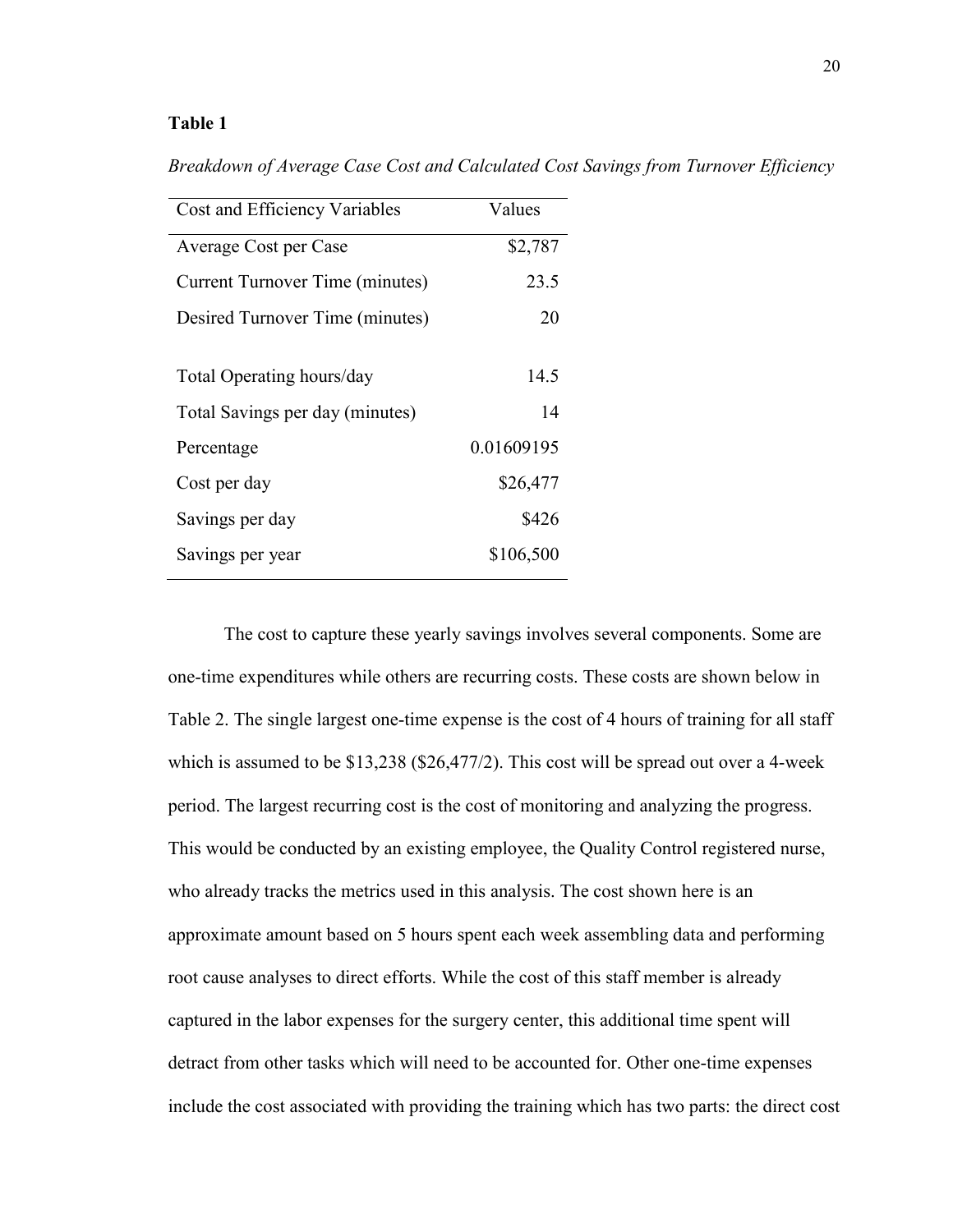#### **Table 1**

*Breakdown of Average Case Cost and Calculated Cost Savings from Turnover Efficiency* 

| Cost and Efficiency Variables          | Values     |
|----------------------------------------|------------|
| Average Cost per Case                  | \$2,787    |
| <b>Current Turnover Time (minutes)</b> | 23.5       |
| Desired Turnover Time (minutes)        | 20         |
| Total Operating hours/day              | 14.5       |
| Total Savings per day (minutes)        | 14         |
| Percentage                             | 0.01609195 |
| Cost per day                           | \$26,477   |
| Savings per day                        | \$426      |
| Savings per year                       | \$106,500  |

The cost to capture these yearly savings involves several components. Some are one-time expenditures while others are recurring costs. These costs are shown below in Table 2. The single largest one-time expense is the cost of 4 hours of training for all staff which is assumed to be \$13,238 (\$26,477/2). This cost will be spread out over a 4-week period. The largest recurring cost is the cost of monitoring and analyzing the progress. This would be conducted by an existing employee, the Quality Control registered nurse, who already tracks the metrics used in this analysis. The cost shown here is an approximate amount based on 5 hours spent each week assembling data and performing root cause analyses to direct efforts. While the cost of this staff member is already captured in the labor expenses for the surgery center, this additional time spent will detract from other tasks which will need to be accounted for. Other one-time expenses include the cost associated with providing the training which has two parts: the direct cost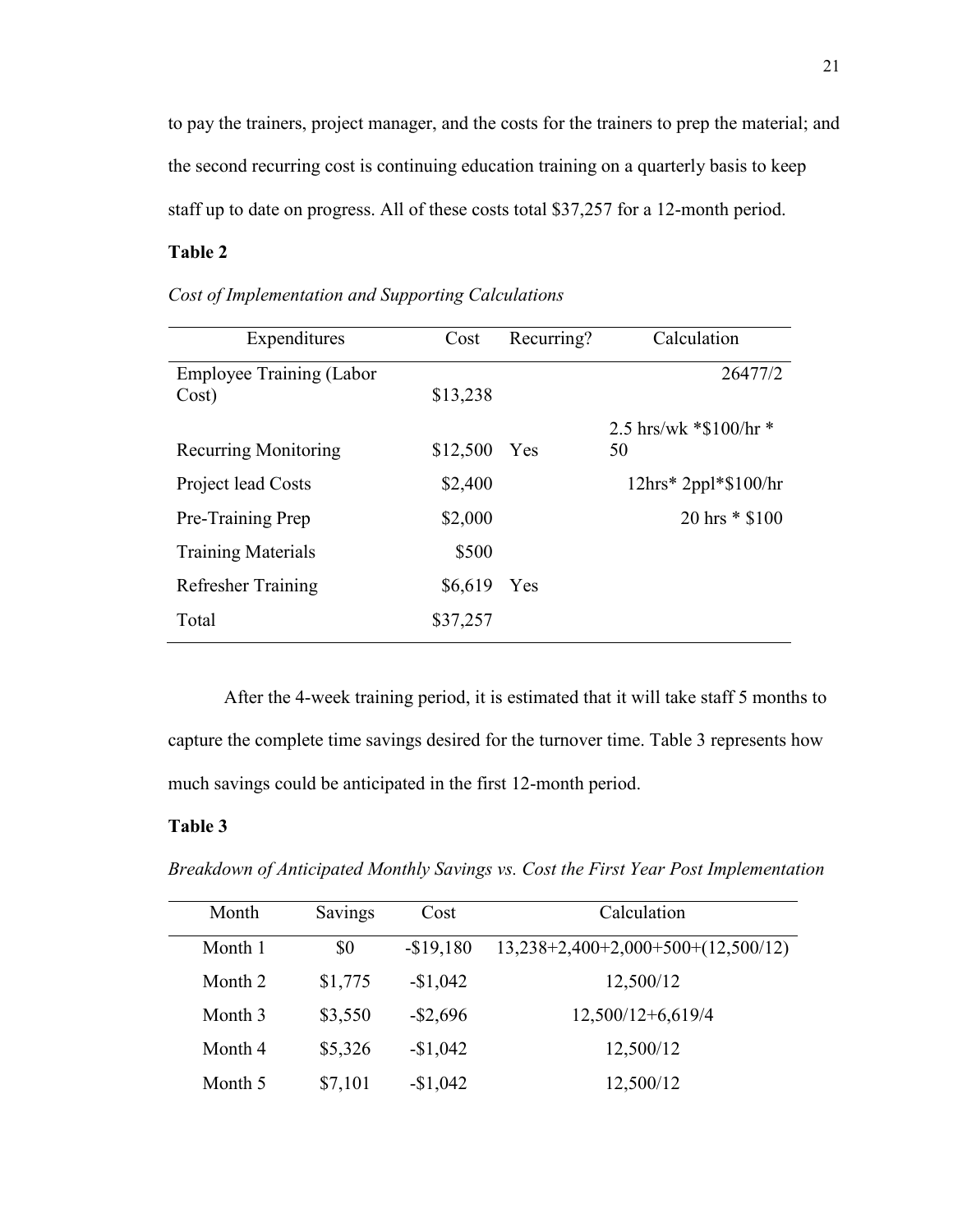to pay the trainers, project manager, and the costs for the trainers to prep the material; and the second recurring cost is continuing education training on a quarterly basis to keep staff up to date on progress. All of these costs total \$37,257 for a 12-month period.

# **Table 2**

| Expenditures                    | Cost     | Recurring? | Calculation                                  |
|---------------------------------|----------|------------|----------------------------------------------|
| <b>Employee Training (Labor</b> |          |            | 26477/2                                      |
| Cost)                           | \$13,238 |            |                                              |
|                                 |          |            | 2.5 hrs/wk $*$ \$100/hr $*$                  |
| <b>Recurring Monitoring</b>     | \$12,500 | Yes        | 50                                           |
| Project lead Costs              | \$2,400  |            | $12\text{hrs}^*2\text{ppl}^*\$100/\text{hr}$ |
| Pre-Training Prep               | \$2,000  |            | 20 hrs $*$ \$100                             |
| <b>Training Materials</b>       | \$500    |            |                                              |
| <b>Refresher Training</b>       | \$6,619  | Yes        |                                              |
| Total                           | \$37,257 |            |                                              |

*Cost of Implementation and Supporting Calculations*

After the 4-week training period, it is estimated that it will take staff 5 months to capture the complete time savings desired for the turnover time. Table 3 represents how much savings could be anticipated in the first 12-month period.

#### **Table 3**

*Breakdown of Anticipated Monthly Savings vs. Cost the First Year Post Implementation*

| Month   | Savings | Cost        | Calculation                          |
|---------|---------|-------------|--------------------------------------|
| Month 1 | \$0     | $-$19,180$  | $13,238+2,400+2,000+500+(12,500/12)$ |
| Month 2 | \$1,775 | $-$1,042$   | 12,500/12                            |
| Month 3 | \$3,550 | $-$ \$2,696 | $12,500/12+6,619/4$                  |
| Month 4 | \$5,326 | $-$1,042$   | 12,500/12                            |
| Month 5 | \$7,101 | $-$1,042$   | 12,500/12                            |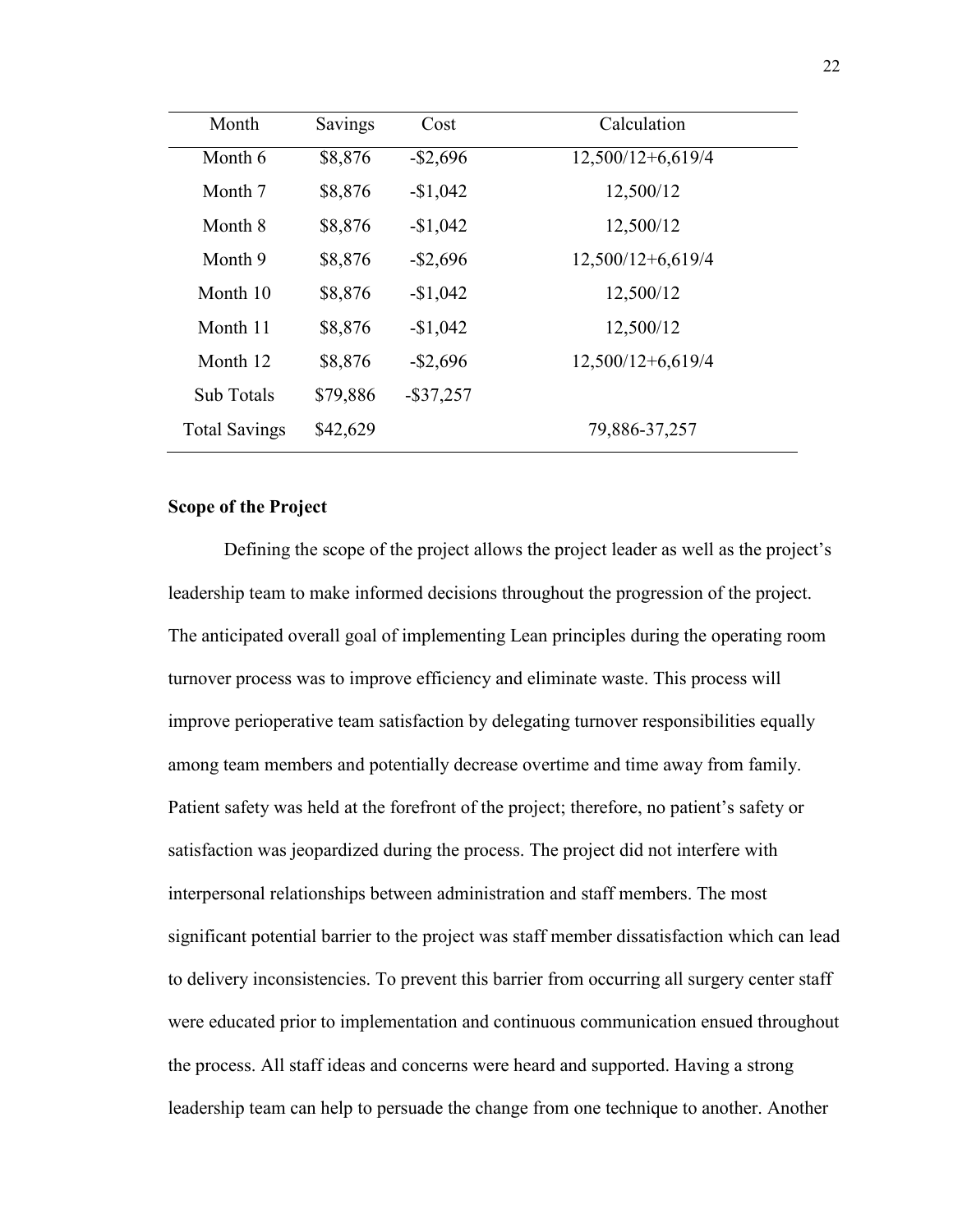| Month                | Savings  | Cost         | Calculation         |
|----------------------|----------|--------------|---------------------|
| Month 6              | \$8,876  | $-$ \$2,696  | $12,500/12+6,619/4$ |
| Month 7              | \$8,876  | $-$1,042$    | 12,500/12           |
| Month 8              | \$8,876  | $-$1,042$    | 12,500/12           |
| Month 9              | \$8,876  | $-$ \$2,696  | 12,500/12+6,619/4   |
| Month 10             | \$8,876  | $-$1,042$    | 12,500/12           |
| Month 11             | \$8,876  | $-$1,042$    | 12,500/12           |
| Month 12             | \$8,876  | $-$ \$2,696  | $12,500/12+6,619/4$ |
| <b>Sub Totals</b>    | \$79,886 | $-$ \$37,257 |                     |
| <b>Total Savings</b> | \$42,629 |              | 79,886-37,257       |

# **Scope of the Project**

Defining the scope of the project allows the project leader as well as the project's leadership team to make informed decisions throughout the progression of the project. The anticipated overall goal of implementing Lean principles during the operating room turnover process was to improve efficiency and eliminate waste. This process will improve perioperative team satisfaction by delegating turnover responsibilities equally among team members and potentially decrease overtime and time away from family. Patient safety was held at the forefront of the project; therefore, no patient's safety or satisfaction was jeopardized during the process. The project did not interfere with interpersonal relationships between administration and staff members. The most significant potential barrier to the project was staff member dissatisfaction which can lead to delivery inconsistencies. To prevent this barrier from occurring all surgery center staff were educated prior to implementation and continuous communication ensued throughout the process. All staff ideas and concerns were heard and supported. Having a strong leadership team can help to persuade the change from one technique to another. Another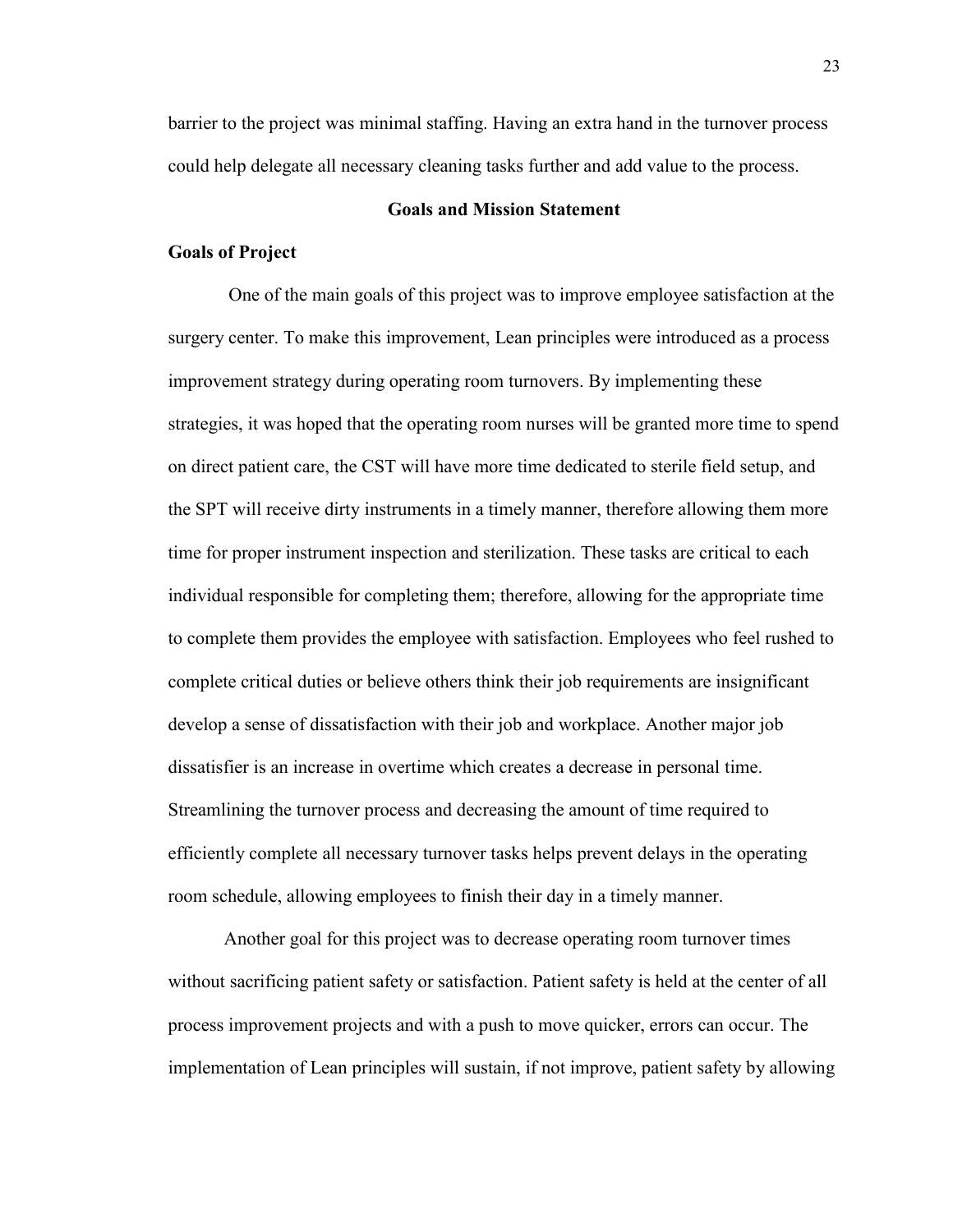barrier to the project was minimal staffing. Having an extra hand in the turnover process could help delegate all necessary cleaning tasks further and add value to the process.

#### **Goals and Mission Statement**

#### **Goals of Project**

One of the main goals of this project was to improve employee satisfaction at the surgery center. To make this improvement, Lean principles were introduced as a process improvement strategy during operating room turnovers. By implementing these strategies, it was hoped that the operating room nurses will be granted more time to spend on direct patient care, the CST will have more time dedicated to sterile field setup, and the SPT will receive dirty instruments in a timely manner, therefore allowing them more time for proper instrument inspection and sterilization. These tasks are critical to each individual responsible for completing them; therefore, allowing for the appropriate time to complete them provides the employee with satisfaction. Employees who feel rushed to complete critical duties or believe others think their job requirements are insignificant develop a sense of dissatisfaction with their job and workplace. Another major job dissatisfier is an increase in overtime which creates a decrease in personal time. Streamlining the turnover process and decreasing the amount of time required to efficiently complete all necessary turnover tasks helps prevent delays in the operating room schedule, allowing employees to finish their day in a timely manner.

Another goal for this project was to decrease operating room turnover times without sacrificing patient safety or satisfaction. Patient safety is held at the center of all process improvement projects and with a push to move quicker, errors can occur. The implementation of Lean principles will sustain, if not improve, patient safety by allowing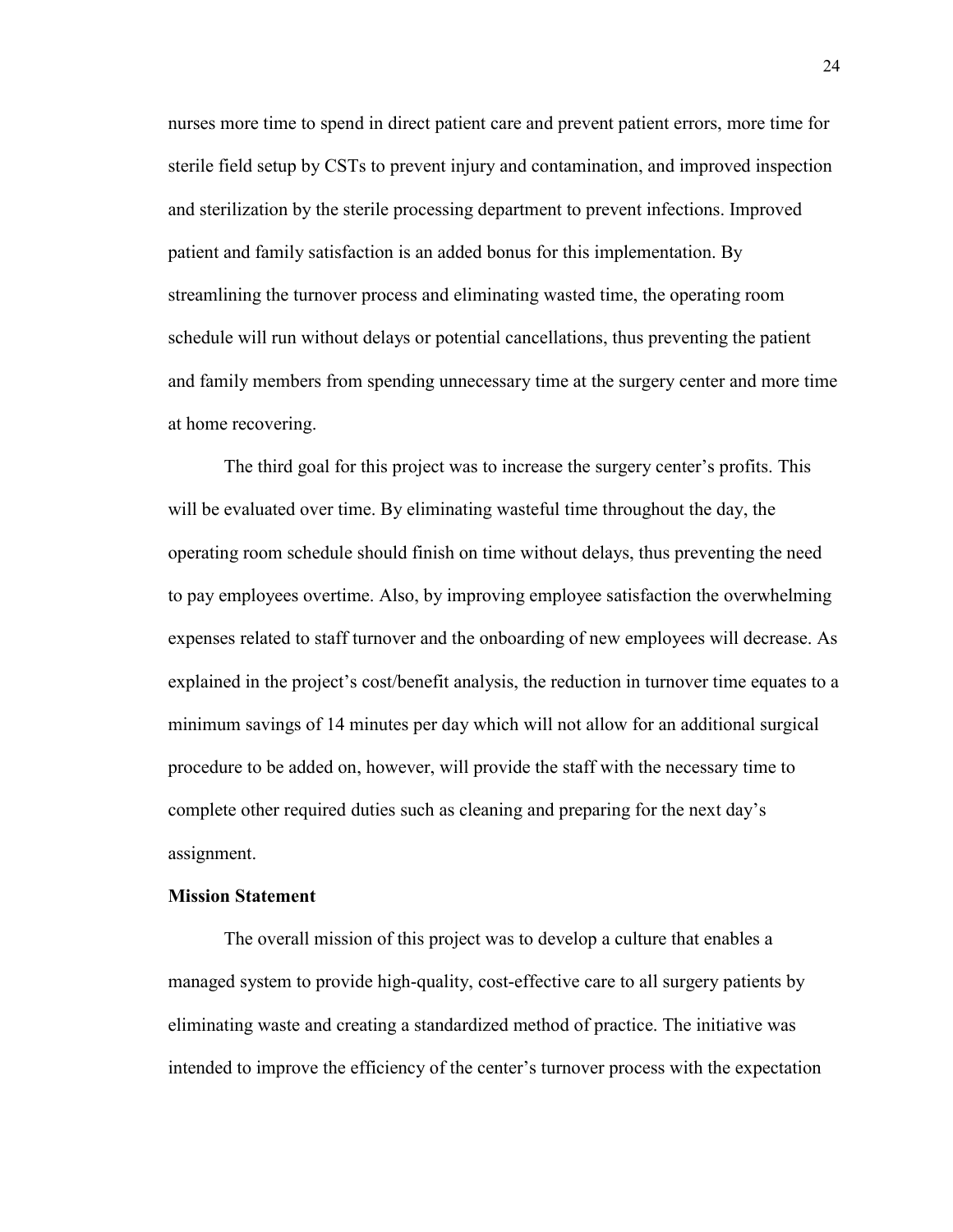nurses more time to spend in direct patient care and prevent patient errors, more time for sterile field setup by CSTs to prevent injury and contamination, and improved inspection and sterilization by the sterile processing department to prevent infections. Improved patient and family satisfaction is an added bonus for this implementation. By streamlining the turnover process and eliminating wasted time, the operating room schedule will run without delays or potential cancellations, thus preventing the patient and family members from spending unnecessary time at the surgery center and more time at home recovering.

The third goal for this project was to increase the surgery center's profits. This will be evaluated over time. By eliminating wasteful time throughout the day, the operating room schedule should finish on time without delays, thus preventing the need to pay employees overtime. Also, by improving employee satisfaction the overwhelming expenses related to staff turnover and the onboarding of new employees will decrease. As explained in the project's cost/benefit analysis, the reduction in turnover time equates to a minimum savings of 14 minutes per day which will not allow for an additional surgical procedure to be added on, however, will provide the staff with the necessary time to complete other required duties such as cleaning and preparing for the next day's assignment.

#### **Mission Statement**

The overall mission of this project was to develop a culture that enables a managed system to provide high-quality, cost-effective care to all surgery patients by eliminating waste and creating a standardized method of practice. The initiative was intended to improve the efficiency of the center's turnover process with the expectation

24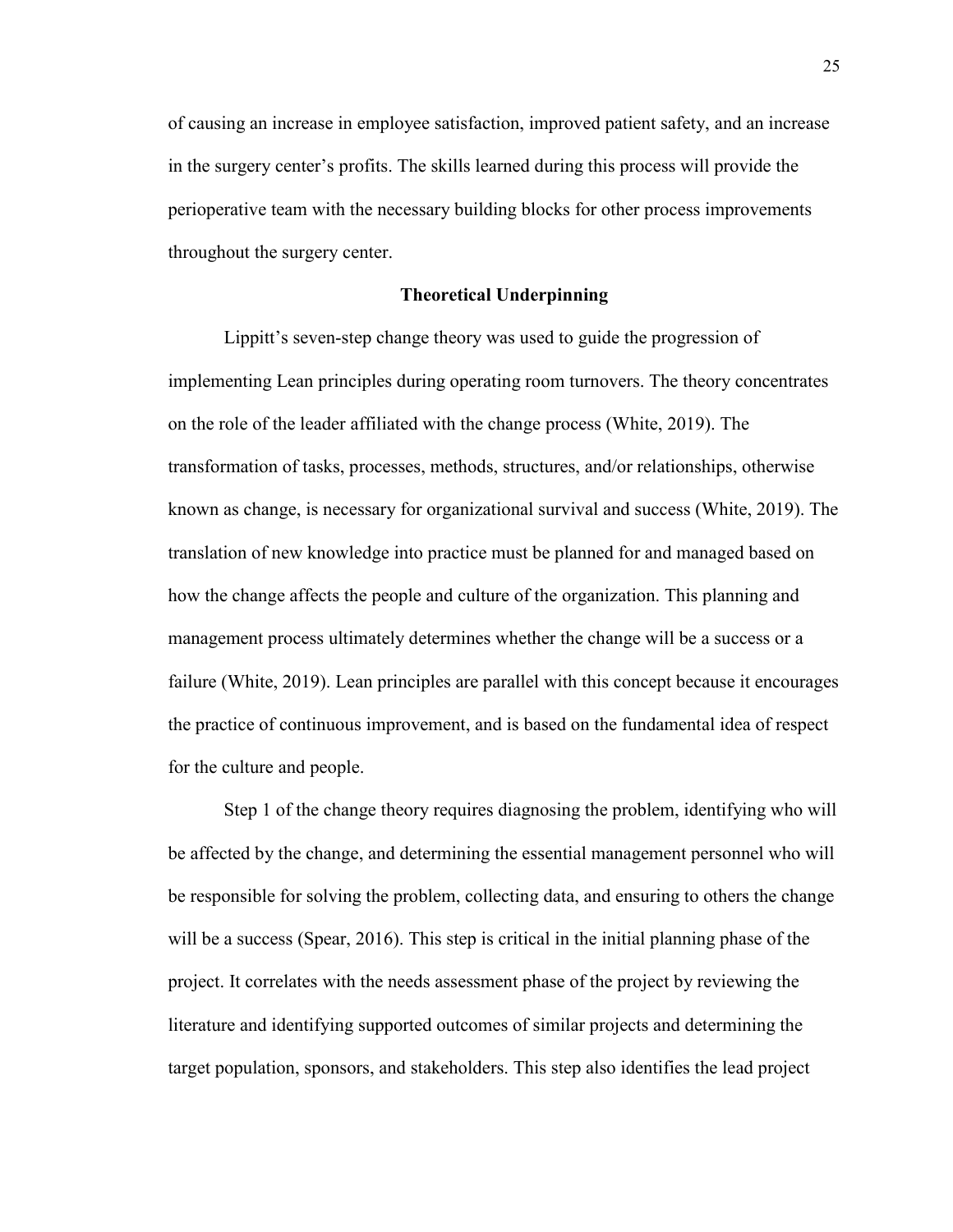of causing an increase in employee satisfaction, improved patient safety, and an increase in the surgery center's profits. The skills learned during this process will provide the perioperative team with the necessary building blocks for other process improvements throughout the surgery center.

#### **Theoretical Underpinning**

Lippitt's seven-step change theory was used to guide the progression of implementing Lean principles during operating room turnovers. The theory concentrates on the role of the leader affiliated with the change process (White, 2019). The transformation of tasks, processes, methods, structures, and/or relationships, otherwise known as change, is necessary for organizational survival and success (White, 2019). The translation of new knowledge into practice must be planned for and managed based on how the change affects the people and culture of the organization. This planning and management process ultimately determines whether the change will be a success or a failure (White, 2019). Lean principles are parallel with this concept because it encourages the practice of continuous improvement, and is based on the fundamental idea of respect for the culture and people.

Step 1 of the change theory requires diagnosing the problem, identifying who will be affected by the change, and determining the essential management personnel who will be responsible for solving the problem, collecting data, and ensuring to others the change will be a success (Spear, 2016). This step is critical in the initial planning phase of the project. It correlates with the needs assessment phase of the project by reviewing the literature and identifying supported outcomes of similar projects and determining the target population, sponsors, and stakeholders. This step also identifies the lead project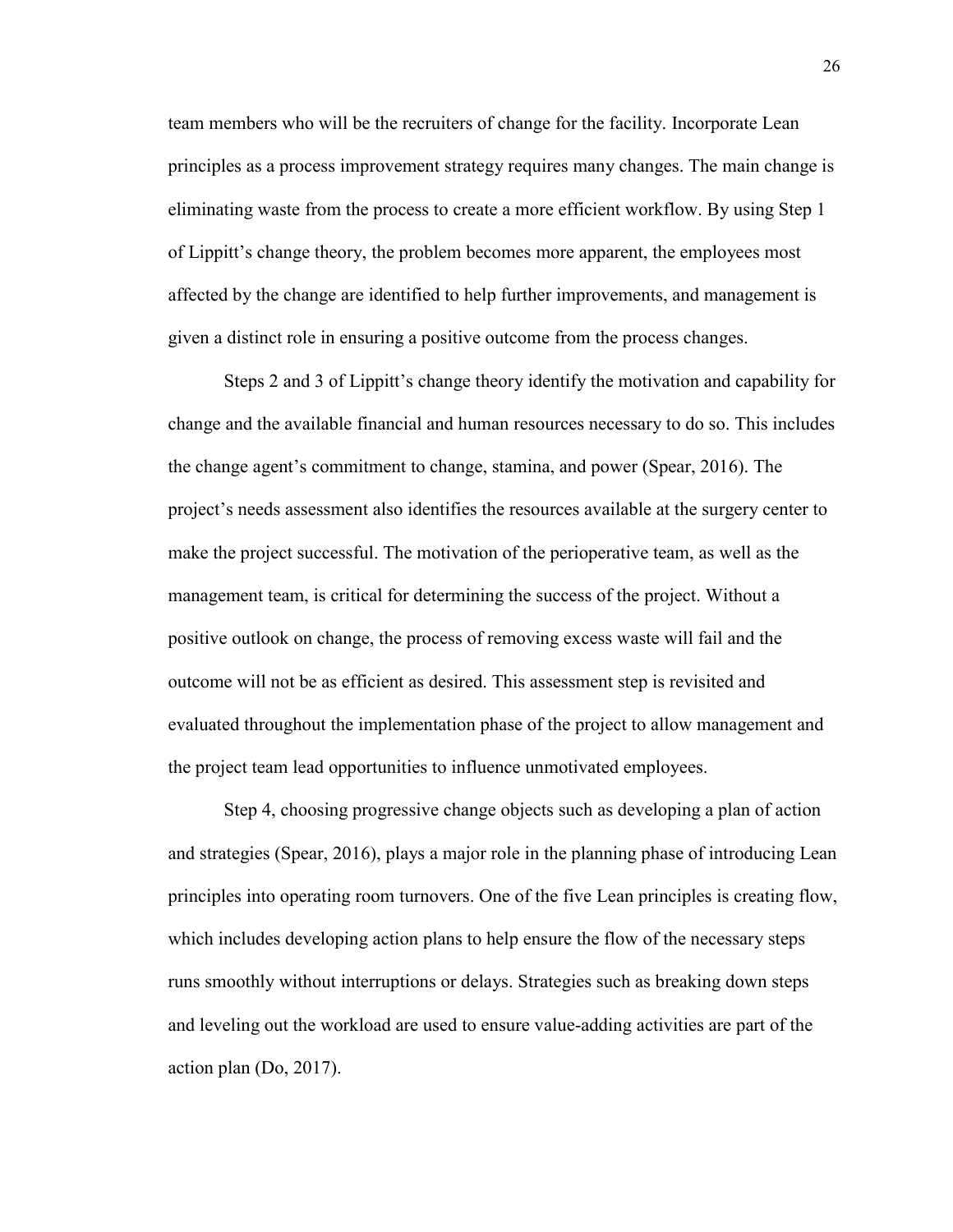team members who will be the recruiters of change for the facility. Incorporate Lean principles as a process improvement strategy requires many changes. The main change is eliminating waste from the process to create a more efficient workflow. By using Step 1 of Lippitt's change theory, the problem becomes more apparent, the employees most affected by the change are identified to help further improvements, and management is given a distinct role in ensuring a positive outcome from the process changes.

Steps 2 and 3 of Lippitt's change theory identify the motivation and capability for change and the available financial and human resources necessary to do so. This includes the change agent's commitment to change, stamina, and power (Spear, 2016). The project's needs assessment also identifies the resources available at the surgery center to make the project successful. The motivation of the perioperative team, as well as the management team, is critical for determining the success of the project. Without a positive outlook on change, the process of removing excess waste will fail and the outcome will not be as efficient as desired. This assessment step is revisited and evaluated throughout the implementation phase of the project to allow management and the project team lead opportunities to influence unmotivated employees.

Step 4, choosing progressive change objects such as developing a plan of action and strategies (Spear, 2016), plays a major role in the planning phase of introducing Lean principles into operating room turnovers. One of the five Lean principles is creating flow, which includes developing action plans to help ensure the flow of the necessary steps runs smoothly without interruptions or delays. Strategies such as breaking down steps and leveling out the workload are used to ensure value-adding activities are part of the action plan (Do, 2017).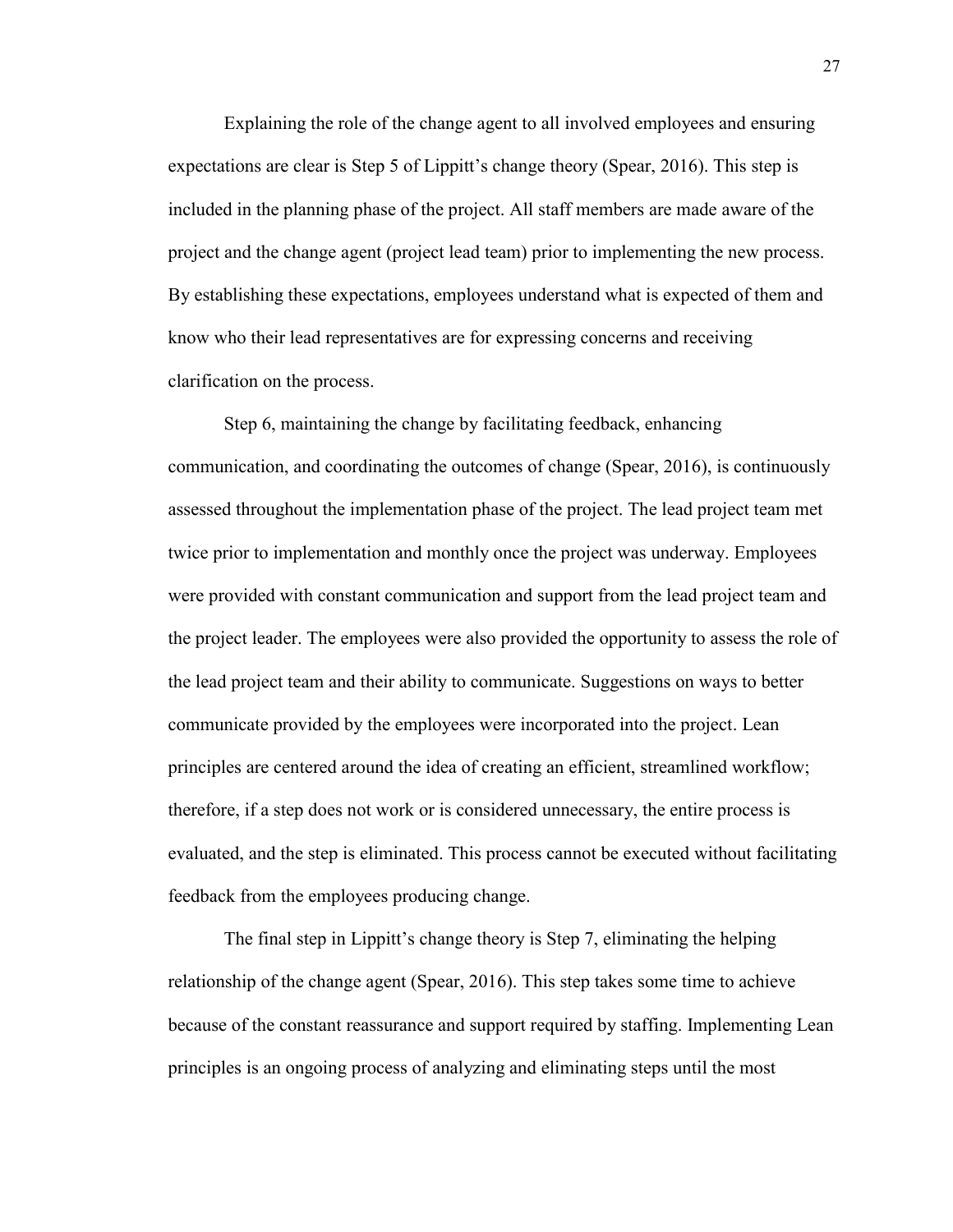Explaining the role of the change agent to all involved employees and ensuring expectations are clear is Step 5 of Lippitt's change theory (Spear, 2016). This step is included in the planning phase of the project. All staff members are made aware of the project and the change agent (project lead team) prior to implementing the new process. By establishing these expectations, employees understand what is expected of them and know who their lead representatives are for expressing concerns and receiving clarification on the process.

Step 6, maintaining the change by facilitating feedback, enhancing communication, and coordinating the outcomes of change (Spear, 2016), is continuously assessed throughout the implementation phase of the project. The lead project team met twice prior to implementation and monthly once the project was underway. Employees were provided with constant communication and support from the lead project team and the project leader. The employees were also provided the opportunity to assess the role of the lead project team and their ability to communicate. Suggestions on ways to better communicate provided by the employees were incorporated into the project. Lean principles are centered around the idea of creating an efficient, streamlined workflow; therefore, if a step does not work or is considered unnecessary, the entire process is evaluated, and the step is eliminated. This process cannot be executed without facilitating feedback from the employees producing change.

The final step in Lippitt's change theory is Step 7, eliminating the helping relationship of the change agent (Spear, 2016). This step takes some time to achieve because of the constant reassurance and support required by staffing. Implementing Lean principles is an ongoing process of analyzing and eliminating steps until the most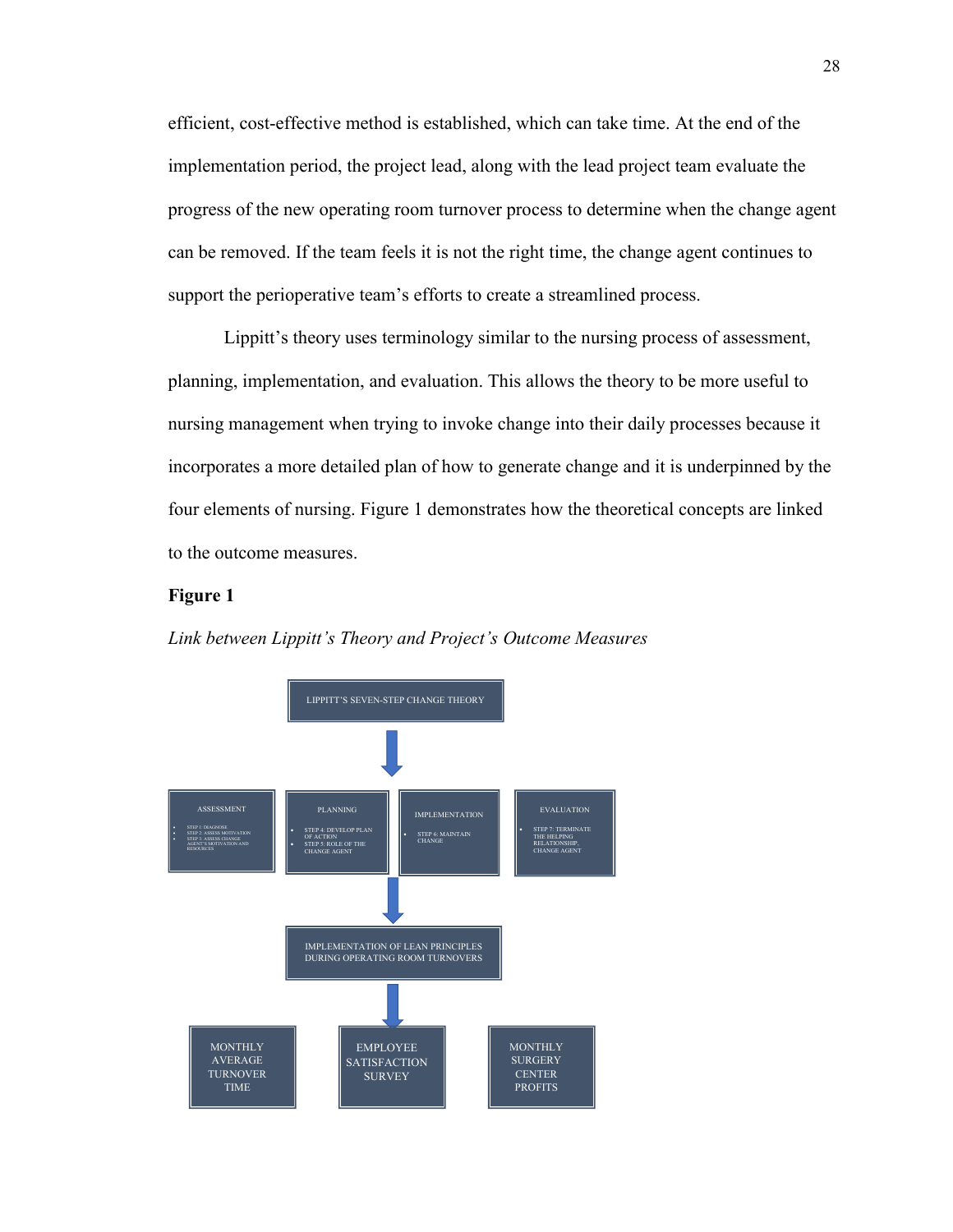efficient, cost-effective method is established, which can take time. At the end of the implementation period, the project lead, along with the lead project team evaluate the progress of the new operating room turnover process to determine when the change agent can be removed. If the team feels it is not the right time, the change agent continues to support the perioperative team's efforts to create a streamlined process.

Lippitt's theory uses terminology similar to the nursing process of assessment, planning, implementation, and evaluation. This allows the theory to be more useful to nursing management when trying to invoke change into their daily processes because it incorporates a more detailed plan of how to generate change and it is underpinned by the four elements of nursing. Figure 1 demonstrates how the theoretical concepts are linked to the outcome measures.

#### **Figure 1**



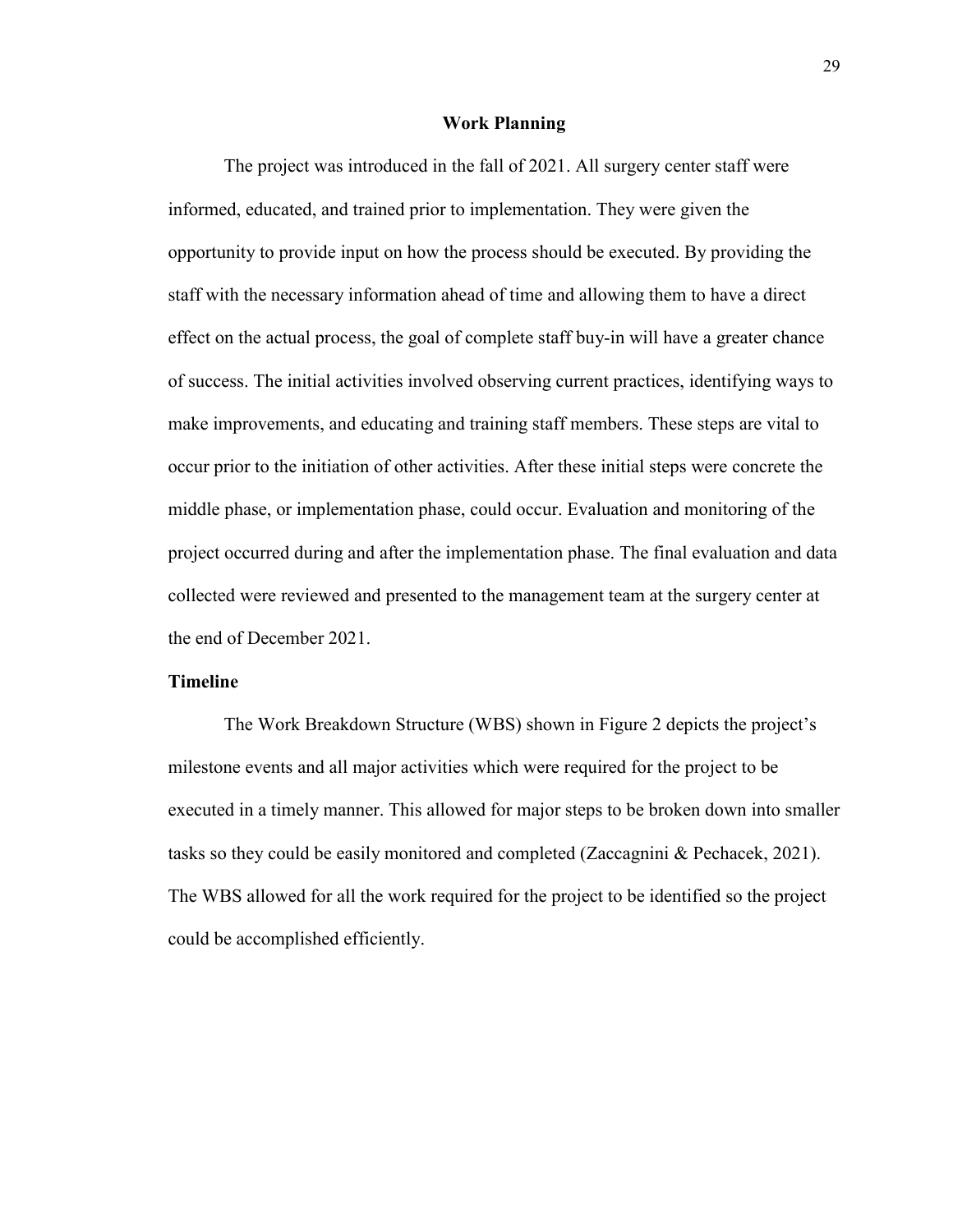#### **Work Planning**

The project was introduced in the fall of 2021. All surgery center staff were informed, educated, and trained prior to implementation. They were given the opportunity to provide input on how the process should be executed. By providing the staff with the necessary information ahead of time and allowing them to have a direct effect on the actual process, the goal of complete staff buy-in will have a greater chance of success. The initial activities involved observing current practices, identifying ways to make improvements, and educating and training staff members. These steps are vital to occur prior to the initiation of other activities. After these initial steps were concrete the middle phase, or implementation phase, could occur. Evaluation and monitoring of the project occurred during and after the implementation phase. The final evaluation and data collected were reviewed and presented to the management team at the surgery center at the end of December 2021.

#### **Timeline**

The Work Breakdown Structure (WBS) shown in Figure 2 depicts the project's milestone events and all major activities which were required for the project to be executed in a timely manner. This allowed for major steps to be broken down into smaller tasks so they could be easily monitored and completed (Zaccagnini & Pechacek, 2021). The WBS allowed for all the work required for the project to be identified so the project could be accomplished efficiently.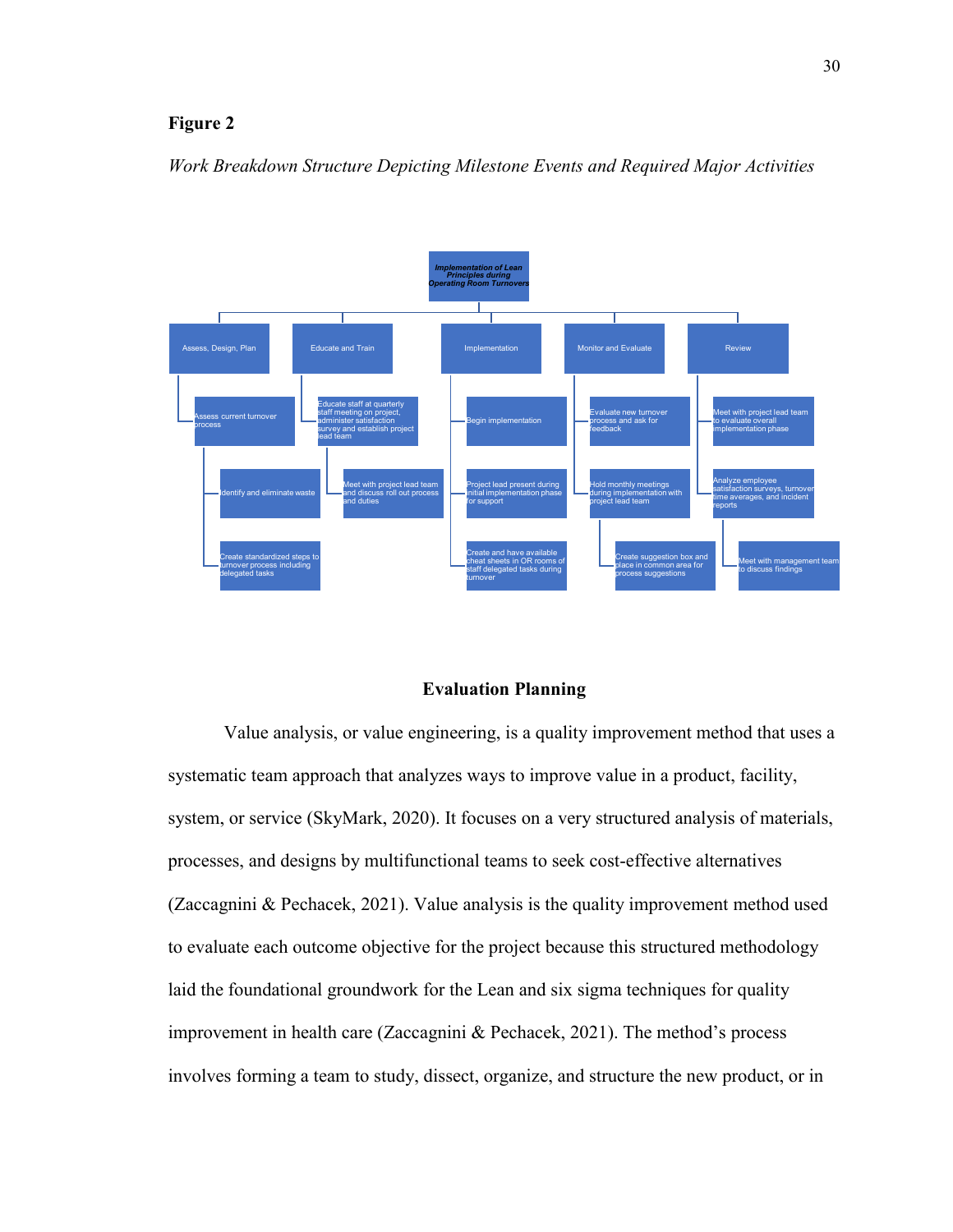## **Figure 2**

*Work Breakdown Structure Depicting Milestone Events and Required Major Activities*



#### **Evaluation Planning**

Value analysis, or value engineering, is a quality improvement method that uses a systematic team approach that analyzes ways to improve value in a product, facility, system, or service (SkyMark, 2020). It focuses on a very structured analysis of materials, processes, and designs by multifunctional teams to seek cost-effective alternatives (Zaccagnini & Pechacek, 2021). Value analysis is the quality improvement method used to evaluate each outcome objective for the project because this structured methodology laid the foundational groundwork for the Lean and six sigma techniques for quality improvement in health care (Zaccagnini & Pechacek, 2021). The method's process involves forming a team to study, dissect, organize, and structure the new product, or in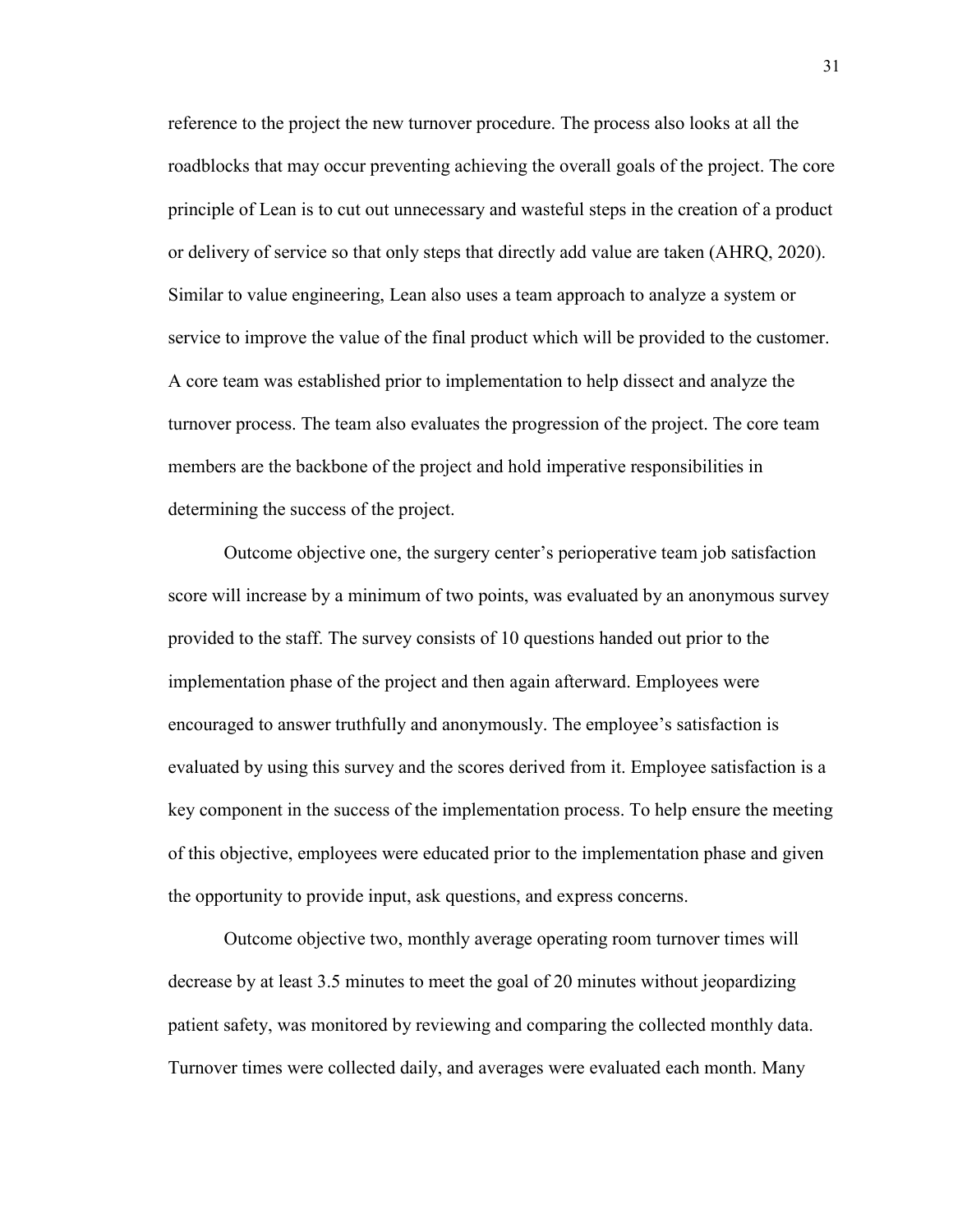reference to the project the new turnover procedure. The process also looks at all the roadblocks that may occur preventing achieving the overall goals of the project. The core principle of Lean is to cut out unnecessary and wasteful steps in the creation of a product or delivery of service so that only steps that directly add value are taken (AHRQ, 2020). Similar to value engineering, Lean also uses a team approach to analyze a system or service to improve the value of the final product which will be provided to the customer. A core team was established prior to implementation to help dissect and analyze the turnover process. The team also evaluates the progression of the project. The core team members are the backbone of the project and hold imperative responsibilities in determining the success of the project.

Outcome objective one, the surgery center's perioperative team job satisfaction score will increase by a minimum of two points, was evaluated by an anonymous survey provided to the staff. The survey consists of 10 questions handed out prior to the implementation phase of the project and then again afterward. Employees were encouraged to answer truthfully and anonymously. The employee's satisfaction is evaluated by using this survey and the scores derived from it. Employee satisfaction is a key component in the success of the implementation process. To help ensure the meeting of this objective, employees were educated prior to the implementation phase and given the opportunity to provide input, ask questions, and express concerns.

Outcome objective two, monthly average operating room turnover times will decrease by at least 3.5 minutes to meet the goal of 20 minutes without jeopardizing patient safety, was monitored by reviewing and comparing the collected monthly data. Turnover times were collected daily, and averages were evaluated each month. Many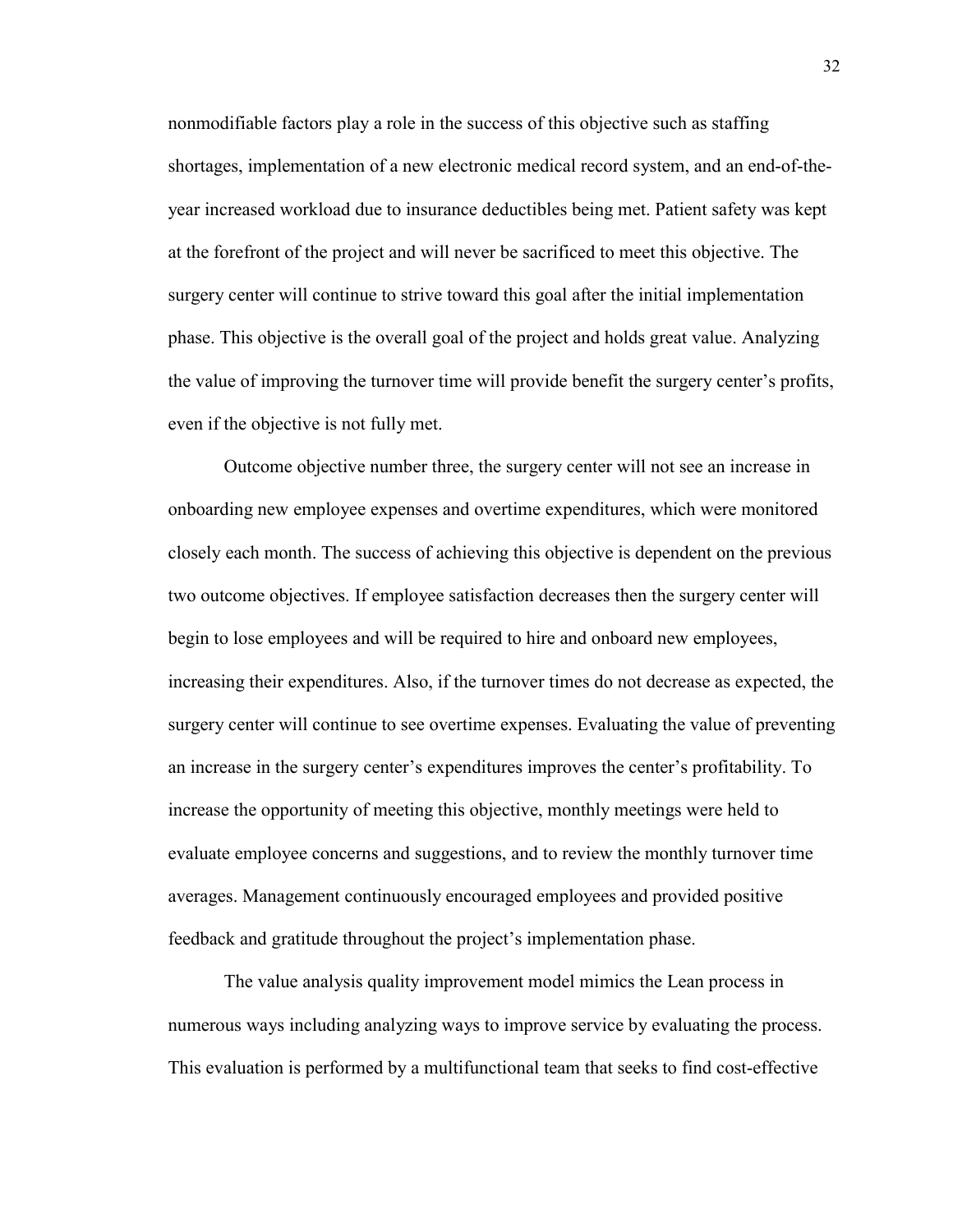nonmodifiable factors play a role in the success of this objective such as staffing shortages, implementation of a new electronic medical record system, and an end-of-theyear increased workload due to insurance deductibles being met. Patient safety was kept at the forefront of the project and will never be sacrificed to meet this objective. The surgery center will continue to strive toward this goal after the initial implementation phase. This objective is the overall goal of the project and holds great value. Analyzing the value of improving the turnover time will provide benefit the surgery center's profits, even if the objective is not fully met.

Outcome objective number three, the surgery center will not see an increase in onboarding new employee expenses and overtime expenditures, which were monitored closely each month. The success of achieving this objective is dependent on the previous two outcome objectives. If employee satisfaction decreases then the surgery center will begin to lose employees and will be required to hire and onboard new employees, increasing their expenditures. Also, if the turnover times do not decrease as expected, the surgery center will continue to see overtime expenses. Evaluating the value of preventing an increase in the surgery center's expenditures improves the center's profitability. To increase the opportunity of meeting this objective, monthly meetings were held to evaluate employee concerns and suggestions, and to review the monthly turnover time averages. Management continuously encouraged employees and provided positive feedback and gratitude throughout the project's implementation phase.

The value analysis quality improvement model mimics the Lean process in numerous ways including analyzing ways to improve service by evaluating the process. This evaluation is performed by a multifunctional team that seeks to find cost-effective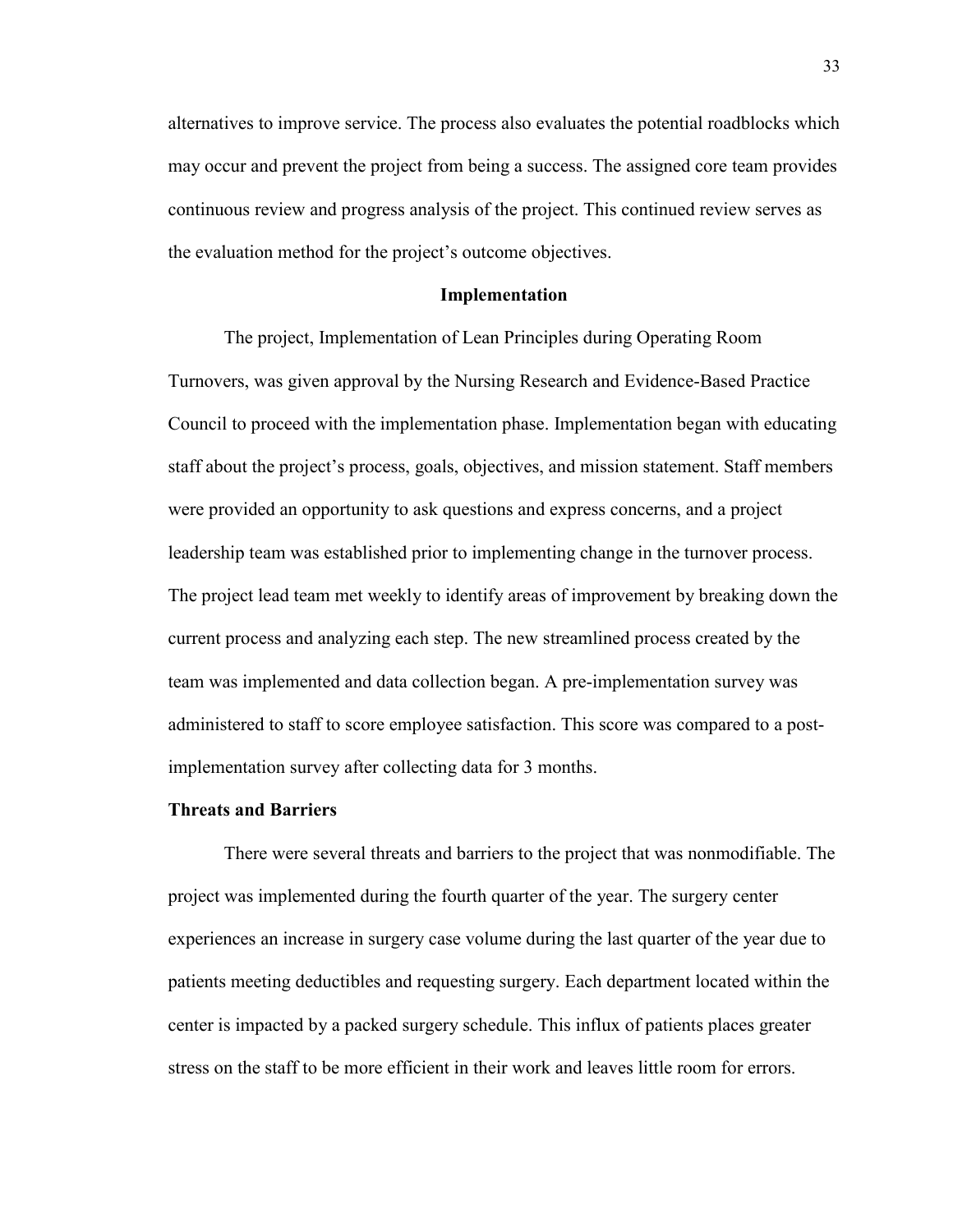alternatives to improve service. The process also evaluates the potential roadblocks which may occur and prevent the project from being a success. The assigned core team provides continuous review and progress analysis of the project. This continued review serves as the evaluation method for the project's outcome objectives.

#### **Implementation**

The project, Implementation of Lean Principles during Operating Room Turnovers, was given approval by the Nursing Research and Evidence-Based Practice Council to proceed with the implementation phase. Implementation began with educating staff about the project's process, goals, objectives, and mission statement. Staff members were provided an opportunity to ask questions and express concerns, and a project leadership team was established prior to implementing change in the turnover process. The project lead team met weekly to identify areas of improvement by breaking down the current process and analyzing each step. The new streamlined process created by the team was implemented and data collection began. A pre-implementation survey was administered to staff to score employee satisfaction. This score was compared to a postimplementation survey after collecting data for 3 months.

#### **Threats and Barriers**

There were several threats and barriers to the project that was nonmodifiable. The project was implemented during the fourth quarter of the year. The surgery center experiences an increase in surgery case volume during the last quarter of the year due to patients meeting deductibles and requesting surgery. Each department located within the center is impacted by a packed surgery schedule. This influx of patients places greater stress on the staff to be more efficient in their work and leaves little room for errors.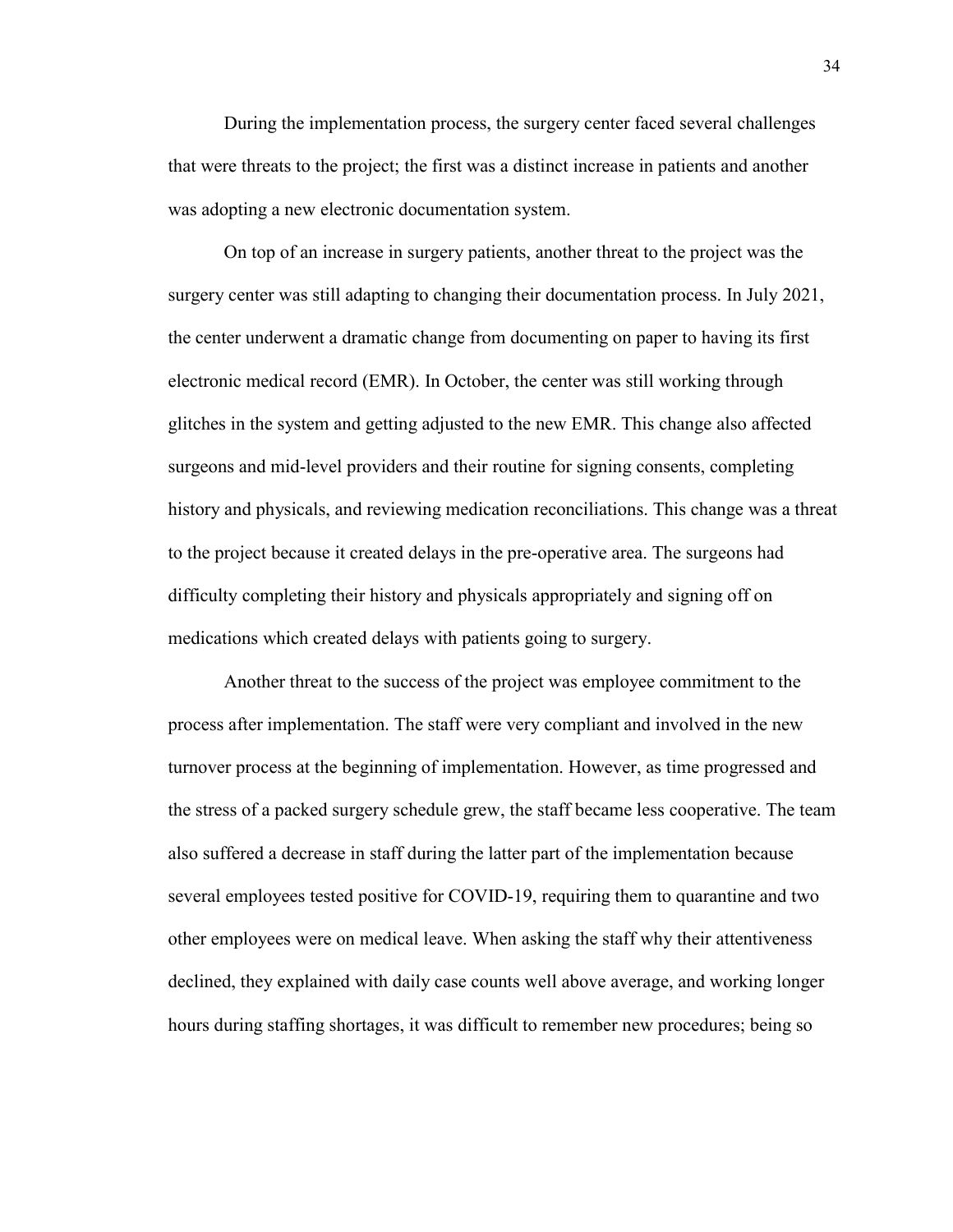During the implementation process, the surgery center faced several challenges that were threats to the project; the first was a distinct increase in patients and another was adopting a new electronic documentation system.

On top of an increase in surgery patients, another threat to the project was the surgery center was still adapting to changing their documentation process. In July 2021, the center underwent a dramatic change from documenting on paper to having its first electronic medical record (EMR). In October, the center was still working through glitches in the system and getting adjusted to the new EMR. This change also affected surgeons and mid-level providers and their routine for signing consents, completing history and physicals, and reviewing medication reconciliations. This change was a threat to the project because it created delays in the pre-operative area. The surgeons had difficulty completing their history and physicals appropriately and signing off on medications which created delays with patients going to surgery.

Another threat to the success of the project was employee commitment to the process after implementation. The staff were very compliant and involved in the new turnover process at the beginning of implementation. However, as time progressed and the stress of a packed surgery schedule grew, the staff became less cooperative. The team also suffered a decrease in staff during the latter part of the implementation because several employees tested positive for COVID-19, requiring them to quarantine and two other employees were on medical leave. When asking the staff why their attentiveness declined, they explained with daily case counts well above average, and working longer hours during staffing shortages, it was difficult to remember new procedures; being so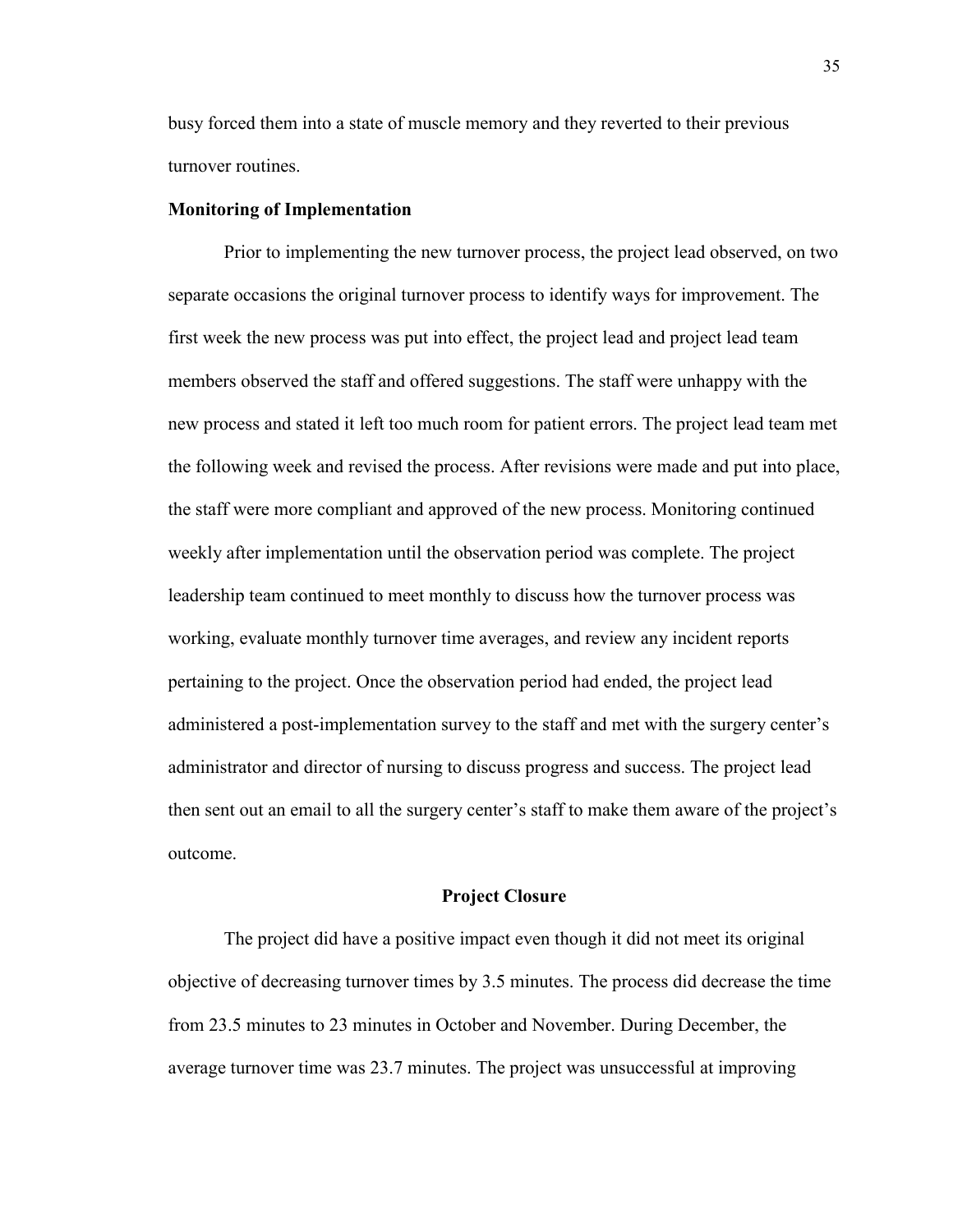busy forced them into a state of muscle memory and they reverted to their previous turnover routines.

#### **Monitoring of Implementation**

Prior to implementing the new turnover process, the project lead observed, on two separate occasions the original turnover process to identify ways for improvement. The first week the new process was put into effect, the project lead and project lead team members observed the staff and offered suggestions. The staff were unhappy with the new process and stated it left too much room for patient errors. The project lead team met the following week and revised the process. After revisions were made and put into place, the staff were more compliant and approved of the new process. Monitoring continued weekly after implementation until the observation period was complete. The project leadership team continued to meet monthly to discuss how the turnover process was working, evaluate monthly turnover time averages, and review any incident reports pertaining to the project. Once the observation period had ended, the project lead administered a post-implementation survey to the staff and met with the surgery center's administrator and director of nursing to discuss progress and success. The project lead then sent out an email to all the surgery center's staff to make them aware of the project's outcome.

#### **Project Closure**

The project did have a positive impact even though it did not meet its original objective of decreasing turnover times by 3.5 minutes. The process did decrease the time from 23.5 minutes to 23 minutes in October and November. During December, the average turnover time was 23.7 minutes. The project was unsuccessful at improving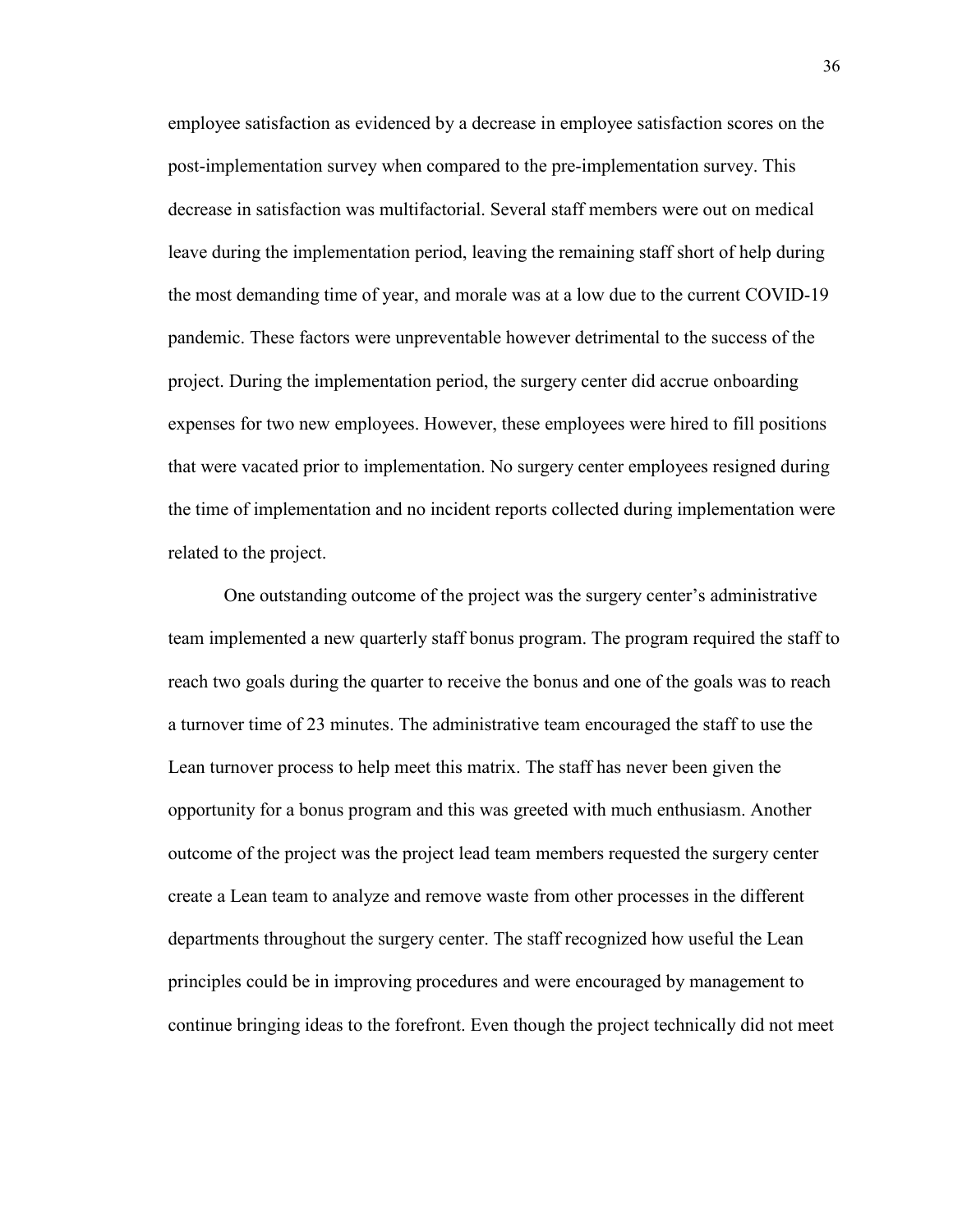employee satisfaction as evidenced by a decrease in employee satisfaction scores on the post-implementation survey when compared to the pre-implementation survey. This decrease in satisfaction was multifactorial. Several staff members were out on medical leave during the implementation period, leaving the remaining staff short of help during the most demanding time of year, and morale was at a low due to the current COVID-19 pandemic. These factors were unpreventable however detrimental to the success of the project. During the implementation period, the surgery center did accrue onboarding expenses for two new employees. However, these employees were hired to fill positions that were vacated prior to implementation. No surgery center employees resigned during the time of implementation and no incident reports collected during implementation were related to the project.

One outstanding outcome of the project was the surgery center's administrative team implemented a new quarterly staff bonus program. The program required the staff to reach two goals during the quarter to receive the bonus and one of the goals was to reach a turnover time of 23 minutes. The administrative team encouraged the staff to use the Lean turnover process to help meet this matrix. The staff has never been given the opportunity for a bonus program and this was greeted with much enthusiasm. Another outcome of the project was the project lead team members requested the surgery center create a Lean team to analyze and remove waste from other processes in the different departments throughout the surgery center. The staff recognized how useful the Lean principles could be in improving procedures and were encouraged by management to continue bringing ideas to the forefront. Even though the project technically did not meet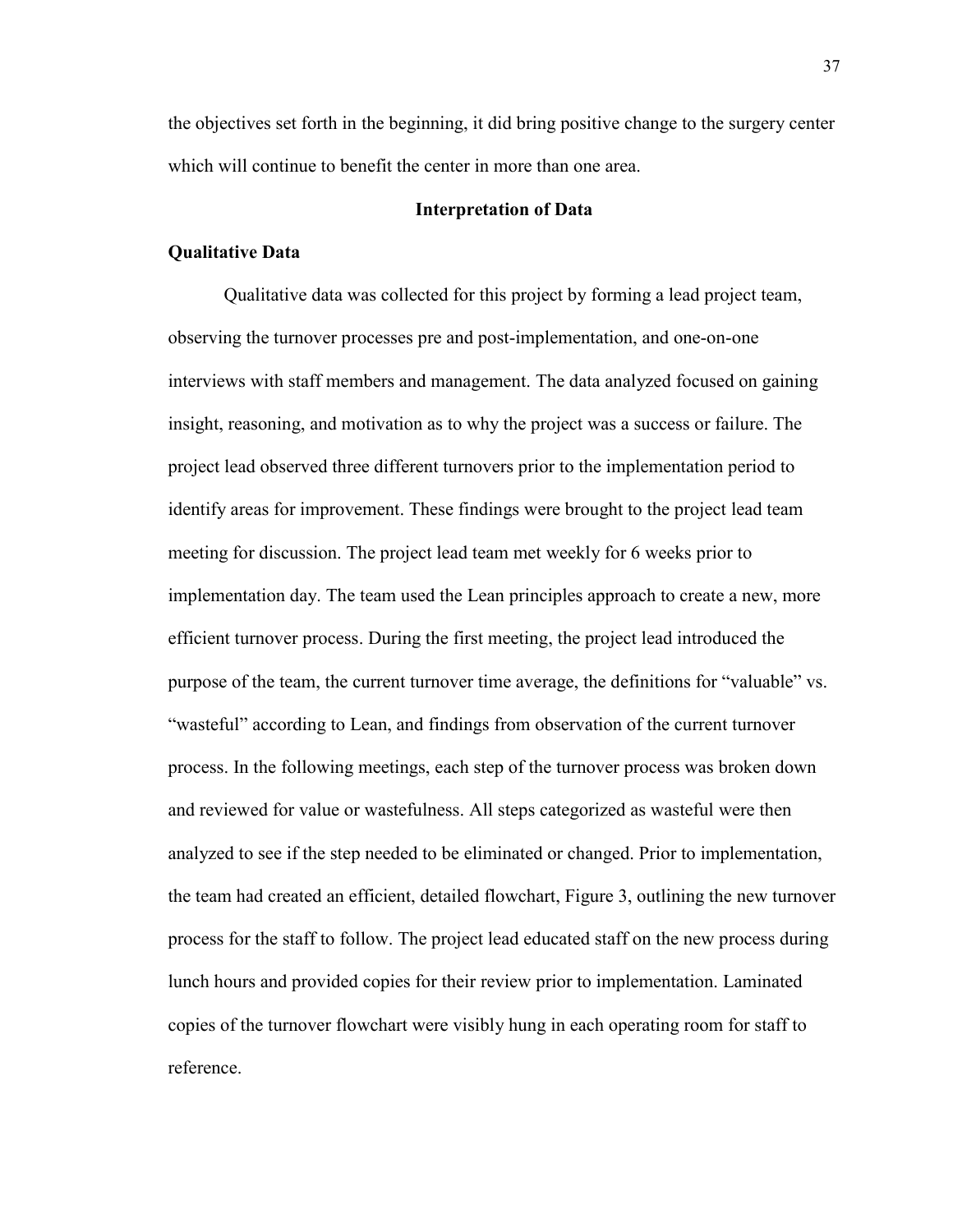the objectives set forth in the beginning, it did bring positive change to the surgery center which will continue to benefit the center in more than one area.

#### **Interpretation of Data**

#### **Qualitative Data**

Qualitative data was collected for this project by forming a lead project team, observing the turnover processes pre and post-implementation, and one-on-one interviews with staff members and management. The data analyzed focused on gaining insight, reasoning, and motivation as to why the project was a success or failure. The project lead observed three different turnovers prior to the implementation period to identify areas for improvement. These findings were brought to the project lead team meeting for discussion. The project lead team met weekly for 6 weeks prior to implementation day. The team used the Lean principles approach to create a new, more efficient turnover process. During the first meeting, the project lead introduced the purpose of the team, the current turnover time average, the definitions for "valuable" vs. "wasteful" according to Lean, and findings from observation of the current turnover process. In the following meetings, each step of the turnover process was broken down and reviewed for value or wastefulness. All steps categorized as wasteful were then analyzed to see if the step needed to be eliminated or changed. Prior to implementation, the team had created an efficient, detailed flowchart, Figure 3, outlining the new turnover process for the staff to follow. The project lead educated staff on the new process during lunch hours and provided copies for their review prior to implementation. Laminated copies of the turnover flowchart were visibly hung in each operating room for staff to reference.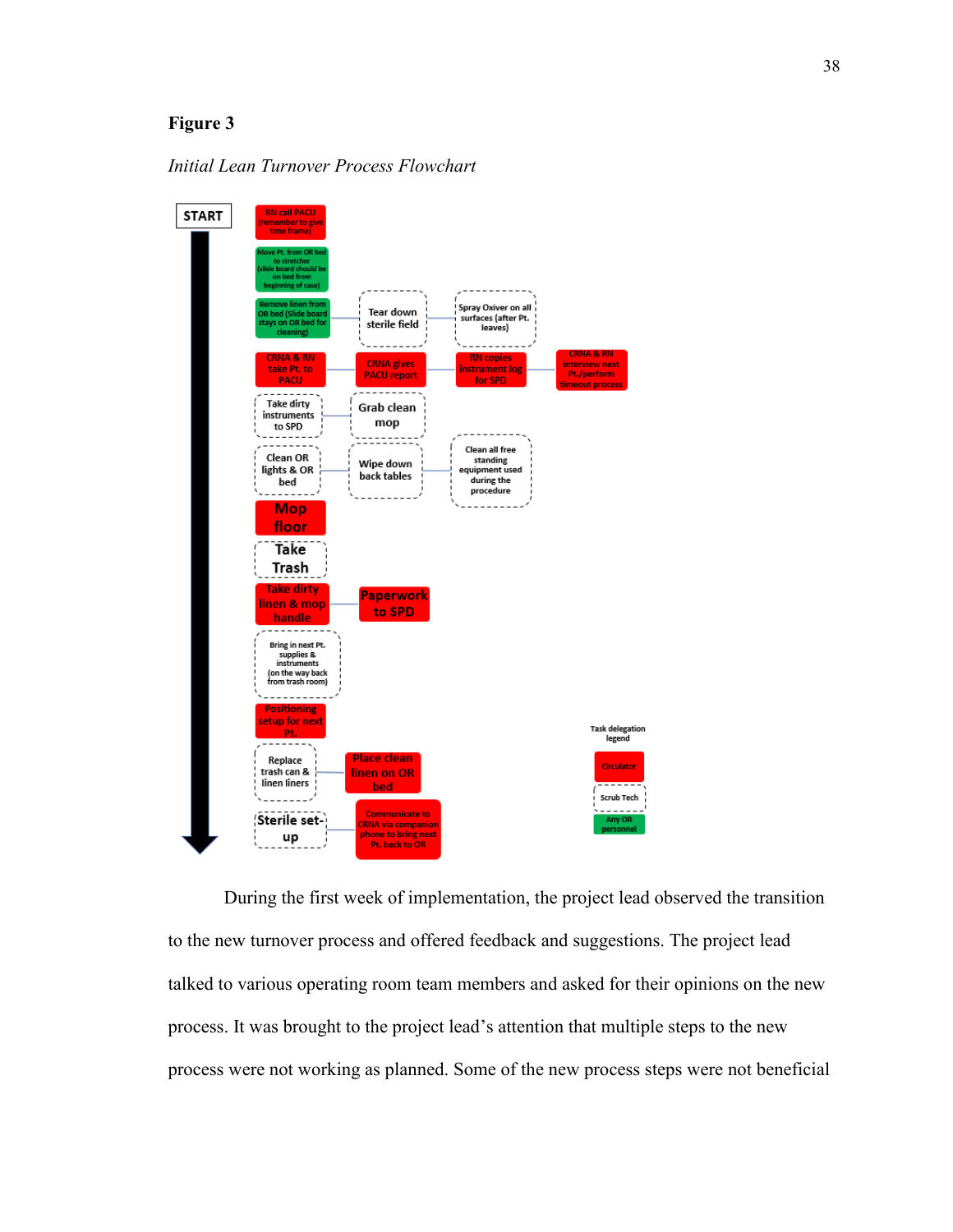# **Figure 3**

### *Initial Lean Turnover Process Flowchart*



During the first week of implementation, the project lead observed the transition to the new turnover process and offered feedback and suggestions. The project lead talked to various operating room team members and asked for their opinions on the new process. It was brought to the project lead's attention that multiple steps to the new process were not working as planned. Some of the new process steps were not beneficial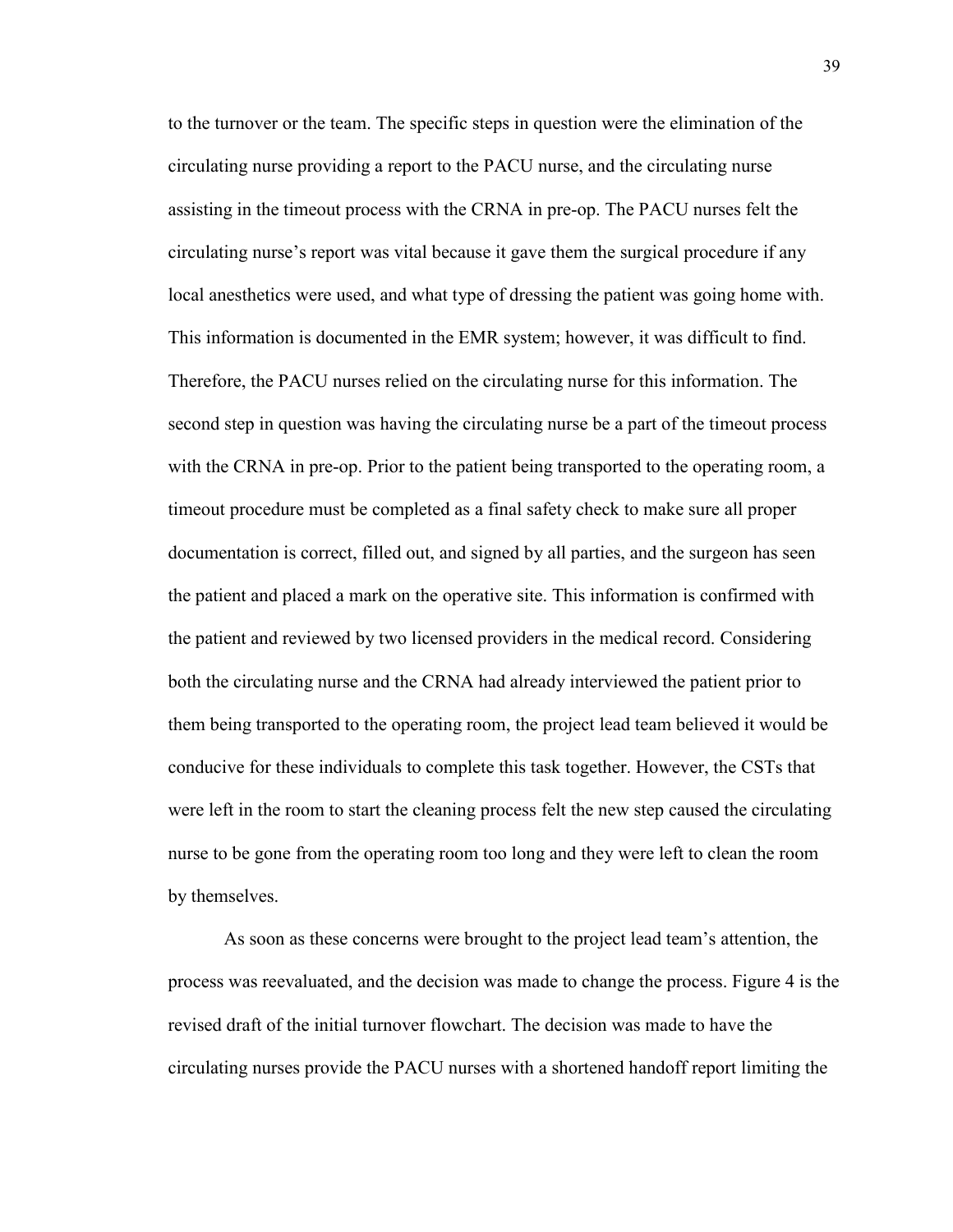to the turnover or the team. The specific steps in question were the elimination of the circulating nurse providing a report to the PACU nurse, and the circulating nurse assisting in the timeout process with the CRNA in pre-op. The PACU nurses felt the circulating nurse's report was vital because it gave them the surgical procedure if any local anesthetics were used, and what type of dressing the patient was going home with. This information is documented in the EMR system; however, it was difficult to find. Therefore, the PACU nurses relied on the circulating nurse for this information. The second step in question was having the circulating nurse be a part of the timeout process with the CRNA in pre-op. Prior to the patient being transported to the operating room, a timeout procedure must be completed as a final safety check to make sure all proper documentation is correct, filled out, and signed by all parties, and the surgeon has seen the patient and placed a mark on the operative site. This information is confirmed with the patient and reviewed by two licensed providers in the medical record. Considering both the circulating nurse and the CRNA had already interviewed the patient prior to them being transported to the operating room, the project lead team believed it would be conducive for these individuals to complete this task together. However, the CSTs that were left in the room to start the cleaning process felt the new step caused the circulating nurse to be gone from the operating room too long and they were left to clean the room by themselves.

As soon as these concerns were brought to the project lead team's attention, the process was reevaluated, and the decision was made to change the process. Figure 4 is the revised draft of the initial turnover flowchart. The decision was made to have the circulating nurses provide the PACU nurses with a shortened handoff report limiting the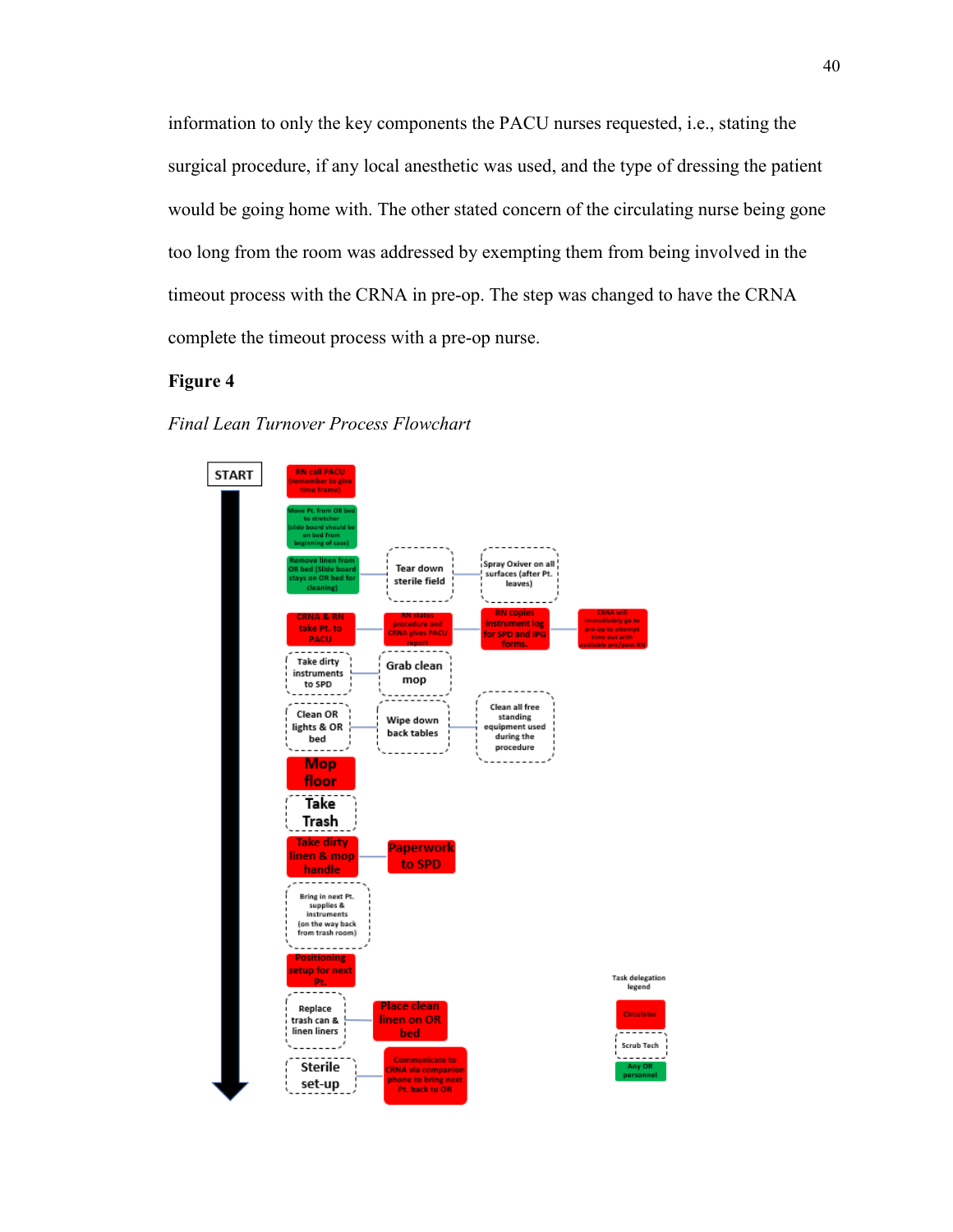information to only the key components the PACU nurses requested, i.e., stating the surgical procedure, if any local anesthetic was used, and the type of dressing the patient would be going home with. The other stated concern of the circulating nurse being gone too long from the room was addressed by exempting them from being involved in the timeout process with the CRNA in pre-op. The step was changed to have the CRNA complete the timeout process with a pre-op nurse.

# **Figure 4**

#### *Final Lean Turnover Process Flowchart*

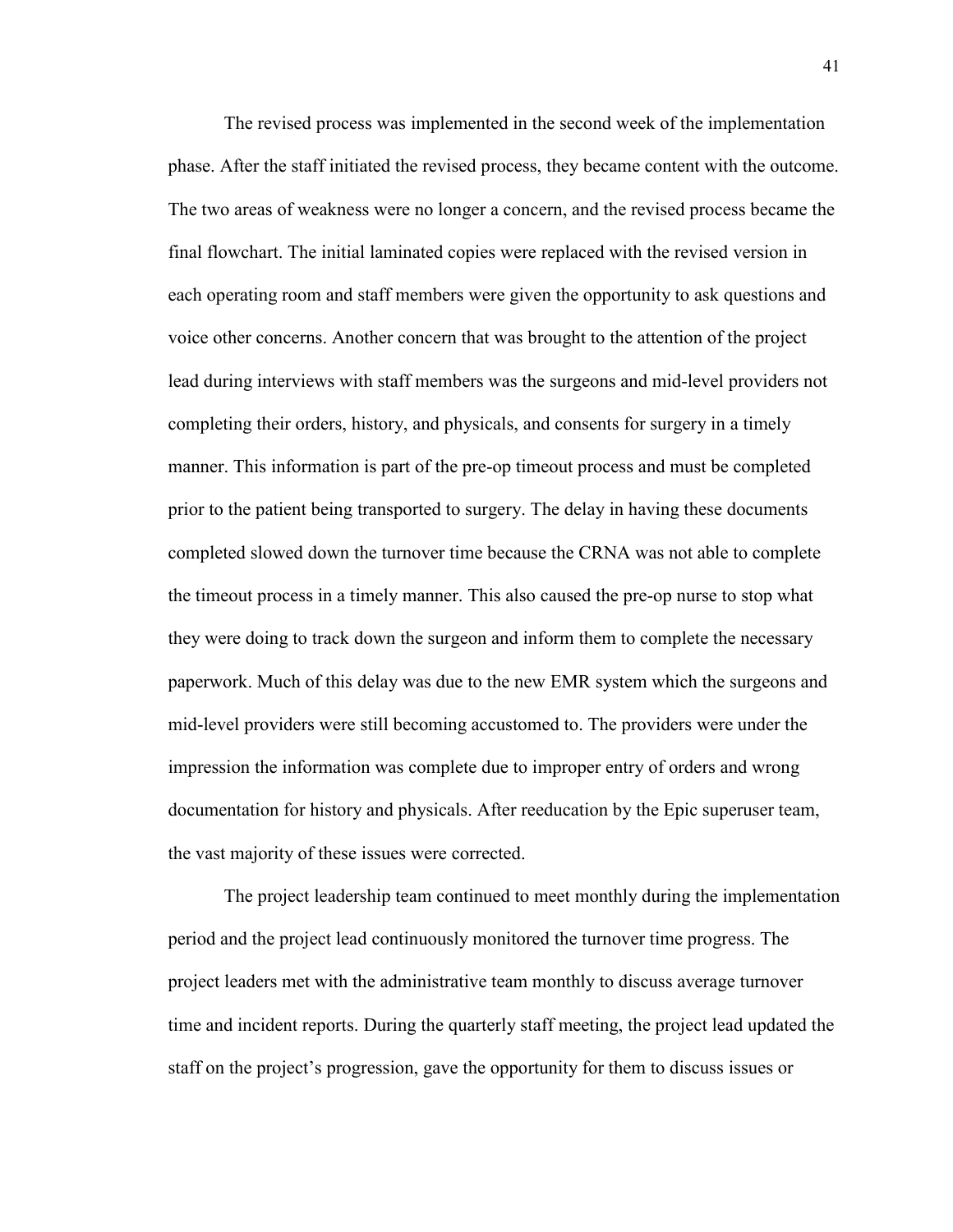The revised process was implemented in the second week of the implementation phase. After the staff initiated the revised process, they became content with the outcome. The two areas of weakness were no longer a concern, and the revised process became the final flowchart. The initial laminated copies were replaced with the revised version in each operating room and staff members were given the opportunity to ask questions and voice other concerns. Another concern that was brought to the attention of the project lead during interviews with staff members was the surgeons and mid-level providers not completing their orders, history, and physicals, and consents for surgery in a timely manner. This information is part of the pre-op timeout process and must be completed prior to the patient being transported to surgery. The delay in having these documents completed slowed down the turnover time because the CRNA was not able to complete the timeout process in a timely manner. This also caused the pre-op nurse to stop what they were doing to track down the surgeon and inform them to complete the necessary paperwork. Much of this delay was due to the new EMR system which the surgeons and mid-level providers were still becoming accustomed to. The providers were under the impression the information was complete due to improper entry of orders and wrong documentation for history and physicals. After reeducation by the Epic superuser team, the vast majority of these issues were corrected.

The project leadership team continued to meet monthly during the implementation period and the project lead continuously monitored the turnover time progress. The project leaders met with the administrative team monthly to discuss average turnover time and incident reports. During the quarterly staff meeting, the project lead updated the staff on the project's progression, gave the opportunity for them to discuss issues or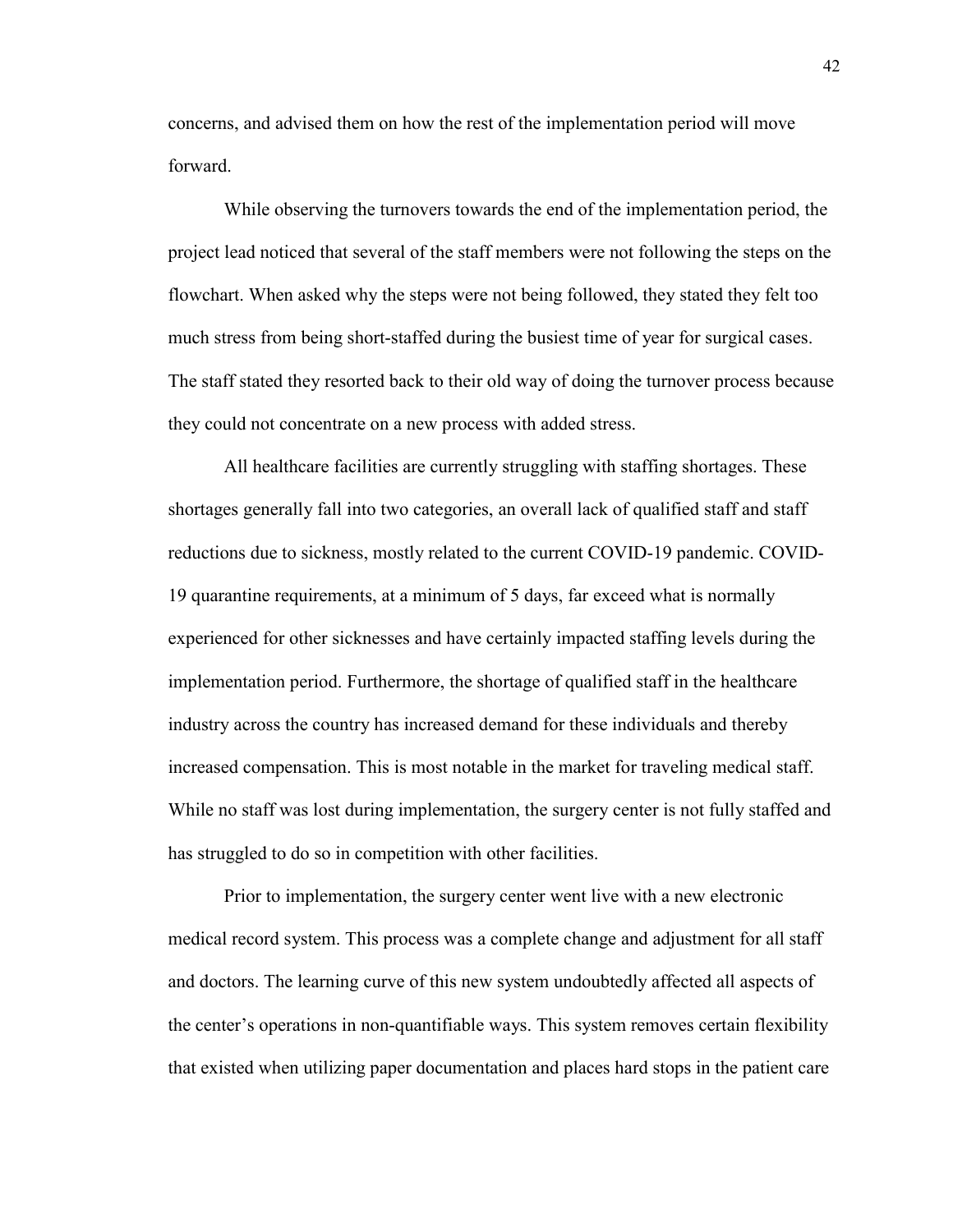concerns, and advised them on how the rest of the implementation period will move forward.

While observing the turnovers towards the end of the implementation period, the project lead noticed that several of the staff members were not following the steps on the flowchart. When asked why the steps were not being followed, they stated they felt too much stress from being short-staffed during the busiest time of year for surgical cases. The staff stated they resorted back to their old way of doing the turnover process because they could not concentrate on a new process with added stress.

All healthcare facilities are currently struggling with staffing shortages. These shortages generally fall into two categories, an overall lack of qualified staff and staff reductions due to sickness, mostly related to the current COVID-19 pandemic. COVID-19 quarantine requirements, at a minimum of 5 days, far exceed what is normally experienced for other sicknesses and have certainly impacted staffing levels during the implementation period. Furthermore, the shortage of qualified staff in the healthcare industry across the country has increased demand for these individuals and thereby increased compensation. This is most notable in the market for traveling medical staff. While no staff was lost during implementation, the surgery center is not fully staffed and has struggled to do so in competition with other facilities.

Prior to implementation, the surgery center went live with a new electronic medical record system. This process was a complete change and adjustment for all staff and doctors. The learning curve of this new system undoubtedly affected all aspects of the center's operations in non-quantifiable ways. This system removes certain flexibility that existed when utilizing paper documentation and places hard stops in the patient care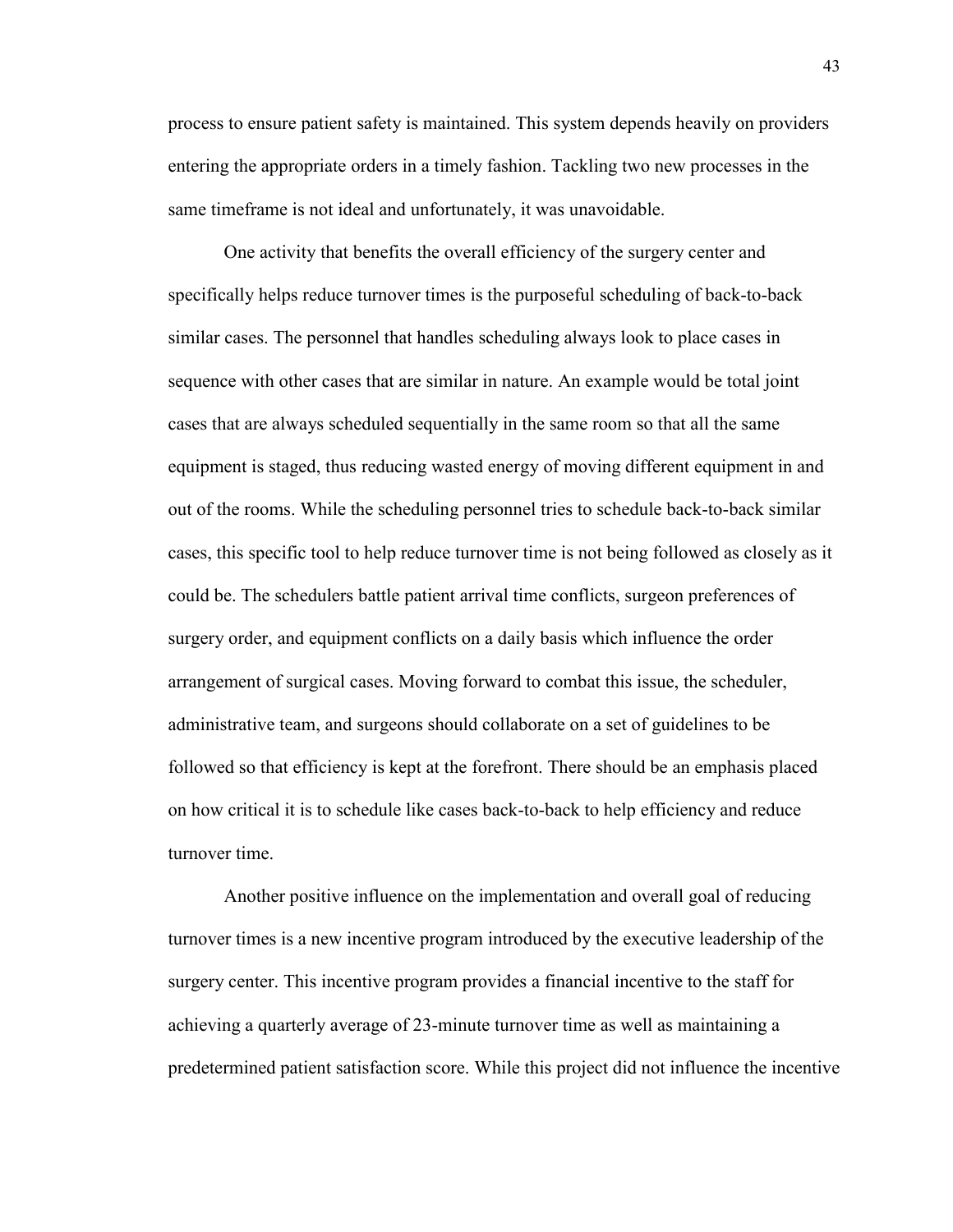process to ensure patient safety is maintained. This system depends heavily on providers entering the appropriate orders in a timely fashion. Tackling two new processes in the same timeframe is not ideal and unfortunately, it was unavoidable.

One activity that benefits the overall efficiency of the surgery center and specifically helps reduce turnover times is the purposeful scheduling of back-to-back similar cases. The personnel that handles scheduling always look to place cases in sequence with other cases that are similar in nature. An example would be total joint cases that are always scheduled sequentially in the same room so that all the same equipment is staged, thus reducing wasted energy of moving different equipment in and out of the rooms. While the scheduling personnel tries to schedule back-to-back similar cases, this specific tool to help reduce turnover time is not being followed as closely as it could be. The schedulers battle patient arrival time conflicts, surgeon preferences of surgery order, and equipment conflicts on a daily basis which influence the order arrangement of surgical cases. Moving forward to combat this issue, the scheduler, administrative team, and surgeons should collaborate on a set of guidelines to be followed so that efficiency is kept at the forefront. There should be an emphasis placed on how critical it is to schedule like cases back-to-back to help efficiency and reduce turnover time.

Another positive influence on the implementation and overall goal of reducing turnover times is a new incentive program introduced by the executive leadership of the surgery center. This incentive program provides a financial incentive to the staff for achieving a quarterly average of 23-minute turnover time as well as maintaining a predetermined patient satisfaction score. While this project did not influence the incentive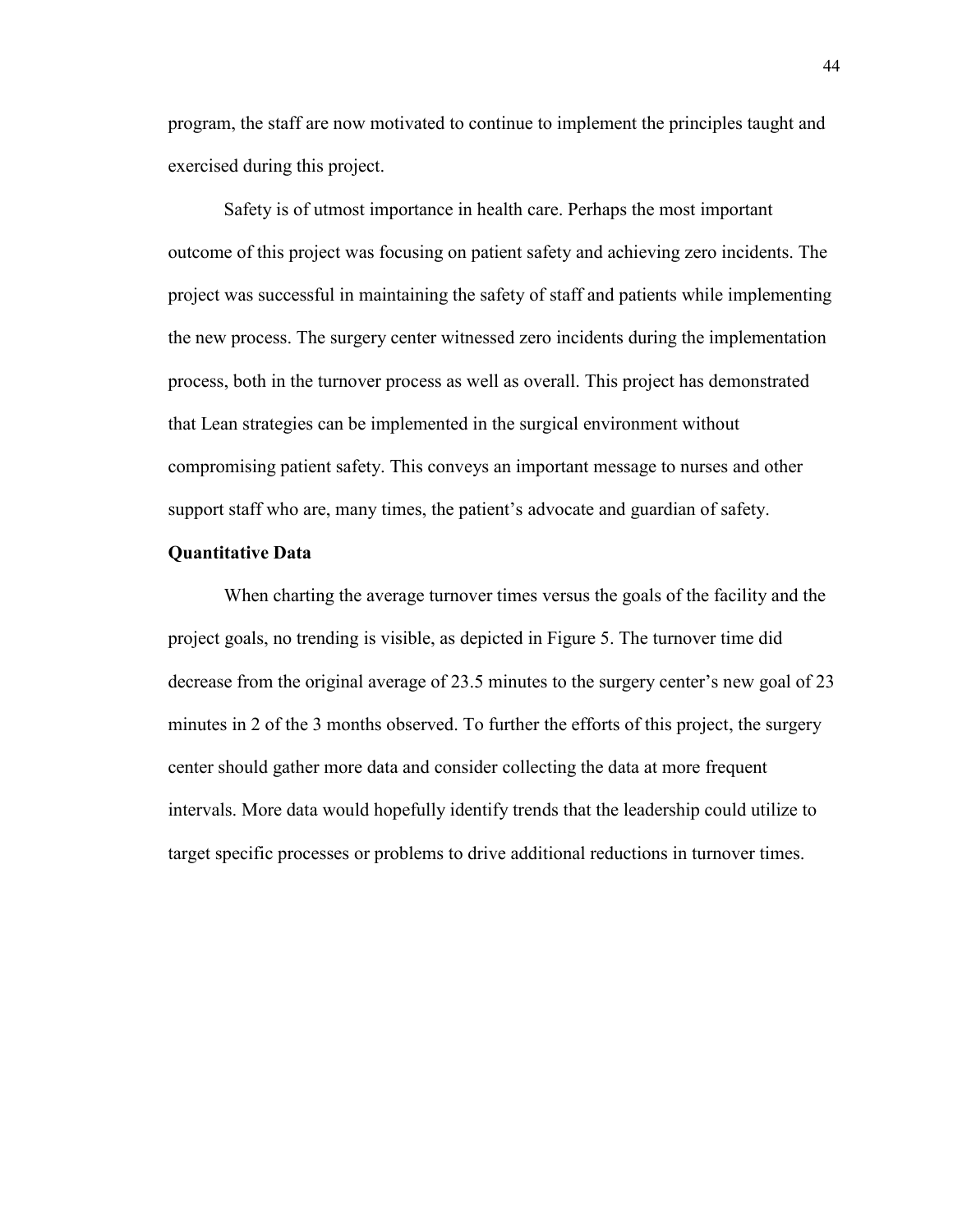program, the staff are now motivated to continue to implement the principles taught and exercised during this project.

Safety is of utmost importance in health care. Perhaps the most important outcome of this project was focusing on patient safety and achieving zero incidents. The project was successful in maintaining the safety of staff and patients while implementing the new process. The surgery center witnessed zero incidents during the implementation process, both in the turnover process as well as overall. This project has demonstrated that Lean strategies can be implemented in the surgical environment without compromising patient safety. This conveys an important message to nurses and other support staff who are, many times, the patient's advocate and guardian of safety.

#### **Quantitative Data**

When charting the average turnover times versus the goals of the facility and the project goals, no trending is visible, as depicted in Figure 5. The turnover time did decrease from the original average of 23.5 minutes to the surgery center's new goal of 23 minutes in 2 of the 3 months observed. To further the efforts of this project, the surgery center should gather more data and consider collecting the data at more frequent intervals. More data would hopefully identify trends that the leadership could utilize to target specific processes or problems to drive additional reductions in turnover times.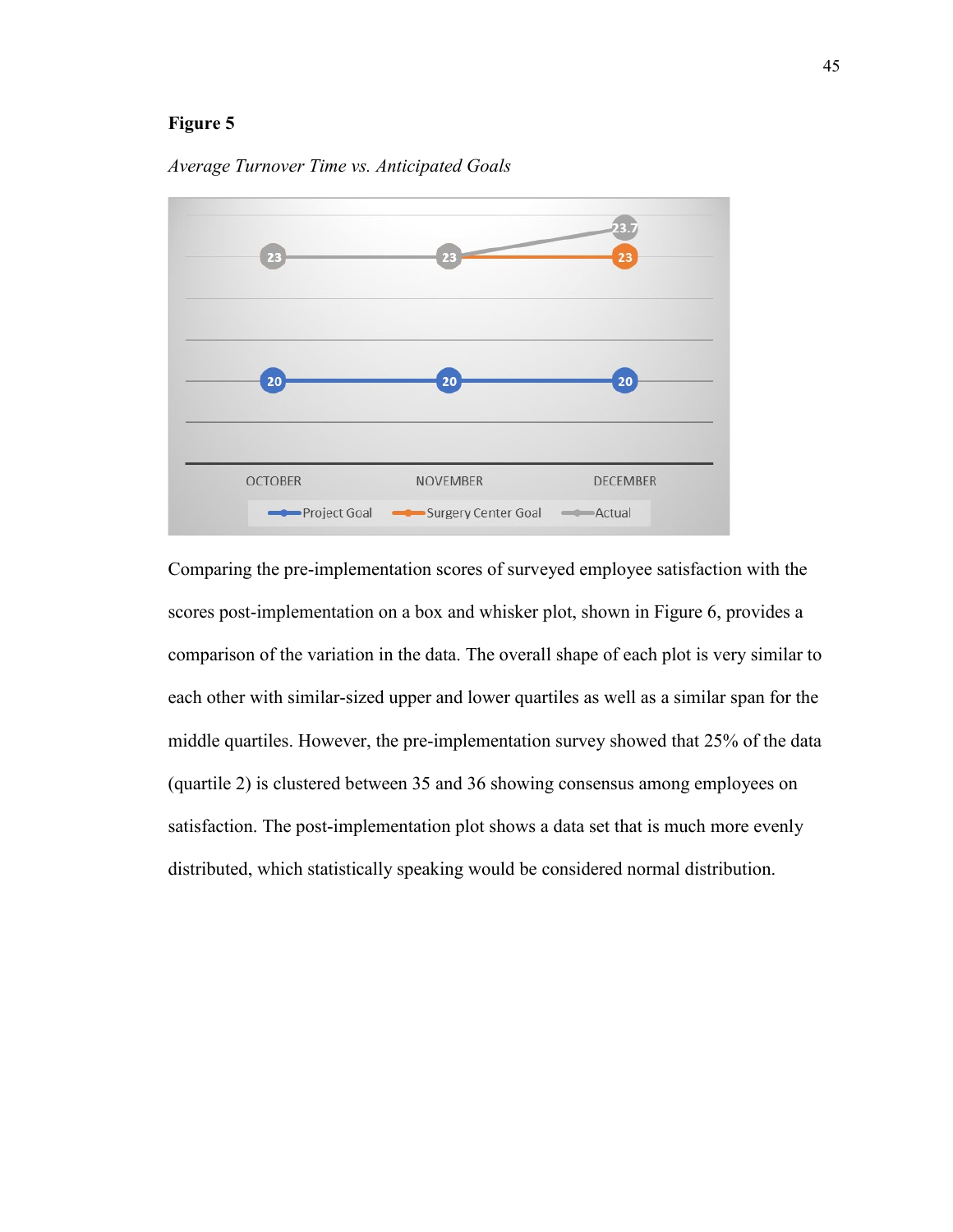# **Figure 5**



*Average Turnover Time vs. Anticipated Goals*

Comparing the pre-implementation scores of surveyed employee satisfaction with the scores post-implementation on a box and whisker plot, shown in Figure 6, provides a comparison of the variation in the data. The overall shape of each plot is very similar to each other with similar-sized upper and lower quartiles as well as a similar span for the middle quartiles. However, the pre-implementation survey showed that 25% of the data (quartile 2) is clustered between 35 and 36 showing consensus among employees on satisfaction. The post-implementation plot shows a data set that is much more evenly distributed, which statistically speaking would be considered normal distribution.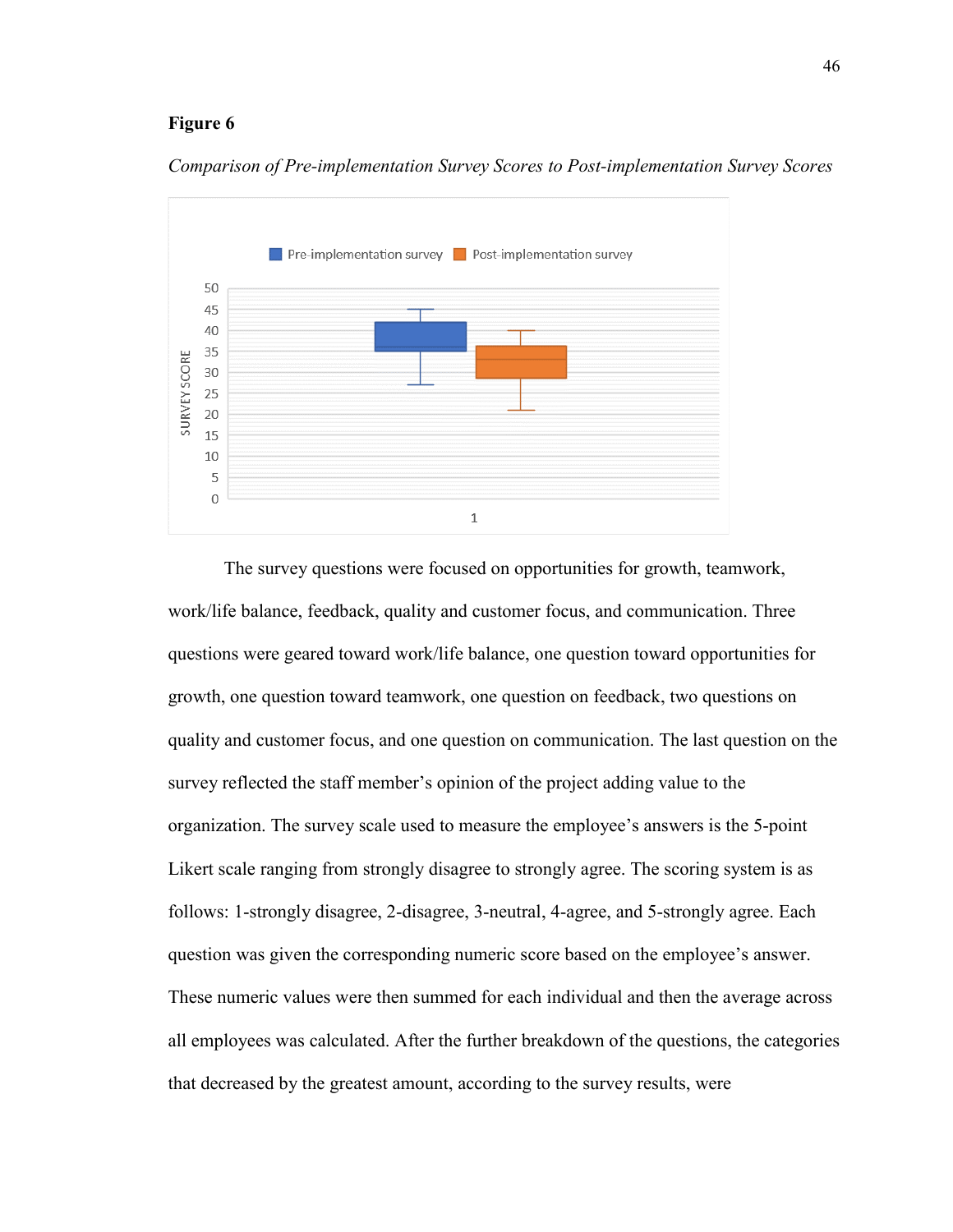#### **Figure 6**



*Comparison of Pre-implementation Survey Scores to Post-implementation Survey Scores*

The survey questions were focused on opportunities for growth, teamwork, work/life balance, feedback, quality and customer focus, and communication. Three questions were geared toward work/life balance, one question toward opportunities for growth, one question toward teamwork, one question on feedback, two questions on quality and customer focus, and one question on communication. The last question on the survey reflected the staff member's opinion of the project adding value to the organization. The survey scale used to measure the employee's answers is the 5-point Likert scale ranging from strongly disagree to strongly agree. The scoring system is as follows: 1-strongly disagree, 2-disagree, 3-neutral, 4-agree, and 5-strongly agree. Each question was given the corresponding numeric score based on the employee's answer. These numeric values were then summed for each individual and then the average across all employees was calculated. After the further breakdown of the questions, the categories that decreased by the greatest amount, according to the survey results, were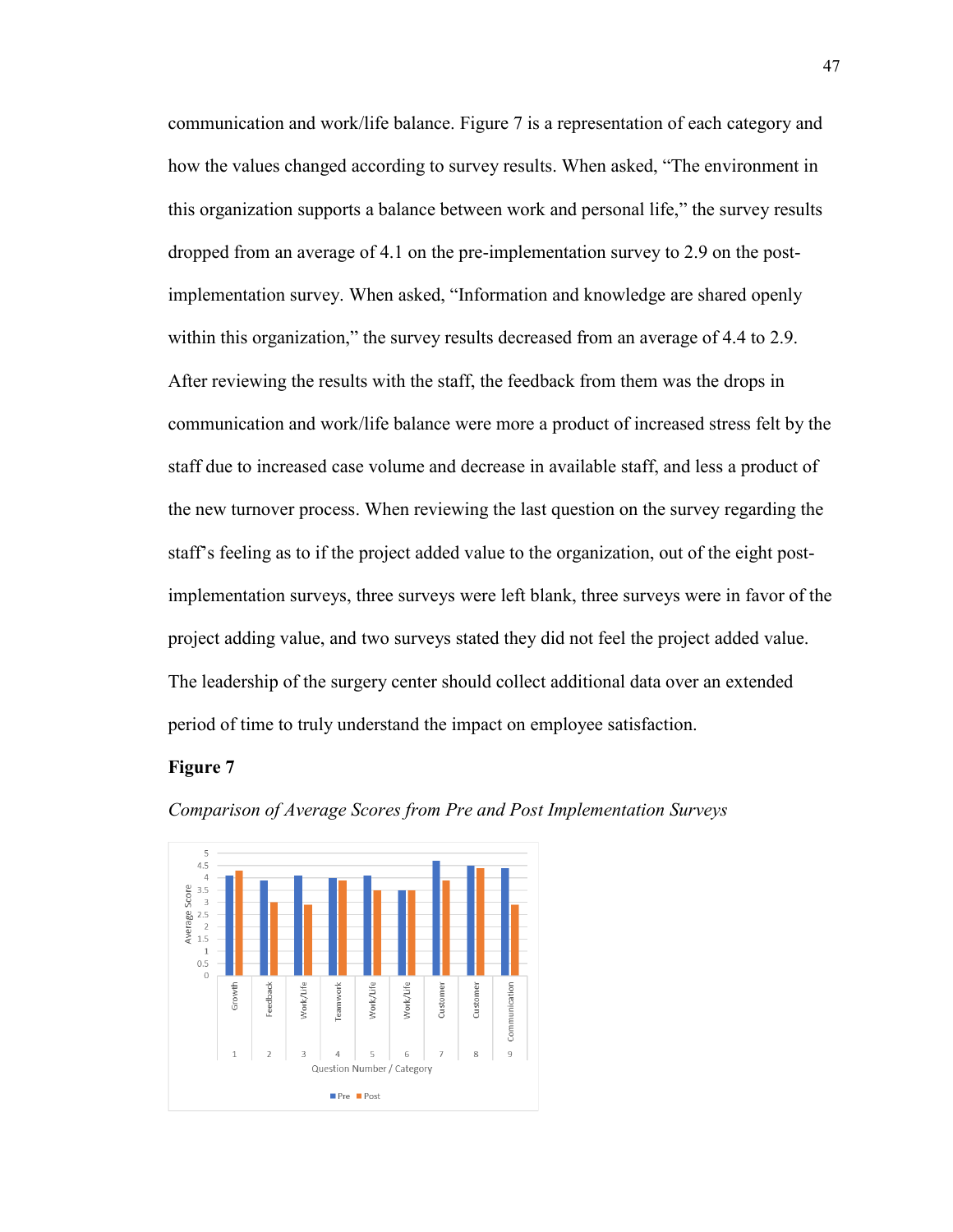communication and work/life balance. Figure 7 is a representation of each category and how the values changed according to survey results. When asked, "The environment in this organization supports a balance between work and personal life," the survey results dropped from an average of 4.1 on the pre-implementation survey to 2.9 on the postimplementation survey. When asked, "Information and knowledge are shared openly within this organization," the survey results decreased from an average of 4.4 to 2.9. After reviewing the results with the staff, the feedback from them was the drops in communication and work/life balance were more a product of increased stress felt by the staff due to increased case volume and decrease in available staff, and less a product of the new turnover process. When reviewing the last question on the survey regarding the staff's feeling as to if the project added value to the organization, out of the eight postimplementation surveys, three surveys were left blank, three surveys were in favor of the project adding value, and two surveys stated they did not feel the project added value. The leadership of the surgery center should collect additional data over an extended period of time to truly understand the impact on employee satisfaction.

#### **Figure 7**



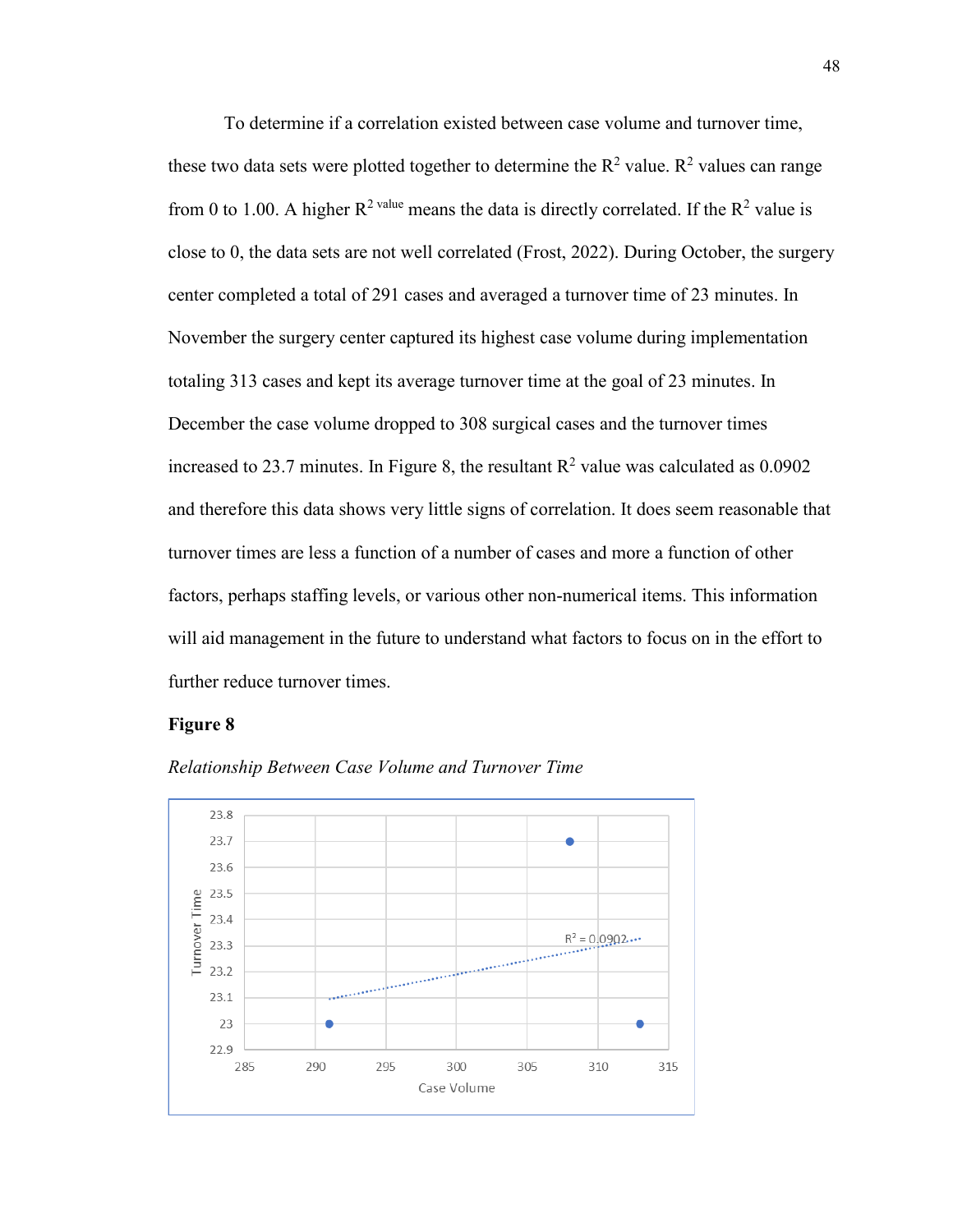To determine if a correlation existed between case volume and turnover time, these two data sets were plotted together to determine the  $R^2$  value.  $R^2$  values can range from 0 to 1.00. A higher  $R^2$  value means the data is directly correlated. If the  $R^2$  value is close to 0, the data sets are not well correlated (Frost, 2022). During October, the surgery center completed a total of 291 cases and averaged a turnover time of 23 minutes. In November the surgery center captured its highest case volume during implementation totaling 313 cases and kept its average turnover time at the goal of 23 minutes. In December the case volume dropped to 308 surgical cases and the turnover times increased to 23.7 minutes. In Figure 8, the resultant  $R^2$  value was calculated as 0.0902 and therefore this data shows very little signs of correlation. It does seem reasonable that turnover times are less a function of a number of cases and more a function of other factors, perhaps staffing levels, or various other non-numerical items. This information will aid management in the future to understand what factors to focus on in the effort to further reduce turnover times.

#### **Figure 8**



*Relationship Between Case Volume and Turnover Time*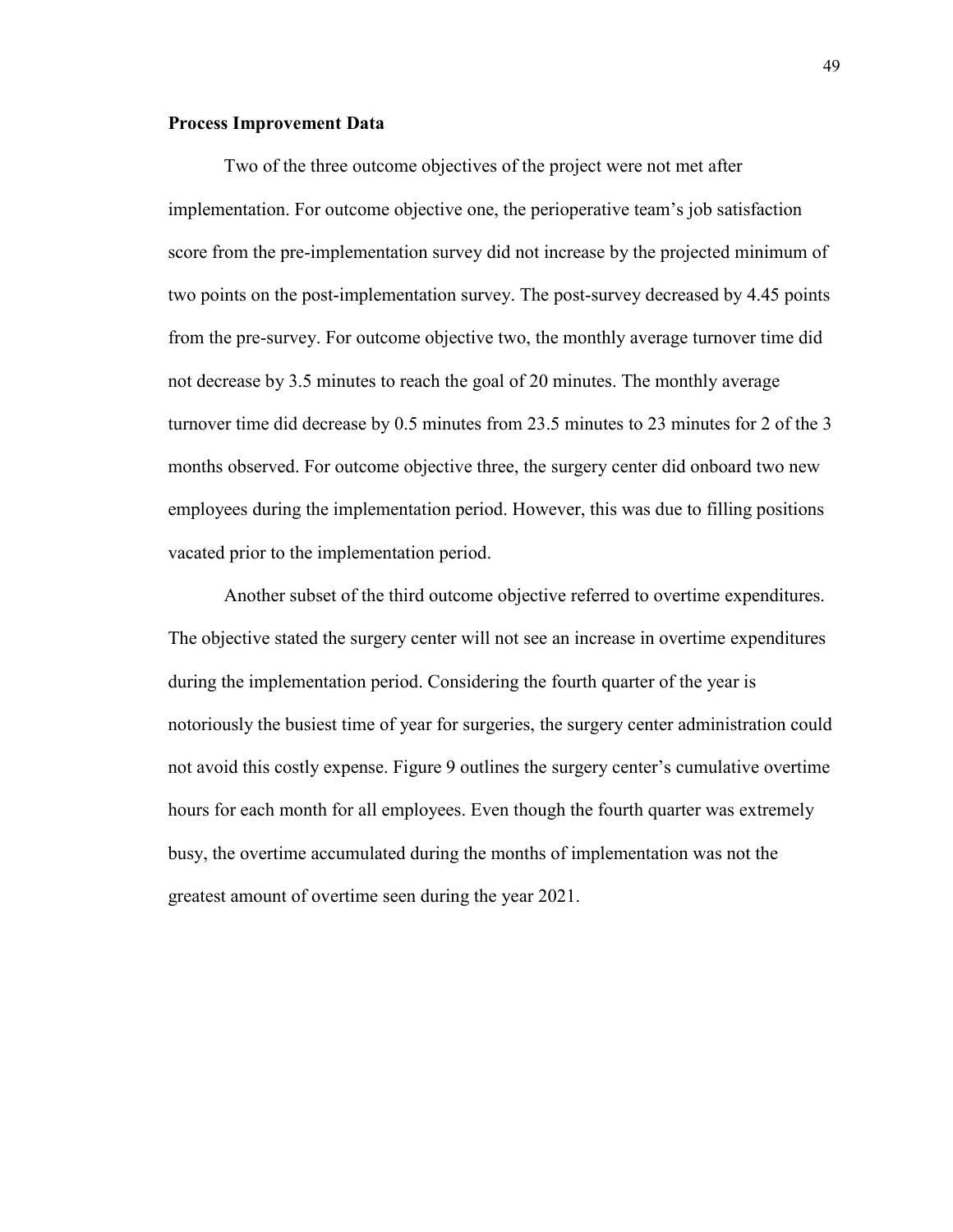#### **Process Improvement Data**

Two of the three outcome objectives of the project were not met after implementation. For outcome objective one, the perioperative team's job satisfaction score from the pre-implementation survey did not increase by the projected minimum of two points on the post-implementation survey. The post-survey decreased by 4.45 points from the pre-survey. For outcome objective two, the monthly average turnover time did not decrease by 3.5 minutes to reach the goal of 20 minutes. The monthly average turnover time did decrease by 0.5 minutes from 23.5 minutes to 23 minutes for 2 of the 3 months observed. For outcome objective three, the surgery center did onboard two new employees during the implementation period. However, this was due to filling positions vacated prior to the implementation period.

Another subset of the third outcome objective referred to overtime expenditures. The objective stated the surgery center will not see an increase in overtime expenditures during the implementation period. Considering the fourth quarter of the year is notoriously the busiest time of year for surgeries, the surgery center administration could not avoid this costly expense. Figure 9 outlines the surgery center's cumulative overtime hours for each month for all employees. Even though the fourth quarter was extremely busy, the overtime accumulated during the months of implementation was not the greatest amount of overtime seen during the year 2021.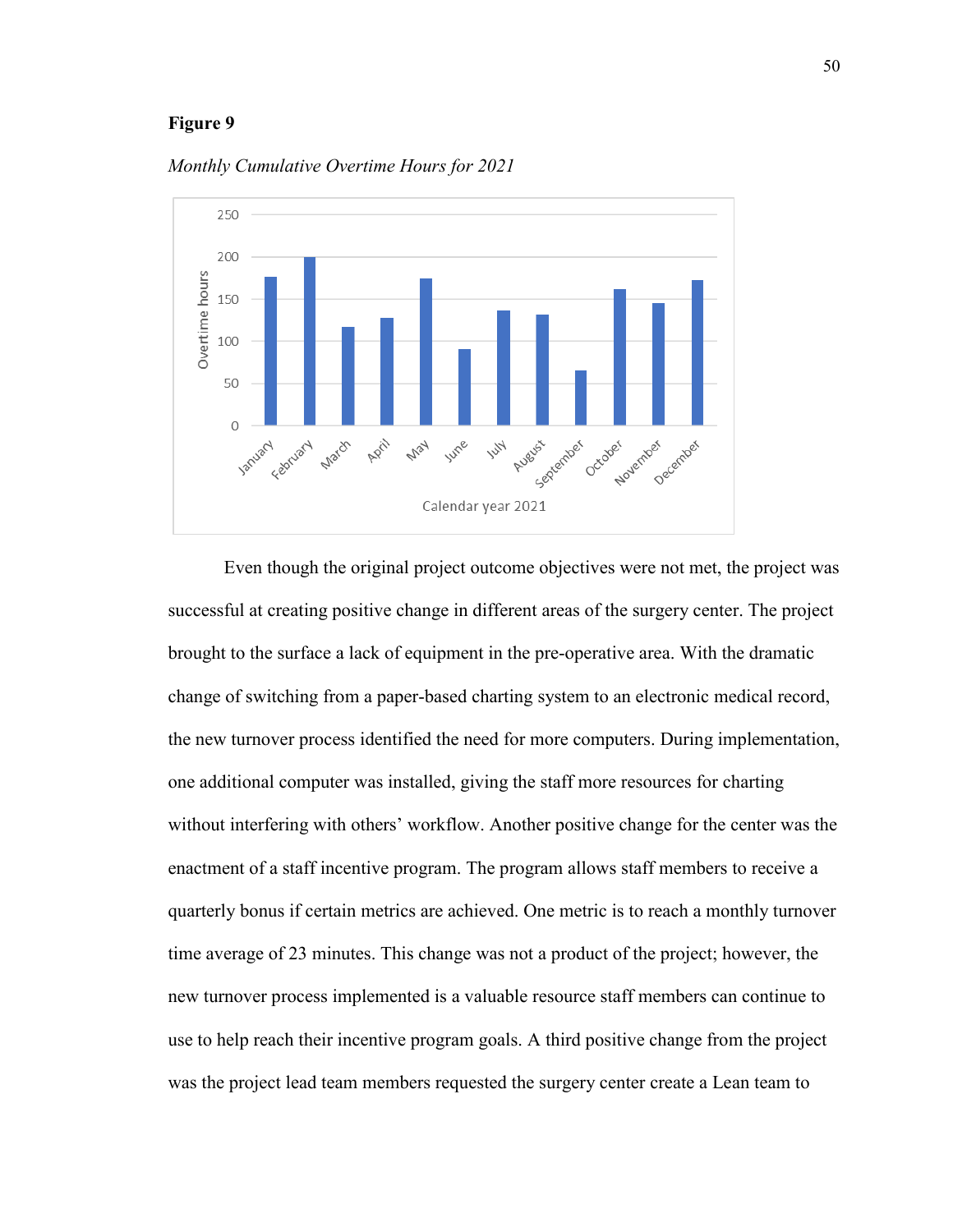#### **Figure 9**



*Monthly Cumulative Overtime Hours for 2021*

Even though the original project outcome objectives were not met, the project was successful at creating positive change in different areas of the surgery center. The project brought to the surface a lack of equipment in the pre-operative area. With the dramatic change of switching from a paper-based charting system to an electronic medical record, the new turnover process identified the need for more computers. During implementation, one additional computer was installed, giving the staff more resources for charting without interfering with others' workflow. Another positive change for the center was the enactment of a staff incentive program. The program allows staff members to receive a quarterly bonus if certain metrics are achieved. One metric is to reach a monthly turnover time average of 23 minutes. This change was not a product of the project; however, the new turnover process implemented is a valuable resource staff members can continue to use to help reach their incentive program goals. A third positive change from the project was the project lead team members requested the surgery center create a Lean team to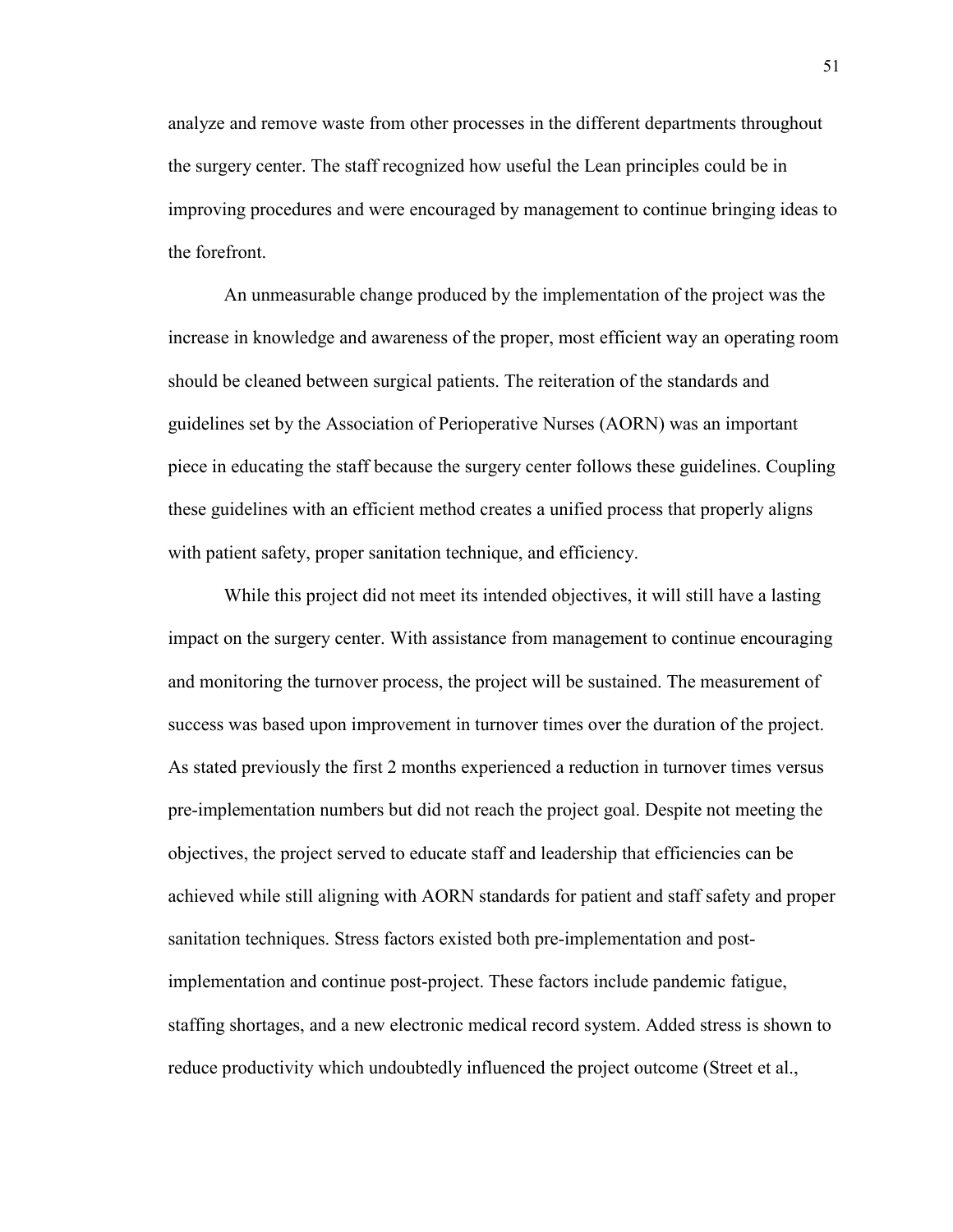analyze and remove waste from other processes in the different departments throughout the surgery center. The staff recognized how useful the Lean principles could be in improving procedures and were encouraged by management to continue bringing ideas to the forefront.

An unmeasurable change produced by the implementation of the project was the increase in knowledge and awareness of the proper, most efficient way an operating room should be cleaned between surgical patients. The reiteration of the standards and guidelines set by the Association of Perioperative Nurses (AORN) was an important piece in educating the staff because the surgery center follows these guidelines. Coupling these guidelines with an efficient method creates a unified process that properly aligns with patient safety, proper sanitation technique, and efficiency.

While this project did not meet its intended objectives, it will still have a lasting impact on the surgery center. With assistance from management to continue encouraging and monitoring the turnover process, the project will be sustained. The measurement of success was based upon improvement in turnover times over the duration of the project. As stated previously the first 2 months experienced a reduction in turnover times versus pre-implementation numbers but did not reach the project goal. Despite not meeting the objectives, the project served to educate staff and leadership that efficiencies can be achieved while still aligning with AORN standards for patient and staff safety and proper sanitation techniques. Stress factors existed both pre-implementation and postimplementation and continue post-project. These factors include pandemic fatigue, staffing shortages, and a new electronic medical record system. Added stress is shown to reduce productivity which undoubtedly influenced the project outcome (Street et al.,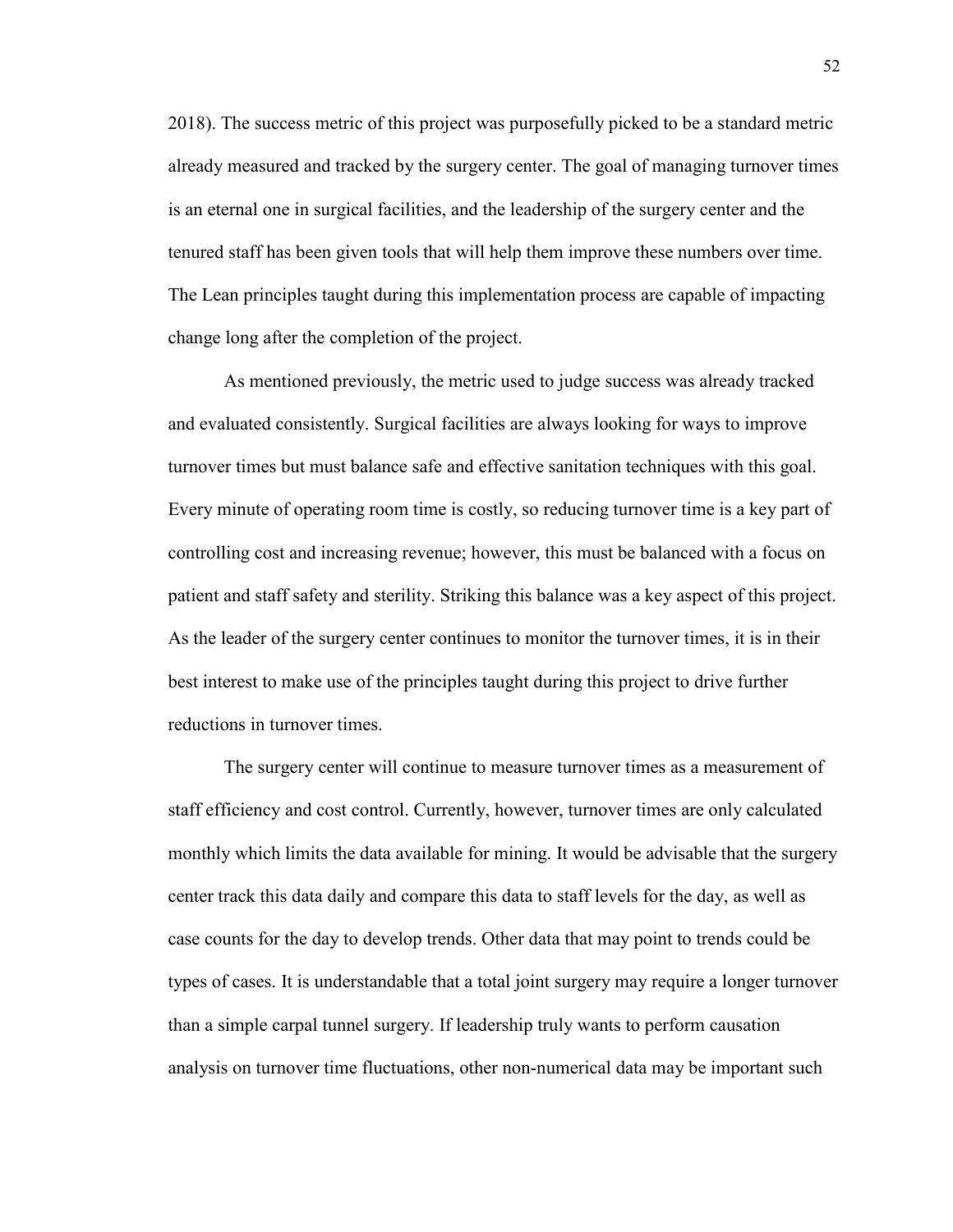2018). The success metric of this project was purposefully picked to be a standard metric already measured and tracked by the surgery center. The goal of managing turnover times is an eternal one in surgical facilities, and the leadership of the surgery center and the tenured staff has been given tools that will help them improve these numbers over time. The Lean principles taught during this implementation process are capable of impacting change long after the completion of the project.

As mentioned previously, the metric used to judge success was already tracked and evaluated consistently. Surgical facilities are always looking for ways to improve turnover times but must balance safe and effective sanitation techniques with this goal. Every minute of operating room time is costly, so reducing turnover time is a key part of controlling cost and increasing revenue; however, this must be balanced with a focus on patient and staff safety and sterility. Striking this balance was a key aspect of this project. As the leader of the surgery center continues to monitor the turnover times, it is in their best interest to make use of the principles taught during this project to drive further reductions in turnover times.

The surgery center will continue to measure turnover times as a measurement of staff efficiency and cost control. Currently, however, turnover times are only calculated monthly which limits the data available for mining. It would be advisable that the surgery center track this data daily and compare this data to staff levels for the day, as well as case counts for the day to develop trends. Other data that may point to trends could be types of cases. It is understandable that a total joint surgery may require a longer turnover than a simple carpal tunnel surgery. If leadership truly wants to perform causation analysis on turnover time fluctuations, other non-numerical data may be important such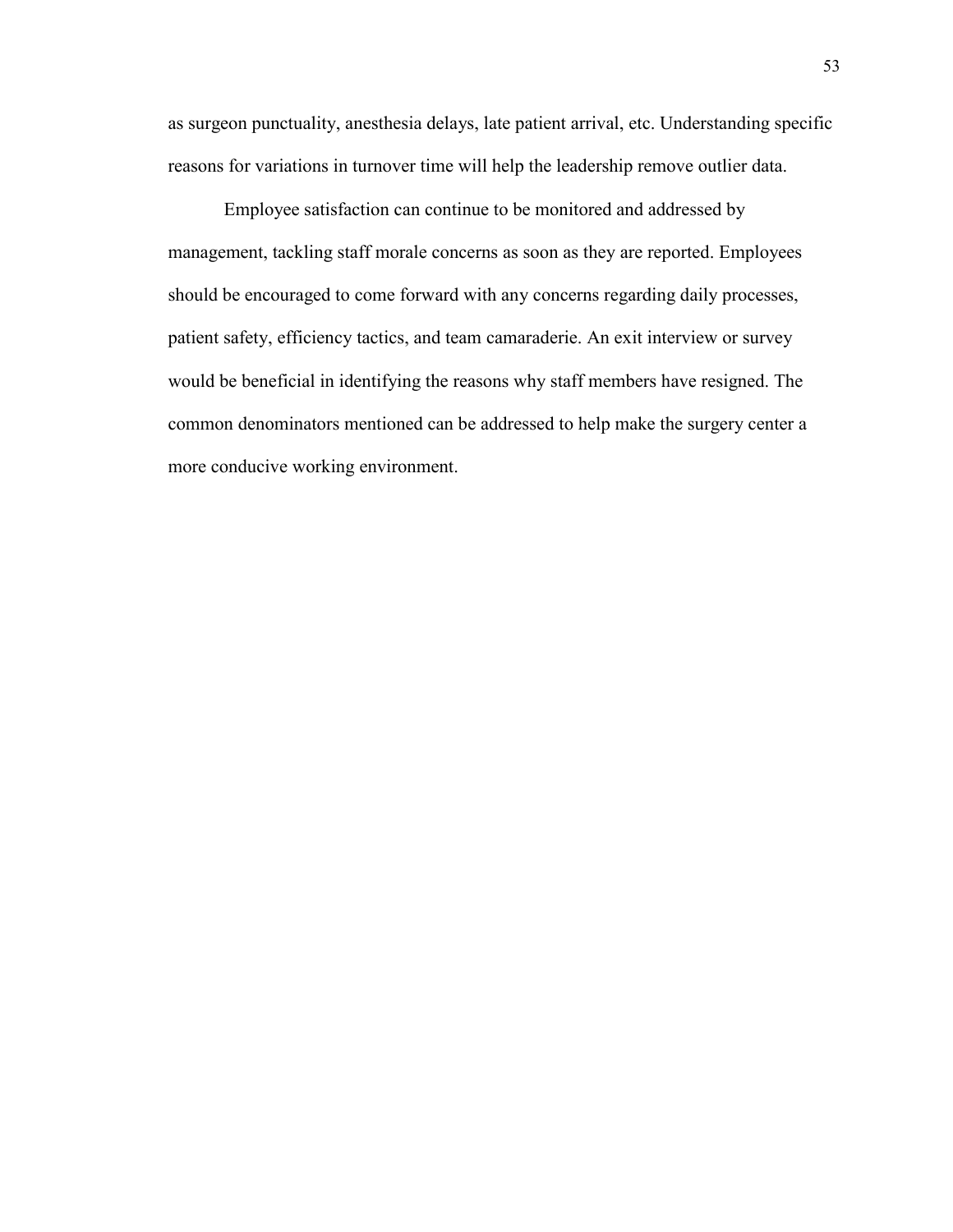as surgeon punctuality, anesthesia delays, late patient arrival, etc. Understanding specific reasons for variations in turnover time will help the leadership remove outlier data.

Employee satisfaction can continue to be monitored and addressed by management, tackling staff morale concerns as soon as they are reported. Employees should be encouraged to come forward with any concerns regarding daily processes, patient safety, efficiency tactics, and team camaraderie. An exit interview or survey would be beneficial in identifying the reasons why staff members have resigned. The common denominators mentioned can be addressed to help make the surgery center a more conducive working environment.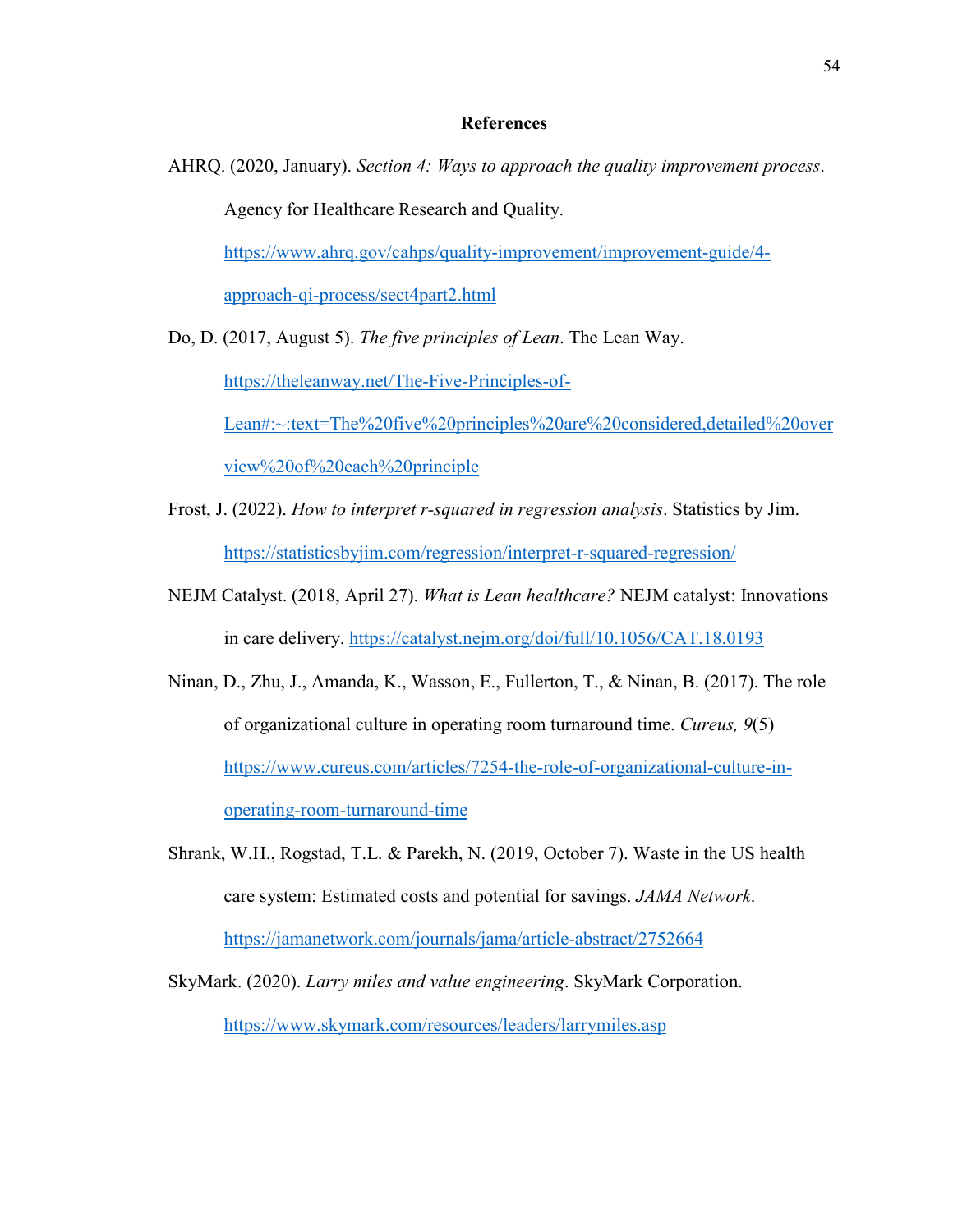#### **References**

AHRQ. (2020, January). *Section 4: Ways to approach the quality improvement process*. Agency for Healthcare Research and Quality. [https://www.ahrq.gov/cahps/quality-improvement/improvement-guide/4-](https://www.ahrq.gov/cahps/quality-improvement/improvement-guide/4-approach-qi-process/sect4part2.html)

[approach-qi-process/sect4part2.html](https://www.ahrq.gov/cahps/quality-improvement/improvement-guide/4-approach-qi-process/sect4part2.html)

Do, D. (2017, August 5). *The five principles of Lean*. The Lean Way.

[https://theleanway.net/The-Five-Principles-of-](https://theleanway.net/The-Five-Principles-of-Lean#:%7E:text=The%20five%20principles%20are%20considered,detailed%20overview%20of%20each%20principle)

[Lean#:~:text=The%20five%20principles%20are%20considered,detailed%20over](https://theleanway.net/The-Five-Principles-of-Lean#:%7E:text=The%20five%20principles%20are%20considered,detailed%20overview%20of%20each%20principle) [view%20of%20each%20principle](https://theleanway.net/The-Five-Principles-of-Lean#:%7E:text=The%20five%20principles%20are%20considered,detailed%20overview%20of%20each%20principle)

- Frost, J. (2022). *How to interpret r-squared in regression analysis*. Statistics by Jim. <https://statisticsbyjim.com/regression/interpret-r-squared-regression/>
- NEJM Catalyst. (2018, April 27). *What is Lean healthcare?* NEJM catalyst: Innovations in care delivery.<https://catalyst.nejm.org/doi/full/10.1056/CAT.18.0193>
- Ninan, D., Zhu, J., Amanda, K., Wasson, E., Fullerton, T., & Ninan, B. (2017). The role of organizational culture in operating room turnaround time. *Cureus, 9*(5) [https://www.cureus.com/articles/7254-the-role-of-organizational-culture-in](https://www.cureus.com/articles/7254-the-role-of-organizational-culture-in-operating-room-turnaround-time)[operating-room-turnaround-time](https://www.cureus.com/articles/7254-the-role-of-organizational-culture-in-operating-room-turnaround-time)
- Shrank, W.H., Rogstad, T.L. & Parekh, N. (2019, October 7). Waste in the US health care system: Estimated costs and potential for savings. *JAMA Network*. <https://jamanetwork.com/journals/jama/article-abstract/2752664>
- SkyMark. (2020). *Larry miles and value engineering*. SkyMark Corporation. <https://www.skymark.com/resources/leaders/larrymiles.asp>